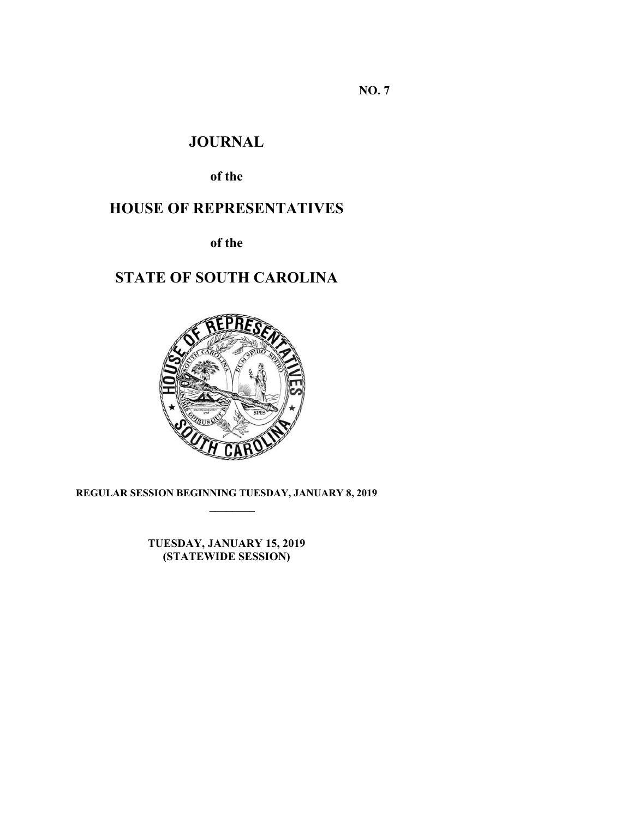**NO. 7** 

# **JOURNAL**

**of the** 

# **HOUSE OF REPRESENTATIVES**

**of the** 

# **STATE OF SOUTH CAROLINA**



**REGULAR SESSION BEGINNING TUESDAY, JANUARY 8, 2019 \_\_\_\_\_\_\_\_**

> **TUESDAY, JANUARY 15, 2019 (STATEWIDE SESSION)**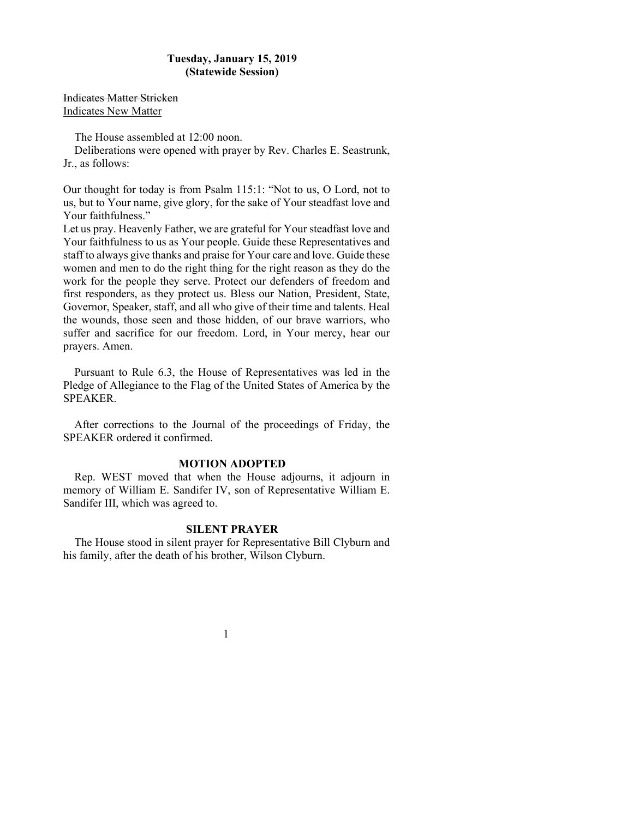# **Tuesday, January 15, 2019 (Statewide Session)**

Indicates Matter Stricken Indicates New Matter

The House assembled at 12:00 noon.

Deliberations were opened with prayer by Rev. Charles E. Seastrunk, Jr., as follows:

Our thought for today is from Psalm 115:1: "Not to us, O Lord, not to us, but to Your name, give glory, for the sake of Your steadfast love and Your faithfulness."

Let us pray. Heavenly Father, we are grateful for Your steadfast love and Your faithfulness to us as Your people. Guide these Representatives and staff to always give thanks and praise for Your care and love. Guide these women and men to do the right thing for the right reason as they do the work for the people they serve. Protect our defenders of freedom and first responders, as they protect us. Bless our Nation, President, State, Governor, Speaker, staff, and all who give of their time and talents. Heal the wounds, those seen and those hidden, of our brave warriors, who suffer and sacrifice for our freedom. Lord, in Your mercy, hear our prayers. Amen.

Pursuant to Rule 6.3, the House of Representatives was led in the Pledge of Allegiance to the Flag of the United States of America by the SPEAKER.

After corrections to the Journal of the proceedings of Friday, the SPEAKER ordered it confirmed.

#### **MOTION ADOPTED**

Rep. WEST moved that when the House adjourns, it adjourn in memory of William E. Sandifer IV, son of Representative William E. Sandifer III, which was agreed to.

## **SILENT PRAYER**

The House stood in silent prayer for Representative Bill Clyburn and his family, after the death of his brother, Wilson Clyburn.

1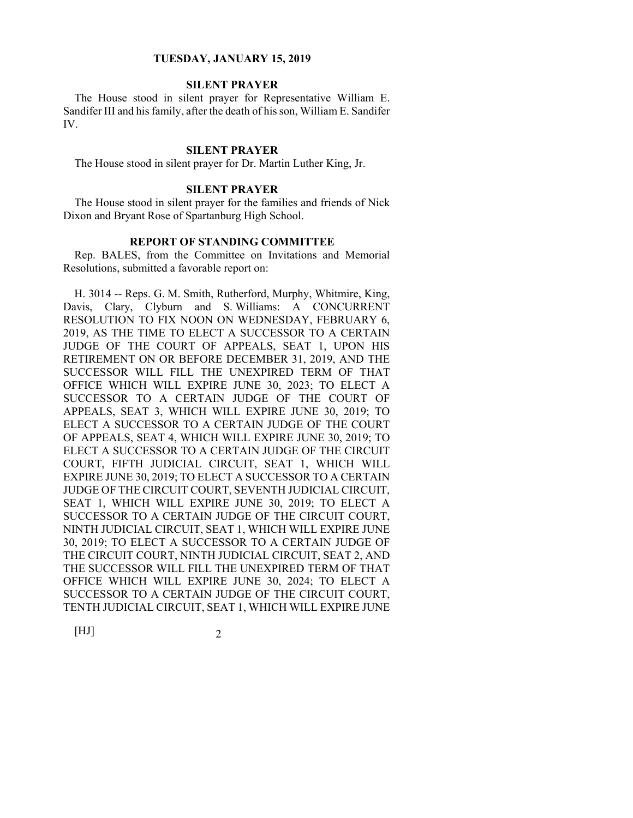# **SILENT PRAYER**

The House stood in silent prayer for Representative William E. Sandifer III and his family, after the death of his son, William E. Sandifer IV.

#### **SILENT PRAYER**

The House stood in silent prayer for Dr. Martin Luther King, Jr.

# **SILENT PRAYER**

The House stood in silent prayer for the families and friends of Nick Dixon and Bryant Rose of Spartanburg High School.

## **REPORT OF STANDING COMMITTEE**

Rep. BALES, from the Committee on Invitations and Memorial Resolutions, submitted a favorable report on:

H. 3014 -- Reps. G. M. Smith, Rutherford, Murphy, Whitmire, King, Davis, Clary, Clyburn and S. Williams: A CONCURRENT RESOLUTION TO FIX NOON ON WEDNESDAY, FEBRUARY 6, 2019, AS THE TIME TO ELECT A SUCCESSOR TO A CERTAIN JUDGE OF THE COURT OF APPEALS, SEAT 1, UPON HIS RETIREMENT ON OR BEFORE DECEMBER 31, 2019, AND THE SUCCESSOR WILL FILL THE UNEXPIRED TERM OF THAT OFFICE WHICH WILL EXPIRE JUNE 30, 2023; TO ELECT A SUCCESSOR TO A CERTAIN JUDGE OF THE COURT OF APPEALS, SEAT 3, WHICH WILL EXPIRE JUNE 30, 2019; TO ELECT A SUCCESSOR TO A CERTAIN JUDGE OF THE COURT OF APPEALS, SEAT 4, WHICH WILL EXPIRE JUNE 30, 2019; TO ELECT A SUCCESSOR TO A CERTAIN JUDGE OF THE CIRCUIT COURT, FIFTH JUDICIAL CIRCUIT, SEAT 1, WHICH WILL EXPIRE JUNE 30, 2019; TO ELECT A SUCCESSOR TO A CERTAIN JUDGE OF THE CIRCUIT COURT, SEVENTH JUDICIAL CIRCUIT, SEAT 1, WHICH WILL EXPIRE JUNE 30, 2019; TO ELECT A SUCCESSOR TO A CERTAIN JUDGE OF THE CIRCUIT COURT, NINTH JUDICIAL CIRCUIT, SEAT 1, WHICH WILL EXPIRE JUNE 30, 2019; TO ELECT A SUCCESSOR TO A CERTAIN JUDGE OF THE CIRCUIT COURT, NINTH JUDICIAL CIRCUIT, SEAT 2, AND THE SUCCESSOR WILL FILL THE UNEXPIRED TERM OF THAT OFFICE WHICH WILL EXPIRE JUNE 30, 2024; TO ELECT A SUCCESSOR TO A CERTAIN JUDGE OF THE CIRCUIT COURT, TENTH JUDICIAL CIRCUIT, SEAT 1, WHICH WILL EXPIRE JUNE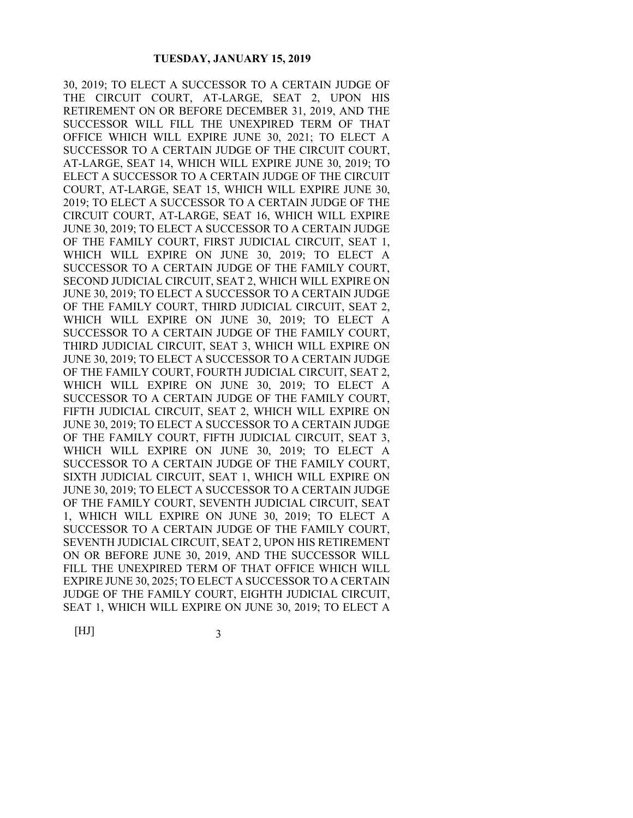30, 2019; TO ELECT A SUCCESSOR TO A CERTAIN JUDGE OF THE CIRCUIT COURT, AT-LARGE, SEAT 2, UPON HIS RETIREMENT ON OR BEFORE DECEMBER 31, 2019, AND THE SUCCESSOR WILL FILL THE UNEXPIRED TERM OF THAT OFFICE WHICH WILL EXPIRE JUNE 30, 2021; TO ELECT A SUCCESSOR TO A CERTAIN JUDGE OF THE CIRCUIT COURT, AT-LARGE, SEAT 14, WHICH WILL EXPIRE JUNE 30, 2019; TO ELECT A SUCCESSOR TO A CERTAIN JUDGE OF THE CIRCUIT COURT, AT-LARGE, SEAT 15, WHICH WILL EXPIRE JUNE 30, 2019; TO ELECT A SUCCESSOR TO A CERTAIN JUDGE OF THE CIRCUIT COURT, AT-LARGE, SEAT 16, WHICH WILL EXPIRE JUNE 30, 2019; TO ELECT A SUCCESSOR TO A CERTAIN JUDGE OF THE FAMILY COURT, FIRST JUDICIAL CIRCUIT, SEAT 1, WHICH WILL EXPIRE ON JUNE 30, 2019; TO ELECT A SUCCESSOR TO A CERTAIN JUDGE OF THE FAMILY COURT, SECOND JUDICIAL CIRCUIT, SEAT 2, WHICH WILL EXPIRE ON JUNE 30, 2019; TO ELECT A SUCCESSOR TO A CERTAIN JUDGE OF THE FAMILY COURT, THIRD JUDICIAL CIRCUIT, SEAT 2, WHICH WILL EXPIRE ON JUNE 30, 2019; TO ELECT A SUCCESSOR TO A CERTAIN JUDGE OF THE FAMILY COURT, THIRD JUDICIAL CIRCUIT, SEAT 3, WHICH WILL EXPIRE ON JUNE 30, 2019; TO ELECT A SUCCESSOR TO A CERTAIN JUDGE OF THE FAMILY COURT, FOURTH JUDICIAL CIRCUIT, SEAT 2, WHICH WILL EXPIRE ON JUNE 30, 2019; TO ELECT A SUCCESSOR TO A CERTAIN JUDGE OF THE FAMILY COURT, FIFTH JUDICIAL CIRCUIT, SEAT 2, WHICH WILL EXPIRE ON JUNE 30, 2019; TO ELECT A SUCCESSOR TO A CERTAIN JUDGE OF THE FAMILY COURT, FIFTH JUDICIAL CIRCUIT, SEAT 3, WHICH WILL EXPIRE ON JUNE 30, 2019; TO ELECT A SUCCESSOR TO A CERTAIN JUDGE OF THE FAMILY COURT, SIXTH JUDICIAL CIRCUIT, SEAT 1, WHICH WILL EXPIRE ON JUNE 30, 2019; TO ELECT A SUCCESSOR TO A CERTAIN JUDGE OF THE FAMILY COURT, SEVENTH JUDICIAL CIRCUIT, SEAT 1, WHICH WILL EXPIRE ON JUNE 30, 2019; TO ELECT A SUCCESSOR TO A CERTAIN JUDGE OF THE FAMILY COURT, SEVENTH JUDICIAL CIRCUIT, SEAT 2, UPON HIS RETIREMENT ON OR BEFORE JUNE 30, 2019, AND THE SUCCESSOR WILL FILL THE UNEXPIRED TERM OF THAT OFFICE WHICH WILL EXPIRE JUNE 30, 2025; TO ELECT A SUCCESSOR TO A CERTAIN JUDGE OF THE FAMILY COURT, EIGHTH JUDICIAL CIRCUIT, SEAT 1, WHICH WILL EXPIRE ON JUNE 30, 2019; TO ELECT A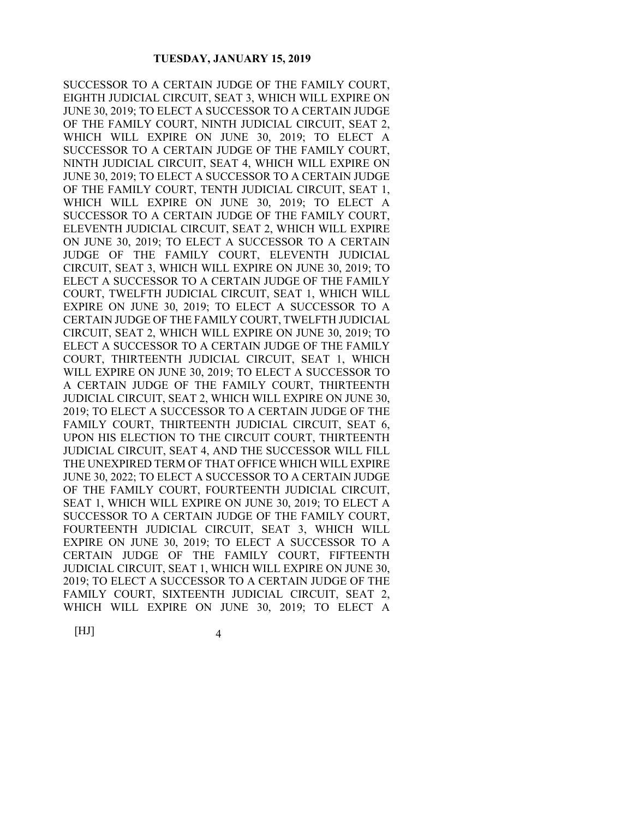SUCCESSOR TO A CERTAIN JUDGE OF THE FAMILY COURT, EIGHTH JUDICIAL CIRCUIT, SEAT 3, WHICH WILL EXPIRE ON JUNE 30, 2019; TO ELECT A SUCCESSOR TO A CERTAIN JUDGE OF THE FAMILY COURT, NINTH JUDICIAL CIRCUIT, SEAT 2, WHICH WILL EXPIRE ON JUNE 30, 2019; TO ELECT A SUCCESSOR TO A CERTAIN JUDGE OF THE FAMILY COURT, NINTH JUDICIAL CIRCUIT, SEAT 4, WHICH WILL EXPIRE ON JUNE 30, 2019; TO ELECT A SUCCESSOR TO A CERTAIN JUDGE OF THE FAMILY COURT, TENTH JUDICIAL CIRCUIT, SEAT 1, WHICH WILL EXPIRE ON JUNE 30, 2019; TO ELECT A SUCCESSOR TO A CERTAIN JUDGE OF THE FAMILY COURT, ELEVENTH JUDICIAL CIRCUIT, SEAT 2, WHICH WILL EXPIRE ON JUNE 30, 2019; TO ELECT A SUCCESSOR TO A CERTAIN JUDGE OF THE FAMILY COURT, ELEVENTH JUDICIAL CIRCUIT, SEAT 3, WHICH WILL EXPIRE ON JUNE 30, 2019; TO ELECT A SUCCESSOR TO A CERTAIN JUDGE OF THE FAMILY COURT, TWELFTH JUDICIAL CIRCUIT, SEAT 1, WHICH WILL EXPIRE ON JUNE 30, 2019; TO ELECT A SUCCESSOR TO A CERTAIN JUDGE OF THE FAMILY COURT, TWELFTH JUDICIAL CIRCUIT, SEAT 2, WHICH WILL EXPIRE ON JUNE 30, 2019; TO ELECT A SUCCESSOR TO A CERTAIN JUDGE OF THE FAMILY COURT, THIRTEENTH JUDICIAL CIRCUIT, SEAT 1, WHICH WILL EXPIRE ON JUNE 30, 2019; TO ELECT A SUCCESSOR TO A CERTAIN JUDGE OF THE FAMILY COURT, THIRTEENTH JUDICIAL CIRCUIT, SEAT 2, WHICH WILL EXPIRE ON JUNE 30, 2019; TO ELECT A SUCCESSOR TO A CERTAIN JUDGE OF THE FAMILY COURT, THIRTEENTH JUDICIAL CIRCUIT, SEAT 6, UPON HIS ELECTION TO THE CIRCUIT COURT, THIRTEENTH JUDICIAL CIRCUIT, SEAT 4, AND THE SUCCESSOR WILL FILL THE UNEXPIRED TERM OF THAT OFFICE WHICH WILL EXPIRE JUNE 30, 2022; TO ELECT A SUCCESSOR TO A CERTAIN JUDGE OF THE FAMILY COURT, FOURTEENTH JUDICIAL CIRCUIT, SEAT 1, WHICH WILL EXPIRE ON JUNE 30, 2019; TO ELECT A SUCCESSOR TO A CERTAIN JUDGE OF THE FAMILY COURT, FOURTEENTH JUDICIAL CIRCUIT, SEAT 3, WHICH WILL EXPIRE ON JUNE 30, 2019; TO ELECT A SUCCESSOR TO A CERTAIN JUDGE OF THE FAMILY COURT, FIFTEENTH JUDICIAL CIRCUIT, SEAT 1, WHICH WILL EXPIRE ON JUNE 30, 2019; TO ELECT A SUCCESSOR TO A CERTAIN JUDGE OF THE FAMILY COURT, SIXTEENTH JUDICIAL CIRCUIT, SEAT 2, WHICH WILL EXPIRE ON JUNE 30, 2019; TO ELECT A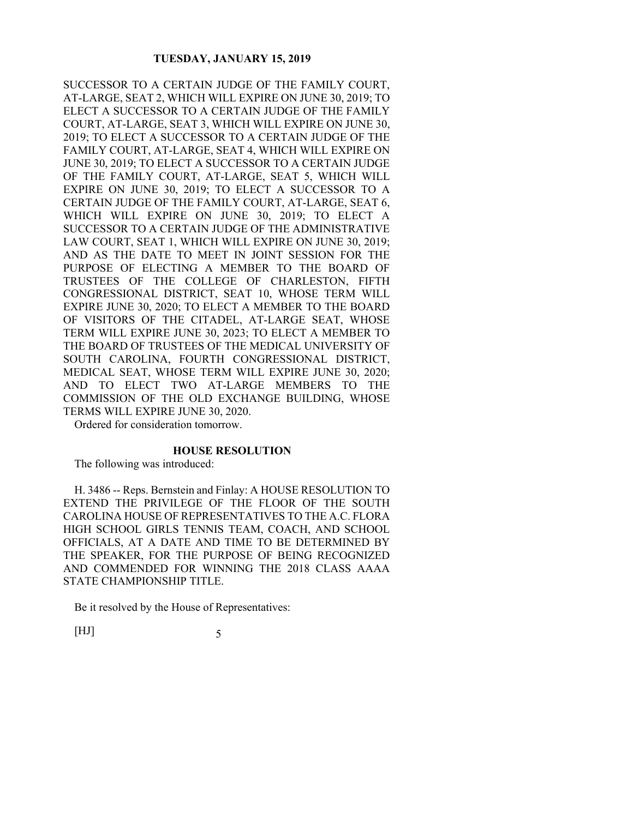SUCCESSOR TO A CERTAIN JUDGE OF THE FAMILY COURT, AT-LARGE, SEAT 2, WHICH WILL EXPIRE ON JUNE 30, 2019; TO ELECT A SUCCESSOR TO A CERTAIN JUDGE OF THE FAMILY COURT, AT-LARGE, SEAT 3, WHICH WILL EXPIRE ON JUNE 30, 2019; TO ELECT A SUCCESSOR TO A CERTAIN JUDGE OF THE FAMILY COURT, AT-LARGE, SEAT 4, WHICH WILL EXPIRE ON JUNE 30, 2019; TO ELECT A SUCCESSOR TO A CERTAIN JUDGE OF THE FAMILY COURT, AT-LARGE, SEAT 5, WHICH WILL EXPIRE ON JUNE 30, 2019; TO ELECT A SUCCESSOR TO A CERTAIN JUDGE OF THE FAMILY COURT, AT-LARGE, SEAT 6, WHICH WILL EXPIRE ON JUNE 30, 2019; TO ELECT A SUCCESSOR TO A CERTAIN JUDGE OF THE ADMINISTRATIVE LAW COURT, SEAT 1, WHICH WILL EXPIRE ON JUNE 30, 2019; AND AS THE DATE TO MEET IN JOINT SESSION FOR THE PURPOSE OF ELECTING A MEMBER TO THE BOARD OF TRUSTEES OF THE COLLEGE OF CHARLESTON, FIFTH CONGRESSIONAL DISTRICT, SEAT 10, WHOSE TERM WILL EXPIRE JUNE 30, 2020; TO ELECT A MEMBER TO THE BOARD OF VISITORS OF THE CITADEL, AT-LARGE SEAT, WHOSE TERM WILL EXPIRE JUNE 30, 2023; TO ELECT A MEMBER TO THE BOARD OF TRUSTEES OF THE MEDICAL UNIVERSITY OF SOUTH CAROLINA, FOURTH CONGRESSIONAL DISTRICT, MEDICAL SEAT, WHOSE TERM WILL EXPIRE JUNE 30, 2020; AND TO ELECT TWO AT-LARGE MEMBERS TO THE COMMISSION OF THE OLD EXCHANGE BUILDING, WHOSE TERMS WILL EXPIRE JUNE 30, 2020.

Ordered for consideration tomorrow.

## **HOUSE RESOLUTION**

The following was introduced:

H. 3486 -- Reps. Bernstein and Finlay: A HOUSE RESOLUTION TO EXTEND THE PRIVILEGE OF THE FLOOR OF THE SOUTH CAROLINA HOUSE OF REPRESENTATIVES TO THE A.C. FLORA HIGH SCHOOL GIRLS TENNIS TEAM, COACH, AND SCHOOL OFFICIALS, AT A DATE AND TIME TO BE DETERMINED BY THE SPEAKER, FOR THE PURPOSE OF BEING RECOGNIZED AND COMMENDED FOR WINNING THE 2018 CLASS AAAA STATE CHAMPIONSHIP TITLE.

Be it resolved by the House of Representatives: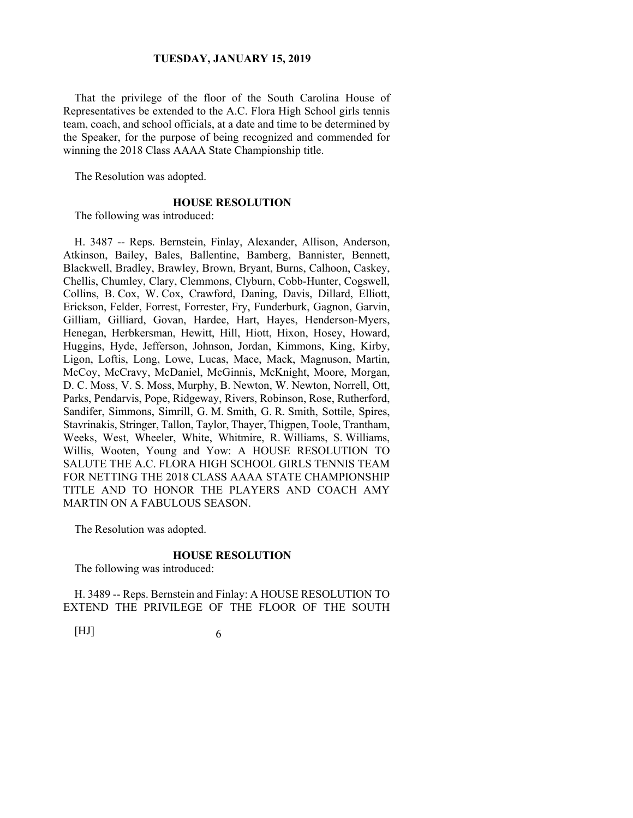That the privilege of the floor of the South Carolina House of Representatives be extended to the A.C. Flora High School girls tennis team, coach, and school officials, at a date and time to be determined by the Speaker, for the purpose of being recognized and commended for winning the 2018 Class AAAA State Championship title.

The Resolution was adopted.

#### **HOUSE RESOLUTION**

The following was introduced:

H. 3487 -- Reps. Bernstein, Finlay, Alexander, Allison, Anderson, Atkinson, Bailey, Bales, Ballentine, Bamberg, Bannister, Bennett, Blackwell, Bradley, Brawley, Brown, Bryant, Burns, Calhoon, Caskey, Chellis, Chumley, Clary, Clemmons, Clyburn, Cobb-Hunter, Cogswell, Collins, B. Cox, W. Cox, Crawford, Daning, Davis, Dillard, Elliott, Erickson, Felder, Forrest, Forrester, Fry, Funderburk, Gagnon, Garvin, Gilliam, Gilliard, Govan, Hardee, Hart, Hayes, Henderson-Myers, Henegan, Herbkersman, Hewitt, Hill, Hiott, Hixon, Hosey, Howard, Huggins, Hyde, Jefferson, Johnson, Jordan, Kimmons, King, Kirby, Ligon, Loftis, Long, Lowe, Lucas, Mace, Mack, Magnuson, Martin, McCoy, McCravy, McDaniel, McGinnis, McKnight, Moore, Morgan, D. C. Moss, V. S. Moss, Murphy, B. Newton, W. Newton, Norrell, Ott, Parks, Pendarvis, Pope, Ridgeway, Rivers, Robinson, Rose, Rutherford, Sandifer, Simmons, Simrill, G. M. Smith, G. R. Smith, Sottile, Spires, Stavrinakis, Stringer, Tallon, Taylor, Thayer, Thigpen, Toole, Trantham, Weeks, West, Wheeler, White, Whitmire, R. Williams, S. Williams, Willis, Wooten, Young and Yow: A HOUSE RESOLUTION TO SALUTE THE A.C. FLORA HIGH SCHOOL GIRLS TENNIS TEAM FOR NETTING THE 2018 CLASS AAAA STATE CHAMPIONSHIP TITLE AND TO HONOR THE PLAYERS AND COACH AMY MARTIN ON A FABULOUS SEASON.

The Resolution was adopted.

#### **HOUSE RESOLUTION**

The following was introduced:

H. 3489 -- Reps. Bernstein and Finlay: A HOUSE RESOLUTION TO EXTEND THE PRIVILEGE OF THE FLOOR OF THE SOUTH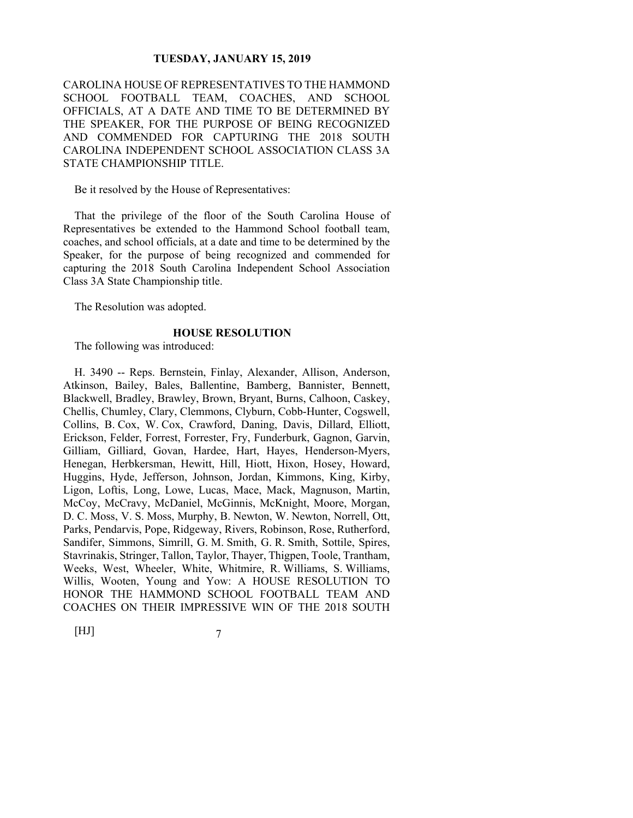CAROLINA HOUSE OF REPRESENTATIVES TO THE HAMMOND SCHOOL FOOTBALL TEAM, COACHES, AND SCHOOL OFFICIALS, AT A DATE AND TIME TO BE DETERMINED BY THE SPEAKER, FOR THE PURPOSE OF BEING RECOGNIZED AND COMMENDED FOR CAPTURING THE 2018 SOUTH CAROLINA INDEPENDENT SCHOOL ASSOCIATION CLASS 3A STATE CHAMPIONSHIP TITLE.

Be it resolved by the House of Representatives:

That the privilege of the floor of the South Carolina House of Representatives be extended to the Hammond School football team, coaches, and school officials, at a date and time to be determined by the Speaker, for the purpose of being recognized and commended for capturing the 2018 South Carolina Independent School Association Class 3A State Championship title.

The Resolution was adopted.

#### **HOUSE RESOLUTION**

The following was introduced:

H. 3490 -- Reps. Bernstein, Finlay, Alexander, Allison, Anderson, Atkinson, Bailey, Bales, Ballentine, Bamberg, Bannister, Bennett, Blackwell, Bradley, Brawley, Brown, Bryant, Burns, Calhoon, Caskey, Chellis, Chumley, Clary, Clemmons, Clyburn, Cobb-Hunter, Cogswell, Collins, B. Cox, W. Cox, Crawford, Daning, Davis, Dillard, Elliott, Erickson, Felder, Forrest, Forrester, Fry, Funderburk, Gagnon, Garvin, Gilliam, Gilliard, Govan, Hardee, Hart, Hayes, Henderson-Myers, Henegan, Herbkersman, Hewitt, Hill, Hiott, Hixon, Hosey, Howard, Huggins, Hyde, Jefferson, Johnson, Jordan, Kimmons, King, Kirby, Ligon, Loftis, Long, Lowe, Lucas, Mace, Mack, Magnuson, Martin, McCoy, McCravy, McDaniel, McGinnis, McKnight, Moore, Morgan, D. C. Moss, V. S. Moss, Murphy, B. Newton, W. Newton, Norrell, Ott, Parks, Pendarvis, Pope, Ridgeway, Rivers, Robinson, Rose, Rutherford, Sandifer, Simmons, Simrill, G. M. Smith, G. R. Smith, Sottile, Spires, Stavrinakis, Stringer, Tallon, Taylor, Thayer, Thigpen, Toole, Trantham, Weeks, West, Wheeler, White, Whitmire, R. Williams, S. Williams, Willis, Wooten, Young and Yow: A HOUSE RESOLUTION TO HONOR THE HAMMOND SCHOOL FOOTBALL TEAM AND COACHES ON THEIR IMPRESSIVE WIN OF THE 2018 SOUTH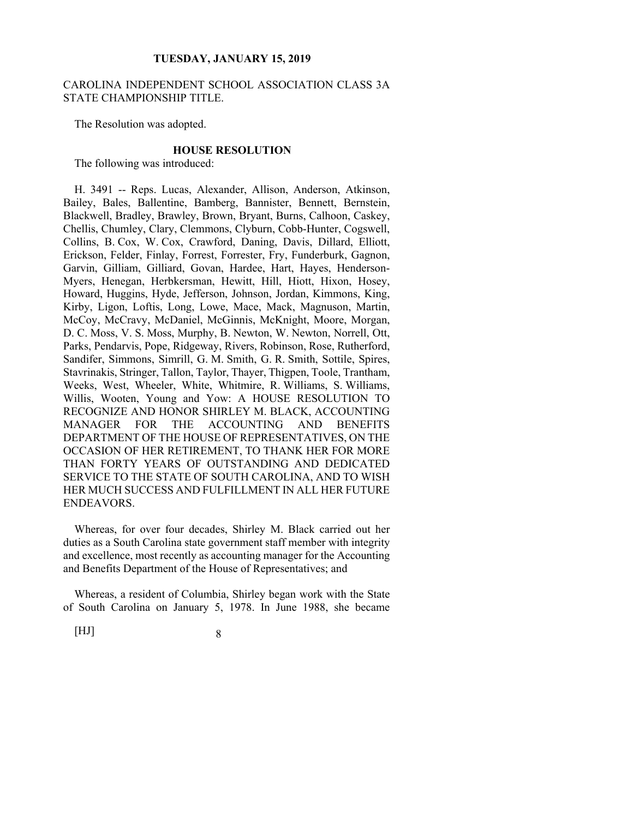## CAROLINA INDEPENDENT SCHOOL ASSOCIATION CLASS 3A STATE CHAMPIONSHIP TITLE.

The Resolution was adopted.

#### **HOUSE RESOLUTION**

The following was introduced:

H. 3491 -- Reps. Lucas, Alexander, Allison, Anderson, Atkinson, Bailey, Bales, Ballentine, Bamberg, Bannister, Bennett, Bernstein, Blackwell, Bradley, Brawley, Brown, Bryant, Burns, Calhoon, Caskey, Chellis, Chumley, Clary, Clemmons, Clyburn, Cobb-Hunter, Cogswell, Collins, B. Cox, W. Cox, Crawford, Daning, Davis, Dillard, Elliott, Erickson, Felder, Finlay, Forrest, Forrester, Fry, Funderburk, Gagnon, Garvin, Gilliam, Gilliard, Govan, Hardee, Hart, Hayes, Henderson-Myers, Henegan, Herbkersman, Hewitt, Hill, Hiott, Hixon, Hosey, Howard, Huggins, Hyde, Jefferson, Johnson, Jordan, Kimmons, King, Kirby, Ligon, Loftis, Long, Lowe, Mace, Mack, Magnuson, Martin, McCoy, McCravy, McDaniel, McGinnis, McKnight, Moore, Morgan, D. C. Moss, V. S. Moss, Murphy, B. Newton, W. Newton, Norrell, Ott, Parks, Pendarvis, Pope, Ridgeway, Rivers, Robinson, Rose, Rutherford, Sandifer, Simmons, Simrill, G. M. Smith, G. R. Smith, Sottile, Spires, Stavrinakis, Stringer, Tallon, Taylor, Thayer, Thigpen, Toole, Trantham, Weeks, West, Wheeler, White, Whitmire, R. Williams, S. Williams, Willis, Wooten, Young and Yow: A HOUSE RESOLUTION TO RECOGNIZE AND HONOR SHIRLEY M. BLACK, ACCOUNTING MANAGER FOR THE ACCOUNTING AND BENEFITS DEPARTMENT OF THE HOUSE OF REPRESENTATIVES, ON THE OCCASION OF HER RETIREMENT, TO THANK HER FOR MORE THAN FORTY YEARS OF OUTSTANDING AND DEDICATED SERVICE TO THE STATE OF SOUTH CAROLINA, AND TO WISH HER MUCH SUCCESS AND FULFILLMENT IN ALL HER FUTURE ENDEAVORS.

Whereas, for over four decades, Shirley M. Black carried out her duties as a South Carolina state government staff member with integrity and excellence, most recently as accounting manager for the Accounting and Benefits Department of the House of Representatives; and

Whereas, a resident of Columbia, Shirley began work with the State of South Carolina on January 5, 1978. In June 1988, she became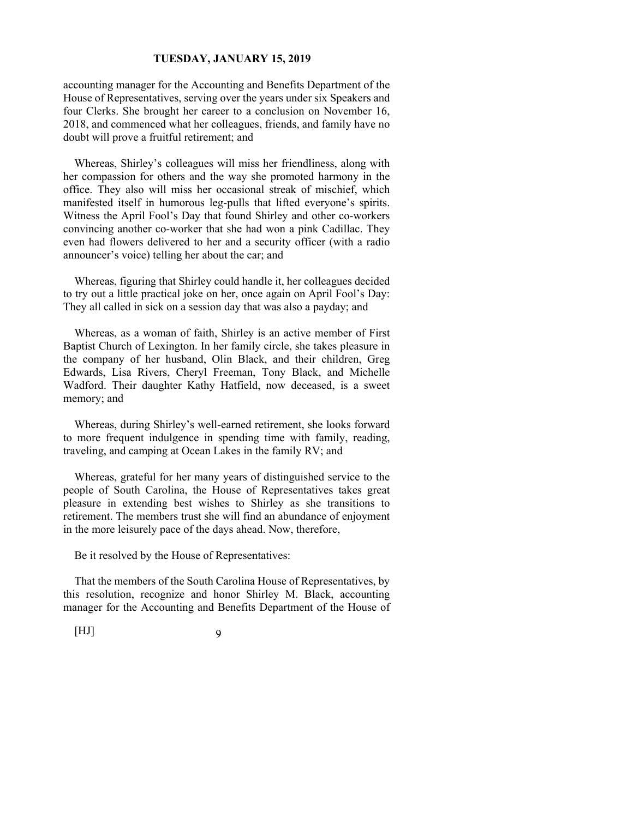accounting manager for the Accounting and Benefits Department of the House of Representatives, serving over the years under six Speakers and four Clerks. She brought her career to a conclusion on November 16, 2018, and commenced what her colleagues, friends, and family have no doubt will prove a fruitful retirement; and

Whereas, Shirley's colleagues will miss her friendliness, along with her compassion for others and the way she promoted harmony in the office. They also will miss her occasional streak of mischief, which manifested itself in humorous leg-pulls that lifted everyone's spirits. Witness the April Fool's Day that found Shirley and other co-workers convincing another co-worker that she had won a pink Cadillac. They even had flowers delivered to her and a security officer (with a radio announcer's voice) telling her about the car; and

Whereas, figuring that Shirley could handle it, her colleagues decided to try out a little practical joke on her, once again on April Fool's Day: They all called in sick on a session day that was also a payday; and

Whereas, as a woman of faith, Shirley is an active member of First Baptist Church of Lexington. In her family circle, she takes pleasure in the company of her husband, Olin Black, and their children, Greg Edwards, Lisa Rivers, Cheryl Freeman, Tony Black, and Michelle Wadford. Their daughter Kathy Hatfield, now deceased, is a sweet memory; and

Whereas, during Shirley's well-earned retirement, she looks forward to more frequent indulgence in spending time with family, reading, traveling, and camping at Ocean Lakes in the family RV; and

Whereas, grateful for her many years of distinguished service to the people of South Carolina, the House of Representatives takes great pleasure in extending best wishes to Shirley as she transitions to retirement. The members trust she will find an abundance of enjoyment in the more leisurely pace of the days ahead. Now, therefore,

Be it resolved by the House of Representatives:

That the members of the South Carolina House of Representatives, by this resolution, recognize and honor Shirley M. Black, accounting manager for the Accounting and Benefits Department of the House of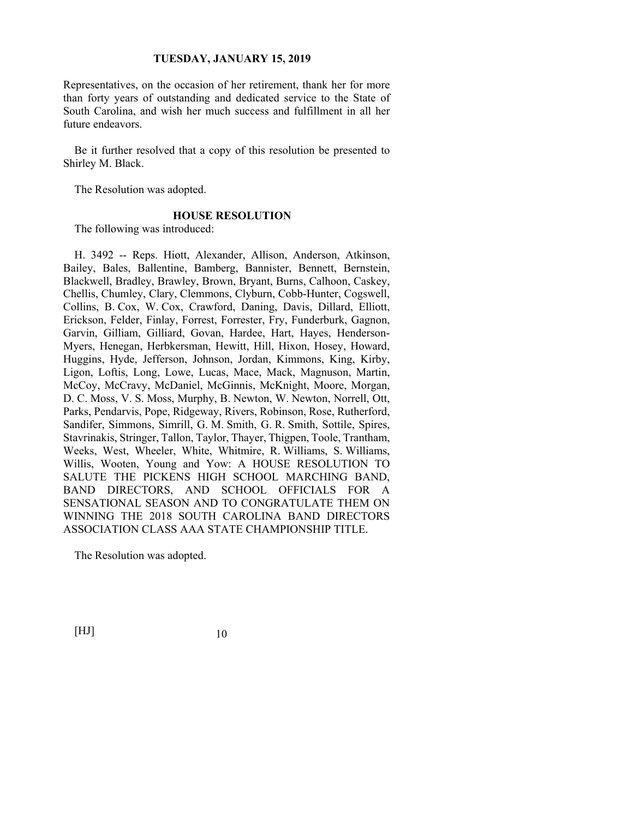Representatives, on the occasion of her retirement, thank her for more than forty years of outstanding and dedicated service to the State of South Carolina, and wish her much success and fulfillment in all her future endeavors.

Be it further resolved that a copy of this resolution be presented to Shirley M. Black.

The Resolution was adopted.

### **HOUSE RESOLUTION**

The following was introduced:

H. 3492 -- Reps. Hiott, Alexander, Allison, Anderson, Atkinson, Bailey, Bales, Ballentine, Bamberg, Bannister, Bennett, Bernstein, Blackwell, Bradley, Brawley, Brown, Bryant, Burns, Calhoon, Caskey, Chellis, Chumley, Clary, Clemmons, Clyburn, Cobb-Hunter, Cogswell, Collins, B. Cox, W. Cox, Crawford, Daning, Davis, Dillard, Elliott, Erickson, Felder, Finlay, Forrest, Forrester, Fry, Funderburk, Gagnon, Garvin, Gilliam, Gilliard, Govan, Hardee, Hart, Hayes, Henderson-Myers, Henegan, Herbkersman, Hewitt, Hill, Hixon, Hosey, Howard, Huggins, Hyde, Jefferson, Johnson, Jordan, Kimmons, King, Kirby, Ligon, Loftis, Long, Lowe, Lucas, Mace, Mack, Magnuson, Martin, McCoy, McCravy, McDaniel, McGinnis, McKnight, Moore, Morgan, D. C. Moss, V. S. Moss, Murphy, B. Newton, W. Newton, Norrell, Ott, Parks, Pendarvis, Pope, Ridgeway, Rivers, Robinson, Rose, Rutherford, Sandifer, Simmons, Simrill, G. M. Smith, G. R. Smith, Sottile, Spires, Stavrinakis, Stringer, Tallon, Taylor, Thayer, Thigpen, Toole, Trantham, Weeks, West, Wheeler, White, Whitmire, R. Williams, S. Williams, Willis, Wooten, Young and Yow: A HOUSE RESOLUTION TO SALUTE THE PICKENS HIGH SCHOOL MARCHING BAND, BAND DIRECTORS, AND SCHOOL OFFICIALS FOR A SENSATIONAL SEASON AND TO CONGRATULATE THEM ON WINNING THE 2018 SOUTH CAROLINA BAND DIRECTORS ASSOCIATION CLASS AAA STATE CHAMPIONSHIP TITLE.

The Resolution was adopted.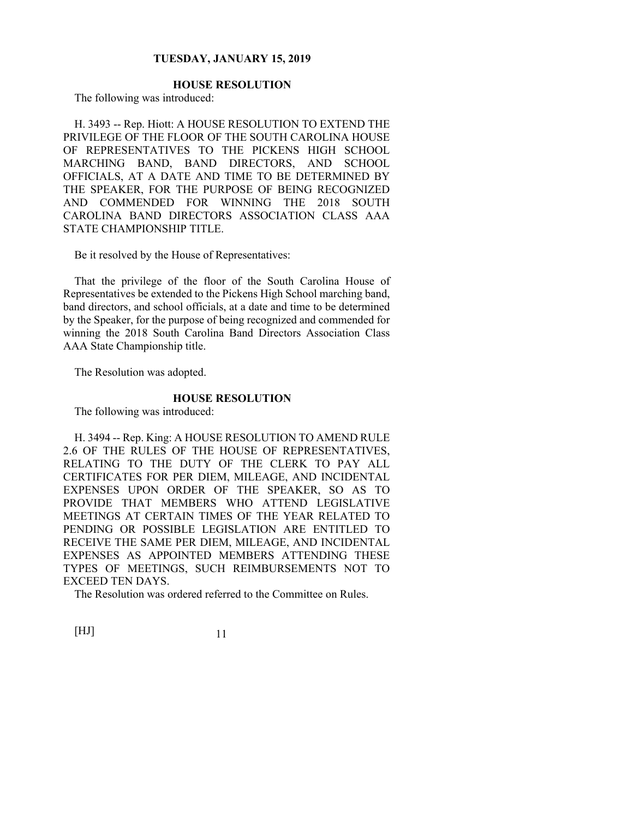# **HOUSE RESOLUTION**

The following was introduced:

H. 3493 -- Rep. Hiott: A HOUSE RESOLUTION TO EXTEND THE PRIVILEGE OF THE FLOOR OF THE SOUTH CAROLINA HOUSE OF REPRESENTATIVES TO THE PICKENS HIGH SCHOOL MARCHING BAND, BAND DIRECTORS, AND SCHOOL OFFICIALS, AT A DATE AND TIME TO BE DETERMINED BY THE SPEAKER, FOR THE PURPOSE OF BEING RECOGNIZED AND COMMENDED FOR WINNING THE 2018 SOUTH CAROLINA BAND DIRECTORS ASSOCIATION CLASS AAA STATE CHAMPIONSHIP TITLE.

Be it resolved by the House of Representatives:

That the privilege of the floor of the South Carolina House of Representatives be extended to the Pickens High School marching band, band directors, and school officials, at a date and time to be determined by the Speaker, for the purpose of being recognized and commended for winning the 2018 South Carolina Band Directors Association Class AAA State Championship title.

The Resolution was adopted.

#### **HOUSE RESOLUTION**

The following was introduced:

H. 3494 -- Rep. King: A HOUSE RESOLUTION TO AMEND RULE 2.6 OF THE RULES OF THE HOUSE OF REPRESENTATIVES, RELATING TO THE DUTY OF THE CLERK TO PAY ALL CERTIFICATES FOR PER DIEM, MILEAGE, AND INCIDENTAL EXPENSES UPON ORDER OF THE SPEAKER, SO AS TO PROVIDE THAT MEMBERS WHO ATTEND LEGISLATIVE MEETINGS AT CERTAIN TIMES OF THE YEAR RELATED TO PENDING OR POSSIBLE LEGISLATION ARE ENTITLED TO RECEIVE THE SAME PER DIEM, MILEAGE, AND INCIDENTAL EXPENSES AS APPOINTED MEMBERS ATTENDING THESE TYPES OF MEETINGS, SUCH REIMBURSEMENTS NOT TO EXCEED TEN DAYS.

The Resolution was ordered referred to the Committee on Rules.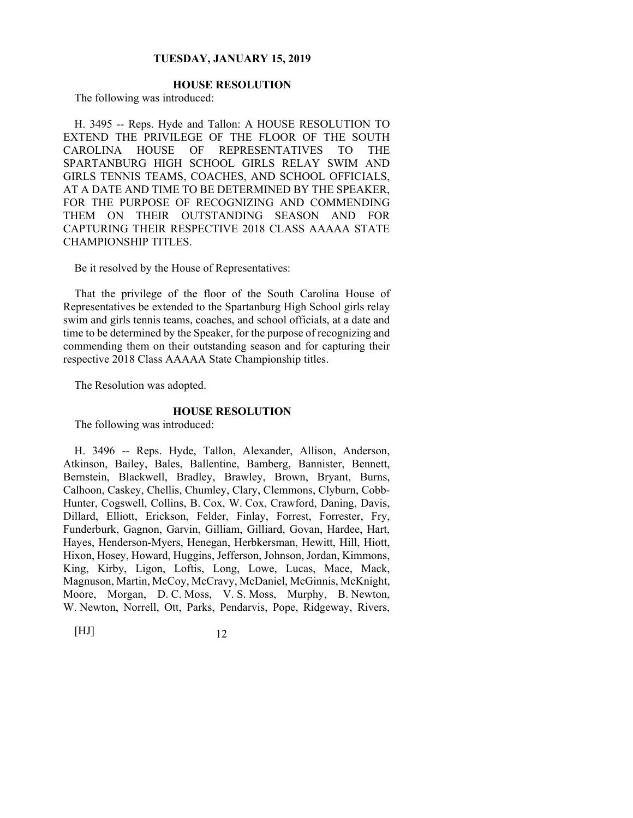# **HOUSE RESOLUTION**

The following was introduced:

H. 3495 -- Reps. Hyde and Tallon: A HOUSE RESOLUTION TO EXTEND THE PRIVILEGE OF THE FLOOR OF THE SOUTH CAROLINA HOUSE OF REPRESENTATIVES TO THE SPARTANBURG HIGH SCHOOL GIRLS RELAY SWIM AND GIRLS TENNIS TEAMS, COACHES, AND SCHOOL OFFICIALS, AT A DATE AND TIME TO BE DETERMINED BY THE SPEAKER, FOR THE PURPOSE OF RECOGNIZING AND COMMENDING THEM ON THEIR OUTSTANDING SEASON AND FOR CAPTURING THEIR RESPECTIVE 2018 CLASS AAAAA STATE CHAMPIONSHIP TITLES.

Be it resolved by the House of Representatives:

That the privilege of the floor of the South Carolina House of Representatives be extended to the Spartanburg High School girls relay swim and girls tennis teams, coaches, and school officials, at a date and time to be determined by the Speaker, for the purpose of recognizing and commending them on their outstanding season and for capturing their respective 2018 Class AAAAA State Championship titles.

The Resolution was adopted.

## **HOUSE RESOLUTION**

The following was introduced:

H. 3496 -- Reps. Hyde, Tallon, Alexander, Allison, Anderson, Atkinson, Bailey, Bales, Ballentine, Bamberg, Bannister, Bennett, Bernstein, Blackwell, Bradley, Brawley, Brown, Bryant, Burns, Calhoon, Caskey, Chellis, Chumley, Clary, Clemmons, Clyburn, Cobb-Hunter, Cogswell, Collins, B. Cox, W. Cox, Crawford, Daning, Davis, Dillard, Elliott, Erickson, Felder, Finlay, Forrest, Forrester, Fry, Funderburk, Gagnon, Garvin, Gilliam, Gilliard, Govan, Hardee, Hart, Hayes, Henderson-Myers, Henegan, Herbkersman, Hewitt, Hill, Hiott, Hixon, Hosey, Howard, Huggins, Jefferson, Johnson, Jordan, Kimmons, King, Kirby, Ligon, Loftis, Long, Lowe, Lucas, Mace, Mack, Magnuson, Martin, McCoy, McCravy, McDaniel, McGinnis, McKnight, Moore, Morgan, D. C. Moss, V. S. Moss, Murphy, B. Newton, W. Newton, Norrell, Ott, Parks, Pendarvis, Pope, Ridgeway, Rivers,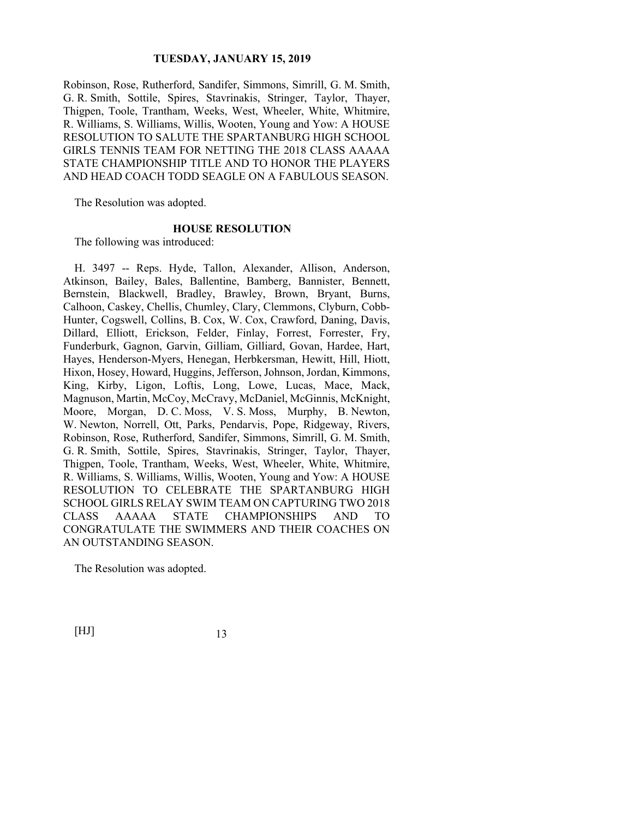Robinson, Rose, Rutherford, Sandifer, Simmons, Simrill, G. M. Smith, G. R. Smith, Sottile, Spires, Stavrinakis, Stringer, Taylor, Thayer, Thigpen, Toole, Trantham, Weeks, West, Wheeler, White, Whitmire, R. Williams, S. Williams, Willis, Wooten, Young and Yow: A HOUSE RESOLUTION TO SALUTE THE SPARTANBURG HIGH SCHOOL GIRLS TENNIS TEAM FOR NETTING THE 2018 CLASS AAAAA STATE CHAMPIONSHIP TITLE AND TO HONOR THE PLAYERS AND HEAD COACH TODD SEAGLE ON A FABULOUS SEASON.

The Resolution was adopted.

#### **HOUSE RESOLUTION**

The following was introduced:

H. 3497 -- Reps. Hyde, Tallon, Alexander, Allison, Anderson, Atkinson, Bailey, Bales, Ballentine, Bamberg, Bannister, Bennett, Bernstein, Blackwell, Bradley, Brawley, Brown, Bryant, Burns, Calhoon, Caskey, Chellis, Chumley, Clary, Clemmons, Clyburn, Cobb-Hunter, Cogswell, Collins, B. Cox, W. Cox, Crawford, Daning, Davis, Dillard, Elliott, Erickson, Felder, Finlay, Forrest, Forrester, Fry, Funderburk, Gagnon, Garvin, Gilliam, Gilliard, Govan, Hardee, Hart, Hayes, Henderson-Myers, Henegan, Herbkersman, Hewitt, Hill, Hiott, Hixon, Hosey, Howard, Huggins, Jefferson, Johnson, Jordan, Kimmons, King, Kirby, Ligon, Loftis, Long, Lowe, Lucas, Mace, Mack, Magnuson, Martin, McCoy, McCravy, McDaniel, McGinnis, McKnight, Moore, Morgan, D. C. Moss, V. S. Moss, Murphy, B. Newton, W. Newton, Norrell, Ott, Parks, Pendarvis, Pope, Ridgeway, Rivers, Robinson, Rose, Rutherford, Sandifer, Simmons, Simrill, G. M. Smith, G. R. Smith, Sottile, Spires, Stavrinakis, Stringer, Taylor, Thayer, Thigpen, Toole, Trantham, Weeks, West, Wheeler, White, Whitmire, R. Williams, S. Williams, Willis, Wooten, Young and Yow: A HOUSE RESOLUTION TO CELEBRATE THE SPARTANBURG HIGH SCHOOL GIRLS RELAY SWIM TEAM ON CAPTURING TWO 2018 CLASS AAAAA STATE CHAMPIONSHIPS AND TO CONGRATULATE THE SWIMMERS AND THEIR COACHES ON AN OUTSTANDING SEASON.

The Resolution was adopted.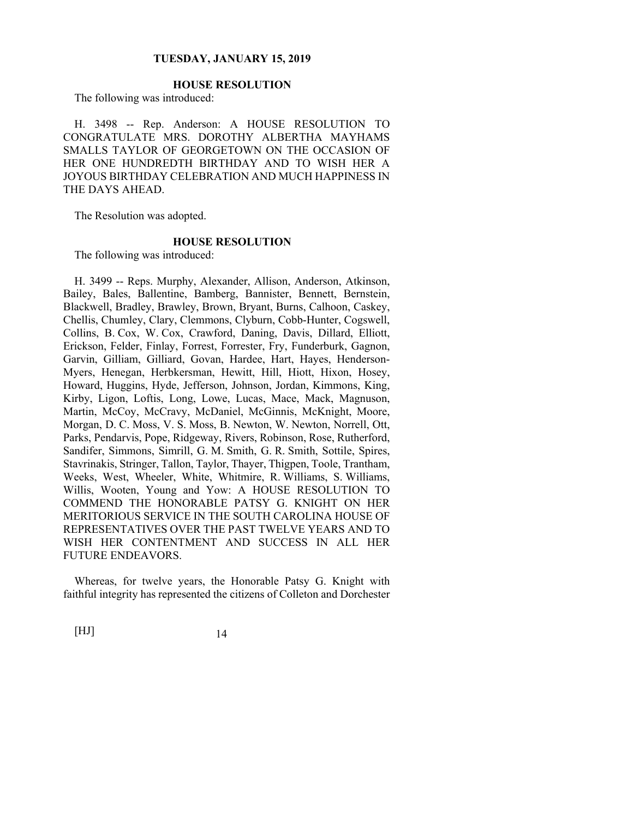# **HOUSE RESOLUTION**

The following was introduced:

H. 3498 -- Rep. Anderson: A HOUSE RESOLUTION TO CONGRATULATE MRS. DOROTHY ALBERTHA MAYHAMS SMALLS TAYLOR OF GEORGETOWN ON THE OCCASION OF HER ONE HUNDREDTH BIRTHDAY AND TO WISH HER A JOYOUS BIRTHDAY CELEBRATION AND MUCH HAPPINESS IN THE DAYS AHEAD.

The Resolution was adopted.

### **HOUSE RESOLUTION**

The following was introduced:

H. 3499 -- Reps. Murphy, Alexander, Allison, Anderson, Atkinson, Bailey, Bales, Ballentine, Bamberg, Bannister, Bennett, Bernstein, Blackwell, Bradley, Brawley, Brown, Bryant, Burns, Calhoon, Caskey, Chellis, Chumley, Clary, Clemmons, Clyburn, Cobb-Hunter, Cogswell, Collins, B. Cox, W. Cox, Crawford, Daning, Davis, Dillard, Elliott, Erickson, Felder, Finlay, Forrest, Forrester, Fry, Funderburk, Gagnon, Garvin, Gilliam, Gilliard, Govan, Hardee, Hart, Hayes, Henderson-Myers, Henegan, Herbkersman, Hewitt, Hill, Hiott, Hixon, Hosey, Howard, Huggins, Hyde, Jefferson, Johnson, Jordan, Kimmons, King, Kirby, Ligon, Loftis, Long, Lowe, Lucas, Mace, Mack, Magnuson, Martin, McCoy, McCravy, McDaniel, McGinnis, McKnight, Moore, Morgan, D. C. Moss, V. S. Moss, B. Newton, W. Newton, Norrell, Ott, Parks, Pendarvis, Pope, Ridgeway, Rivers, Robinson, Rose, Rutherford, Sandifer, Simmons, Simrill, G. M. Smith, G. R. Smith, Sottile, Spires, Stavrinakis, Stringer, Tallon, Taylor, Thayer, Thigpen, Toole, Trantham, Weeks, West, Wheeler, White, Whitmire, R. Williams, S. Williams, Willis, Wooten, Young and Yow: A HOUSE RESOLUTION TO COMMEND THE HONORABLE PATSY G. KNIGHT ON HER MERITORIOUS SERVICE IN THE SOUTH CAROLINA HOUSE OF REPRESENTATIVES OVER THE PAST TWELVE YEARS AND TO WISH HER CONTENTMENT AND SUCCESS IN ALL HER FUTURE ENDEAVORS.

Whereas, for twelve years, the Honorable Patsy G. Knight with faithful integrity has represented the citizens of Colleton and Dorchester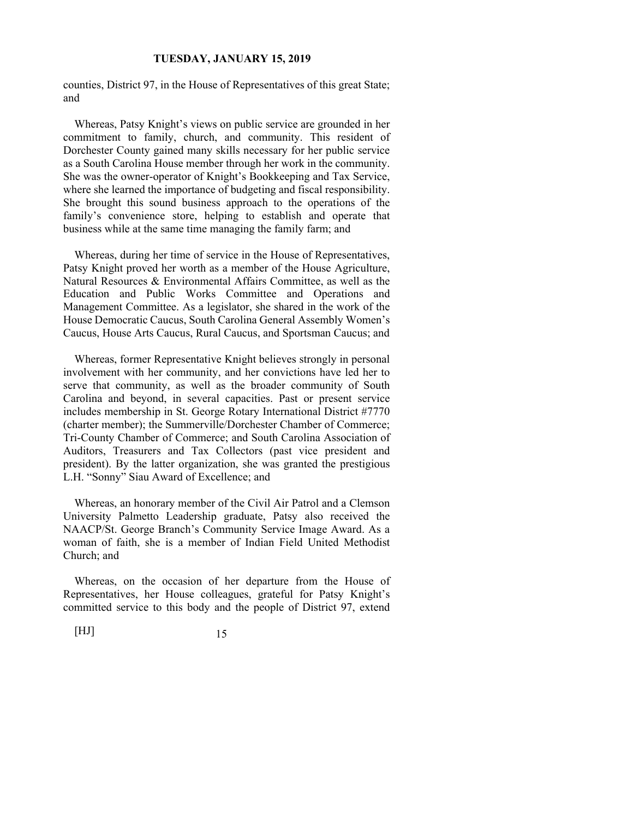counties, District 97, in the House of Representatives of this great State; and

Whereas, Patsy Knight's views on public service are grounded in her commitment to family, church, and community. This resident of Dorchester County gained many skills necessary for her public service as a South Carolina House member through her work in the community. She was the owner-operator of Knight's Bookkeeping and Tax Service, where she learned the importance of budgeting and fiscal responsibility. She brought this sound business approach to the operations of the family's convenience store, helping to establish and operate that business while at the same time managing the family farm; and

Whereas, during her time of service in the House of Representatives, Patsy Knight proved her worth as a member of the House Agriculture, Natural Resources & Environmental Affairs Committee, as well as the Education and Public Works Committee and Operations and Management Committee. As a legislator, she shared in the work of the House Democratic Caucus, South Carolina General Assembly Women's Caucus, House Arts Caucus, Rural Caucus, and Sportsman Caucus; and

Whereas, former Representative Knight believes strongly in personal involvement with her community, and her convictions have led her to serve that community, as well as the broader community of South Carolina and beyond, in several capacities. Past or present service includes membership in St. George Rotary International District #7770 (charter member); the Summerville/Dorchester Chamber of Commerce; Tri-County Chamber of Commerce; and South Carolina Association of Auditors, Treasurers and Tax Collectors (past vice president and president). By the latter organization, she was granted the prestigious L.H. "Sonny" Siau Award of Excellence; and

Whereas, an honorary member of the Civil Air Patrol and a Clemson University Palmetto Leadership graduate, Patsy also received the NAACP/St. George Branch's Community Service Image Award. As a woman of faith, she is a member of Indian Field United Methodist Church; and

Whereas, on the occasion of her departure from the House of Representatives, her House colleagues, grateful for Patsy Knight's committed service to this body and the people of District 97, extend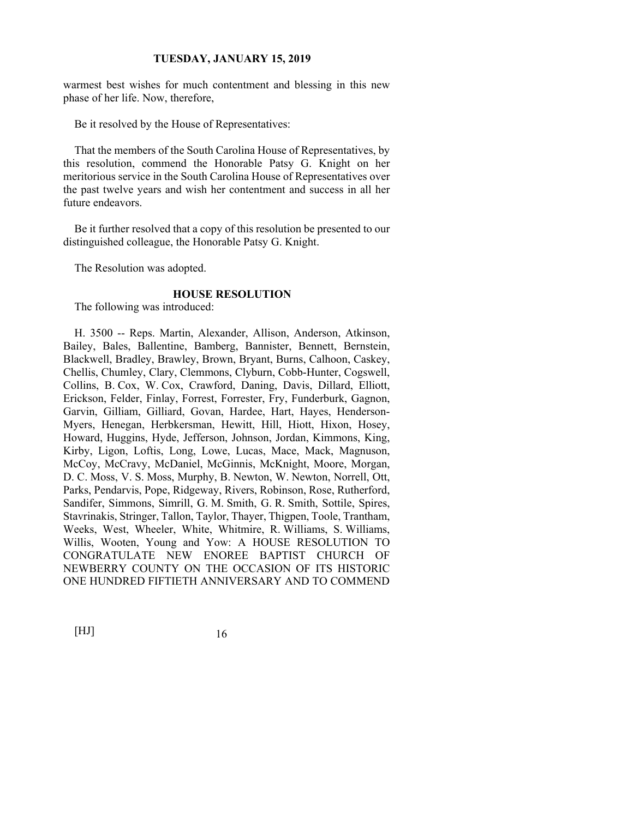warmest best wishes for much contentment and blessing in this new phase of her life. Now, therefore,

Be it resolved by the House of Representatives:

That the members of the South Carolina House of Representatives, by this resolution, commend the Honorable Patsy G. Knight on her meritorious service in the South Carolina House of Representatives over the past twelve years and wish her contentment and success in all her future endeavors.

Be it further resolved that a copy of this resolution be presented to our distinguished colleague, the Honorable Patsy G. Knight.

The Resolution was adopted.

#### **HOUSE RESOLUTION**

The following was introduced:

H. 3500 -- Reps. Martin, Alexander, Allison, Anderson, Atkinson, Bailey, Bales, Ballentine, Bamberg, Bannister, Bennett, Bernstein, Blackwell, Bradley, Brawley, Brown, Bryant, Burns, Calhoon, Caskey, Chellis, Chumley, Clary, Clemmons, Clyburn, Cobb-Hunter, Cogswell, Collins, B. Cox, W. Cox, Crawford, Daning, Davis, Dillard, Elliott, Erickson, Felder, Finlay, Forrest, Forrester, Fry, Funderburk, Gagnon, Garvin, Gilliam, Gilliard, Govan, Hardee, Hart, Hayes, Henderson-Myers, Henegan, Herbkersman, Hewitt, Hill, Hiott, Hixon, Hosey, Howard, Huggins, Hyde, Jefferson, Johnson, Jordan, Kimmons, King, Kirby, Ligon, Loftis, Long, Lowe, Lucas, Mace, Mack, Magnuson, McCoy, McCravy, McDaniel, McGinnis, McKnight, Moore, Morgan, D. C. Moss, V. S. Moss, Murphy, B. Newton, W. Newton, Norrell, Ott, Parks, Pendarvis, Pope, Ridgeway, Rivers, Robinson, Rose, Rutherford, Sandifer, Simmons, Simrill, G. M. Smith, G. R. Smith, Sottile, Spires, Stavrinakis, Stringer, Tallon, Taylor, Thayer, Thigpen, Toole, Trantham, Weeks, West, Wheeler, White, Whitmire, R. Williams, S. Williams, Willis, Wooten, Young and Yow: A HOUSE RESOLUTION TO CONGRATULATE NEW ENOREE BAPTIST CHURCH OF NEWBERRY COUNTY ON THE OCCASION OF ITS HISTORIC ONE HUNDRED FIFTIETH ANNIVERSARY AND TO COMMEND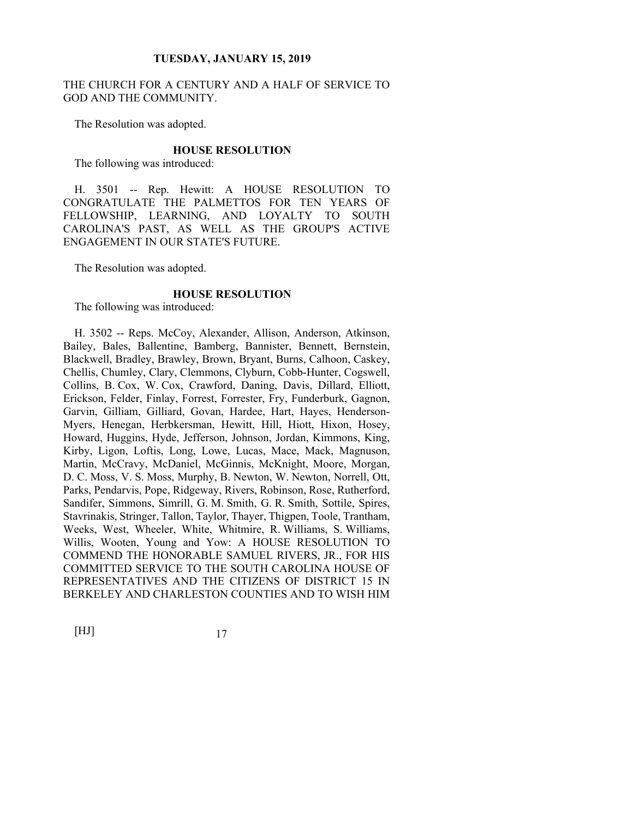## THE CHURCH FOR A CENTURY AND A HALF OF SERVICE TO GOD AND THE COMMUNITY.

The Resolution was adopted.

#### **HOUSE RESOLUTION**

The following was introduced:

H. 3501 -- Rep. Hewitt: A HOUSE RESOLUTION TO CONGRATULATE THE PALMETTOS FOR TEN YEARS OF FELLOWSHIP, LEARNING, AND LOYALTY TO SOUTH CAROLINA'S PAST, AS WELL AS THE GROUP'S ACTIVE ENGAGEMENT IN OUR STATE'S FUTURE.

The Resolution was adopted.

#### **HOUSE RESOLUTION**

The following was introduced:

H. 3502 -- Reps. McCoy, Alexander, Allison, Anderson, Atkinson, Bailey, Bales, Ballentine, Bamberg, Bannister, Bennett, Bernstein, Blackwell, Bradley, Brawley, Brown, Bryant, Burns, Calhoon, Caskey, Chellis, Chumley, Clary, Clemmons, Clyburn, Cobb-Hunter, Cogswell, Collins, B. Cox, W. Cox, Crawford, Daning, Davis, Dillard, Elliott, Erickson, Felder, Finlay, Forrest, Forrester, Fry, Funderburk, Gagnon, Garvin, Gilliam, Gilliard, Govan, Hardee, Hart, Hayes, Henderson-Myers, Henegan, Herbkersman, Hewitt, Hill, Hiott, Hixon, Hosey, Howard, Huggins, Hyde, Jefferson, Johnson, Jordan, Kimmons, King, Kirby, Ligon, Loftis, Long, Lowe, Lucas, Mace, Mack, Magnuson, Martin, McCravy, McDaniel, McGinnis, McKnight, Moore, Morgan, D. C. Moss, V. S. Moss, Murphy, B. Newton, W. Newton, Norrell, Ott, Parks, Pendarvis, Pope, Ridgeway, Rivers, Robinson, Rose, Rutherford, Sandifer, Simmons, Simrill, G. M. Smith, G. R. Smith, Sottile, Spires, Stavrinakis, Stringer, Tallon, Taylor, Thayer, Thigpen, Toole, Trantham, Weeks, West, Wheeler, White, Whitmire, R. Williams, S. Williams, Willis, Wooten, Young and Yow: A HOUSE RESOLUTION TO COMMEND THE HONORABLE SAMUEL RIVERS, JR., FOR HIS COMMITTED SERVICE TO THE SOUTH CAROLINA HOUSE OF REPRESENTATIVES AND THE CITIZENS OF DISTRICT 15 IN BERKELEY AND CHARLESTON COUNTIES AND TO WISH HIM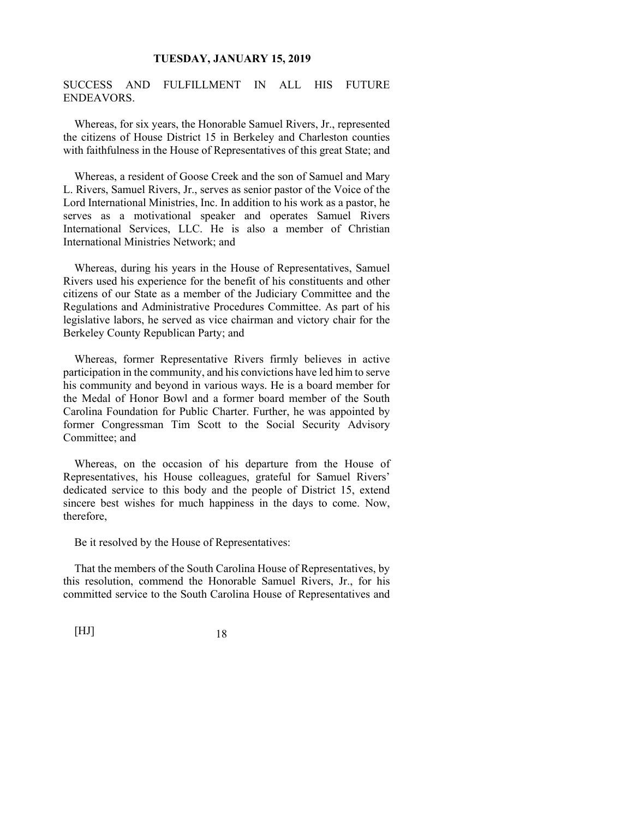SUCCESS AND FULFILLMENT IN ALL HIS FUTURE ENDEAVORS.

Whereas, for six years, the Honorable Samuel Rivers, Jr., represented the citizens of House District 15 in Berkeley and Charleston counties with faithfulness in the House of Representatives of this great State; and

Whereas, a resident of Goose Creek and the son of Samuel and Mary L. Rivers, Samuel Rivers, Jr., serves as senior pastor of the Voice of the Lord International Ministries, Inc. In addition to his work as a pastor, he serves as a motivational speaker and operates Samuel Rivers International Services, LLC. He is also a member of Christian International Ministries Network; and

Whereas, during his years in the House of Representatives, Samuel Rivers used his experience for the benefit of his constituents and other citizens of our State as a member of the Judiciary Committee and the Regulations and Administrative Procedures Committee. As part of his legislative labors, he served as vice chairman and victory chair for the Berkeley County Republican Party; and

Whereas, former Representative Rivers firmly believes in active participation in the community, and his convictions have led him to serve his community and beyond in various ways. He is a board member for the Medal of Honor Bowl and a former board member of the South Carolina Foundation for Public Charter. Further, he was appointed by former Congressman Tim Scott to the Social Security Advisory Committee; and

Whereas, on the occasion of his departure from the House of Representatives, his House colleagues, grateful for Samuel Rivers' dedicated service to this body and the people of District 15, extend sincere best wishes for much happiness in the days to come. Now, therefore,

Be it resolved by the House of Representatives:

That the members of the South Carolina House of Representatives, by this resolution, commend the Honorable Samuel Rivers, Jr., for his committed service to the South Carolina House of Representatives and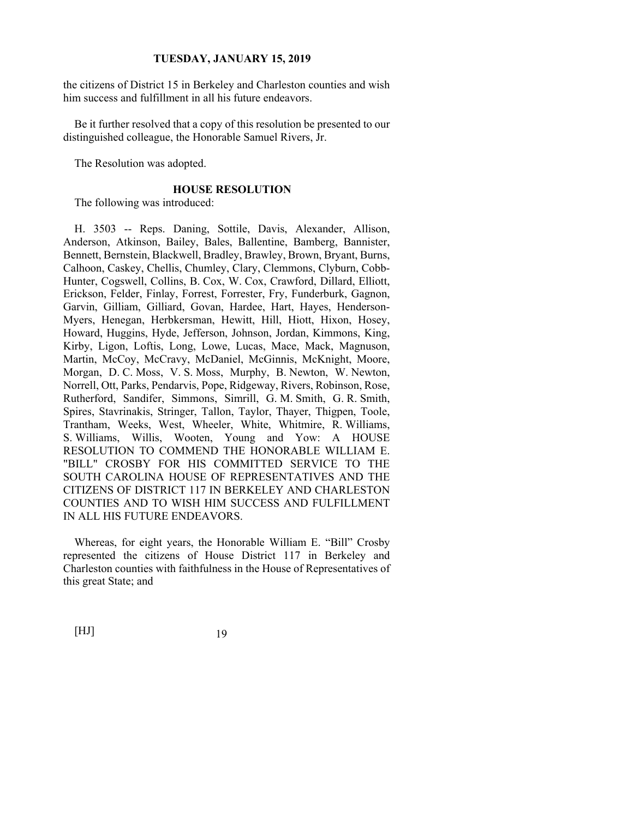the citizens of District 15 in Berkeley and Charleston counties and wish him success and fulfillment in all his future endeavors.

Be it further resolved that a copy of this resolution be presented to our distinguished colleague, the Honorable Samuel Rivers, Jr.

The Resolution was adopted.

### **HOUSE RESOLUTION**

The following was introduced:

H. 3503 -- Reps. Daning, Sottile, Davis, Alexander, Allison, Anderson, Atkinson, Bailey, Bales, Ballentine, Bamberg, Bannister, Bennett, Bernstein, Blackwell, Bradley, Brawley, Brown, Bryant, Burns, Calhoon, Caskey, Chellis, Chumley, Clary, Clemmons, Clyburn, Cobb-Hunter, Cogswell, Collins, B. Cox, W. Cox, Crawford, Dillard, Elliott, Erickson, Felder, Finlay, Forrest, Forrester, Fry, Funderburk, Gagnon, Garvin, Gilliam, Gilliard, Govan, Hardee, Hart, Hayes, Henderson-Myers, Henegan, Herbkersman, Hewitt, Hill, Hiott, Hixon, Hosey, Howard, Huggins, Hyde, Jefferson, Johnson, Jordan, Kimmons, King, Kirby, Ligon, Loftis, Long, Lowe, Lucas, Mace, Mack, Magnuson, Martin, McCoy, McCravy, McDaniel, McGinnis, McKnight, Moore, Morgan, D. C. Moss, V. S. Moss, Murphy, B. Newton, W. Newton, Norrell, Ott, Parks, Pendarvis, Pope, Ridgeway, Rivers, Robinson, Rose, Rutherford, Sandifer, Simmons, Simrill, G. M. Smith, G. R. Smith, Spires, Stavrinakis, Stringer, Tallon, Taylor, Thayer, Thigpen, Toole, Trantham, Weeks, West, Wheeler, White, Whitmire, R. Williams, S. Williams, Willis, Wooten, Young and Yow: A HOUSE RESOLUTION TO COMMEND THE HONORABLE WILLIAM E. "BILL" CROSBY FOR HIS COMMITTED SERVICE TO THE SOUTH CAROLINA HOUSE OF REPRESENTATIVES AND THE CITIZENS OF DISTRICT 117 IN BERKELEY AND CHARLESTON COUNTIES AND TO WISH HIM SUCCESS AND FULFILLMENT IN ALL HIS FUTURE ENDEAVORS.

Whereas, for eight years, the Honorable William E. "Bill" Crosby represented the citizens of House District 117 in Berkeley and Charleston counties with faithfulness in the House of Representatives of this great State; and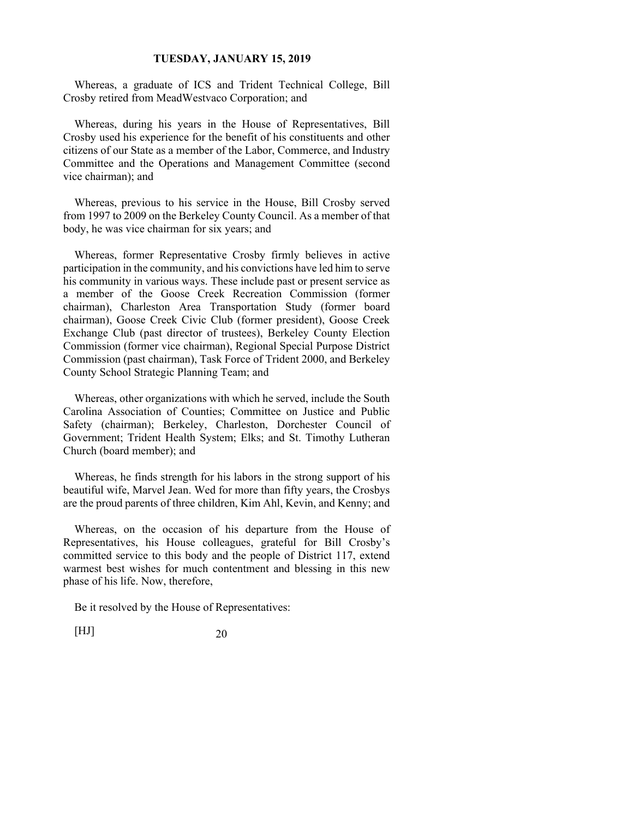Whereas, a graduate of ICS and Trident Technical College, Bill Crosby retired from MeadWestvaco Corporation; and

Whereas, during his years in the House of Representatives, Bill Crosby used his experience for the benefit of his constituents and other citizens of our State as a member of the Labor, Commerce, and Industry Committee and the Operations and Management Committee (second vice chairman); and

Whereas, previous to his service in the House, Bill Crosby served from 1997 to 2009 on the Berkeley County Council. As a member of that body, he was vice chairman for six years; and

Whereas, former Representative Crosby firmly believes in active participation in the community, and his convictions have led him to serve his community in various ways. These include past or present service as a member of the Goose Creek Recreation Commission (former chairman), Charleston Area Transportation Study (former board chairman), Goose Creek Civic Club (former president), Goose Creek Exchange Club (past director of trustees), Berkeley County Election Commission (former vice chairman), Regional Special Purpose District Commission (past chairman), Task Force of Trident 2000, and Berkeley County School Strategic Planning Team; and

Whereas, other organizations with which he served, include the South Carolina Association of Counties; Committee on Justice and Public Safety (chairman); Berkeley, Charleston, Dorchester Council of Government; Trident Health System; Elks; and St. Timothy Lutheran Church (board member); and

Whereas, he finds strength for his labors in the strong support of his beautiful wife, Marvel Jean. Wed for more than fifty years, the Crosbys are the proud parents of three children, Kim Ahl, Kevin, and Kenny; and

Whereas, on the occasion of his departure from the House of Representatives, his House colleagues, grateful for Bill Crosby's committed service to this body and the people of District 117, extend warmest best wishes for much contentment and blessing in this new phase of his life. Now, therefore,

Be it resolved by the House of Representatives: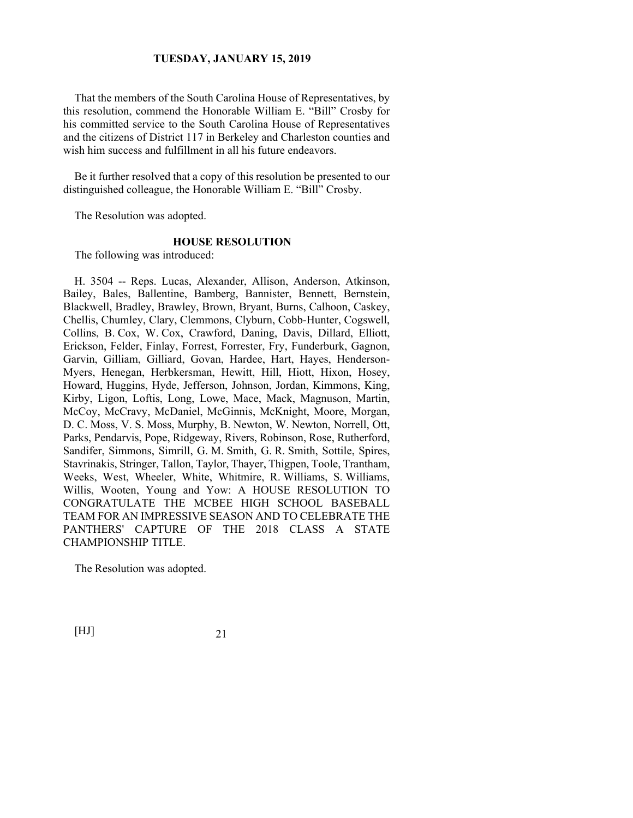That the members of the South Carolina House of Representatives, by this resolution, commend the Honorable William E. "Bill" Crosby for his committed service to the South Carolina House of Representatives and the citizens of District 117 in Berkeley and Charleston counties and wish him success and fulfillment in all his future endeavors.

Be it further resolved that a copy of this resolution be presented to our distinguished colleague, the Honorable William E. "Bill" Crosby.

The Resolution was adopted.

# **HOUSE RESOLUTION**

The following was introduced:

H. 3504 -- Reps. Lucas, Alexander, Allison, Anderson, Atkinson, Bailey, Bales, Ballentine, Bamberg, Bannister, Bennett, Bernstein, Blackwell, Bradley, Brawley, Brown, Bryant, Burns, Calhoon, Caskey, Chellis, Chumley, Clary, Clemmons, Clyburn, Cobb-Hunter, Cogswell, Collins, B. Cox, W. Cox, Crawford, Daning, Davis, Dillard, Elliott, Erickson, Felder, Finlay, Forrest, Forrester, Fry, Funderburk, Gagnon, Garvin, Gilliam, Gilliard, Govan, Hardee, Hart, Hayes, Henderson-Myers, Henegan, Herbkersman, Hewitt, Hill, Hiott, Hixon, Hosey, Howard, Huggins, Hyde, Jefferson, Johnson, Jordan, Kimmons, King, Kirby, Ligon, Loftis, Long, Lowe, Mace, Mack, Magnuson, Martin, McCoy, McCravy, McDaniel, McGinnis, McKnight, Moore, Morgan, D. C. Moss, V. S. Moss, Murphy, B. Newton, W. Newton, Norrell, Ott, Parks, Pendarvis, Pope, Ridgeway, Rivers, Robinson, Rose, Rutherford, Sandifer, Simmons, Simrill, G. M. Smith, G. R. Smith, Sottile, Spires, Stavrinakis, Stringer, Tallon, Taylor, Thayer, Thigpen, Toole, Trantham, Weeks, West, Wheeler, White, Whitmire, R. Williams, S. Williams, Willis, Wooten, Young and Yow: A HOUSE RESOLUTION TO CONGRATULATE THE MCBEE HIGH SCHOOL BASEBALL TEAM FOR AN IMPRESSIVE SEASON AND TO CELEBRATE THE PANTHERS' CAPTURE OF THE 2018 CLASS A STATE CHAMPIONSHIP TITLE.

The Resolution was adopted.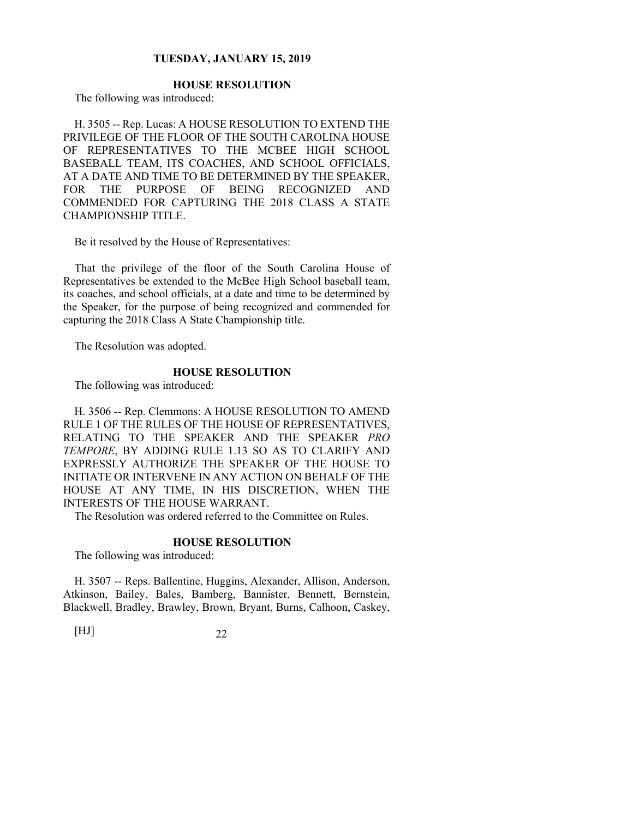# **HOUSE RESOLUTION**

The following was introduced:

H. 3505 -- Rep. Lucas: A HOUSE RESOLUTION TO EXTEND THE PRIVILEGE OF THE FLOOR OF THE SOUTH CAROLINA HOUSE OF REPRESENTATIVES TO THE MCBEE HIGH SCHOOL BASEBALL TEAM, ITS COACHES, AND SCHOOL OFFICIALS, AT A DATE AND TIME TO BE DETERMINED BY THE SPEAKER, FOR THE PURPOSE OF BEING RECOGNIZED AND COMMENDED FOR CAPTURING THE 2018 CLASS A STATE CHAMPIONSHIP TITLE.

Be it resolved by the House of Representatives:

That the privilege of the floor of the South Carolina House of Representatives be extended to the McBee High School baseball team, its coaches, and school officials, at a date and time to be determined by the Speaker, for the purpose of being recognized and commended for capturing the 2018 Class A State Championship title.

The Resolution was adopted.

#### **HOUSE RESOLUTION**

The following was introduced:

H. 3506 -- Rep. Clemmons: A HOUSE RESOLUTION TO AMEND RULE 1 OF THE RULES OF THE HOUSE OF REPRESENTATIVES, RELATING TO THE SPEAKER AND THE SPEAKER *PRO TEMPORE*, BY ADDING RULE 1.13 SO AS TO CLARIFY AND EXPRESSLY AUTHORIZE THE SPEAKER OF THE HOUSE TO INITIATE OR INTERVENE IN ANY ACTION ON BEHALF OF THE HOUSE AT ANY TIME, IN HIS DISCRETION, WHEN THE INTERESTS OF THE HOUSE WARRANT.

The Resolution was ordered referred to the Committee on Rules.

#### **HOUSE RESOLUTION**

The following was introduced:

H. 3507 -- Reps. Ballentine, Huggins, Alexander, Allison, Anderson, Atkinson, Bailey, Bales, Bamberg, Bannister, Bennett, Bernstein, Blackwell, Bradley, Brawley, Brown, Bryant, Burns, Calhoon, Caskey,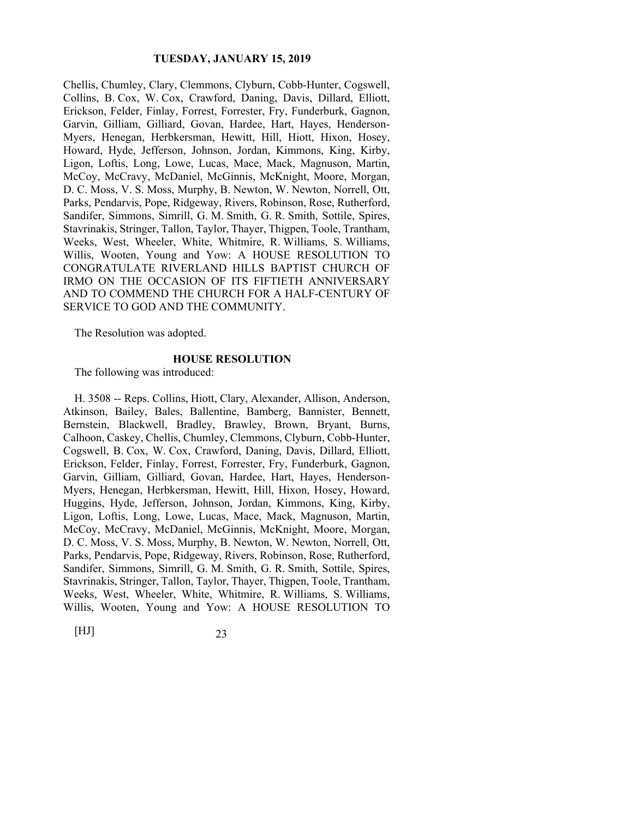Chellis, Chumley, Clary, Clemmons, Clyburn, Cobb-Hunter, Cogswell, Collins, B. Cox, W. Cox, Crawford, Daning, Davis, Dillard, Elliott, Erickson, Felder, Finlay, Forrest, Forrester, Fry, Funderburk, Gagnon, Garvin, Gilliam, Gilliard, Govan, Hardee, Hart, Hayes, Henderson-Myers, Henegan, Herbkersman, Hewitt, Hill, Hiott, Hixon, Hosey, Howard, Hyde, Jefferson, Johnson, Jordan, Kimmons, King, Kirby, Ligon, Loftis, Long, Lowe, Lucas, Mace, Mack, Magnuson, Martin, McCoy, McCravy, McDaniel, McGinnis, McKnight, Moore, Morgan, D. C. Moss, V. S. Moss, Murphy, B. Newton, W. Newton, Norrell, Ott, Parks, Pendarvis, Pope, Ridgeway, Rivers, Robinson, Rose, Rutherford, Sandifer, Simmons, Simrill, G. M. Smith, G. R. Smith, Sottile, Spires, Stavrinakis, Stringer, Tallon, Taylor, Thayer, Thigpen, Toole, Trantham, Weeks, West, Wheeler, White, Whitmire, R. Williams, S. Williams, Willis, Wooten, Young and Yow: A HOUSE RESOLUTION TO CONGRATULATE RIVERLAND HILLS BAPTIST CHURCH OF IRMO ON THE OCCASION OF ITS FIFTIETH ANNIVERSARY AND TO COMMEND THE CHURCH FOR A HALF-CENTURY OF SERVICE TO GOD AND THE COMMUNITY.

The Resolution was adopted.

#### **HOUSE RESOLUTION**

The following was introduced:

H. 3508 -- Reps. Collins, Hiott, Clary, Alexander, Allison, Anderson, Atkinson, Bailey, Bales, Ballentine, Bamberg, Bannister, Bennett, Bernstein, Blackwell, Bradley, Brawley, Brown, Bryant, Burns, Calhoon, Caskey, Chellis, Chumley, Clemmons, Clyburn, Cobb-Hunter, Cogswell, B. Cox, W. Cox, Crawford, Daning, Davis, Dillard, Elliott, Erickson, Felder, Finlay, Forrest, Forrester, Fry, Funderburk, Gagnon, Garvin, Gilliam, Gilliard, Govan, Hardee, Hart, Hayes, Henderson-Myers, Henegan, Herbkersman, Hewitt, Hill, Hixon, Hosey, Howard, Huggins, Hyde, Jefferson, Johnson, Jordan, Kimmons, King, Kirby, Ligon, Loftis, Long, Lowe, Lucas, Mace, Mack, Magnuson, Martin, McCoy, McCravy, McDaniel, McGinnis, McKnight, Moore, Morgan, D. C. Moss, V. S. Moss, Murphy, B. Newton, W. Newton, Norrell, Ott, Parks, Pendarvis, Pope, Ridgeway, Rivers, Robinson, Rose, Rutherford, Sandifer, Simmons, Simrill, G. M. Smith, G. R. Smith, Sottile, Spires, Stavrinakis, Stringer, Tallon, Taylor, Thayer, Thigpen, Toole, Trantham, Weeks, West, Wheeler, White, Whitmire, R. Williams, S. Williams, Willis, Wooten, Young and Yow: A HOUSE RESOLUTION TO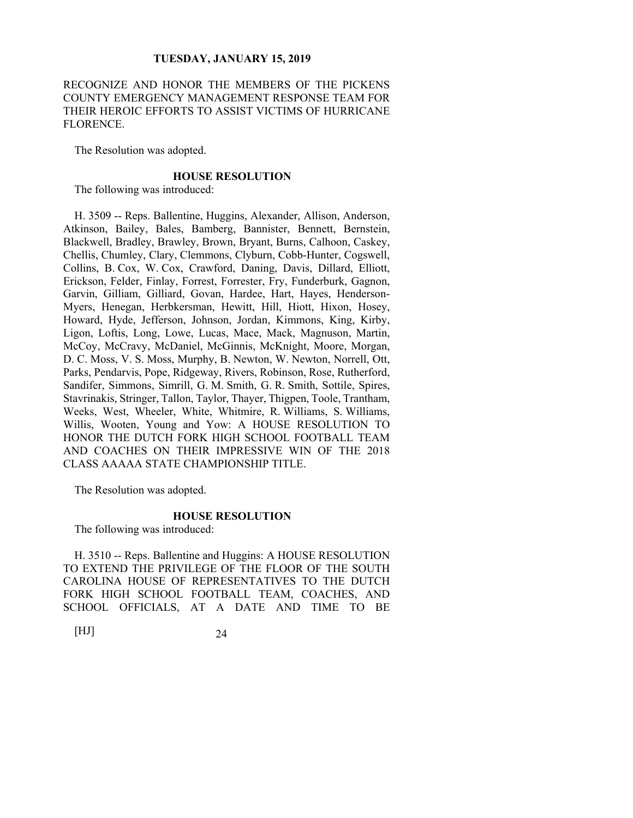RECOGNIZE AND HONOR THE MEMBERS OF THE PICKENS COUNTY EMERGENCY MANAGEMENT RESPONSE TEAM FOR THEIR HEROIC EFFORTS TO ASSIST VICTIMS OF HURRICANE FLORENCE.

The Resolution was adopted.

#### **HOUSE RESOLUTION**

The following was introduced:

H. 3509 -- Reps. Ballentine, Huggins, Alexander, Allison, Anderson, Atkinson, Bailey, Bales, Bamberg, Bannister, Bennett, Bernstein, Blackwell, Bradley, Brawley, Brown, Bryant, Burns, Calhoon, Caskey, Chellis, Chumley, Clary, Clemmons, Clyburn, Cobb-Hunter, Cogswell, Collins, B. Cox, W. Cox, Crawford, Daning, Davis, Dillard, Elliott, Erickson, Felder, Finlay, Forrest, Forrester, Fry, Funderburk, Gagnon, Garvin, Gilliam, Gilliard, Govan, Hardee, Hart, Hayes, Henderson-Myers, Henegan, Herbkersman, Hewitt, Hill, Hiott, Hixon, Hosey, Howard, Hyde, Jefferson, Johnson, Jordan, Kimmons, King, Kirby, Ligon, Loftis, Long, Lowe, Lucas, Mace, Mack, Magnuson, Martin, McCoy, McCravy, McDaniel, McGinnis, McKnight, Moore, Morgan, D. C. Moss, V. S. Moss, Murphy, B. Newton, W. Newton, Norrell, Ott, Parks, Pendarvis, Pope, Ridgeway, Rivers, Robinson, Rose, Rutherford, Sandifer, Simmons, Simrill, G. M. Smith, G. R. Smith, Sottile, Spires, Stavrinakis, Stringer, Tallon, Taylor, Thayer, Thigpen, Toole, Trantham, Weeks, West, Wheeler, White, Whitmire, R. Williams, S. Williams, Willis, Wooten, Young and Yow: A HOUSE RESOLUTION TO HONOR THE DUTCH FORK HIGH SCHOOL FOOTBALL TEAM AND COACHES ON THEIR IMPRESSIVE WIN OF THE 2018 CLASS AAAAA STATE CHAMPIONSHIP TITLE.

The Resolution was adopted.

# **HOUSE RESOLUTION**

The following was introduced:

H. 3510 -- Reps. Ballentine and Huggins: A HOUSE RESOLUTION TO EXTEND THE PRIVILEGE OF THE FLOOR OF THE SOUTH CAROLINA HOUSE OF REPRESENTATIVES TO THE DUTCH FORK HIGH SCHOOL FOOTBALL TEAM, COACHES, AND SCHOOL OFFICIALS, AT A DATE AND TIME TO BE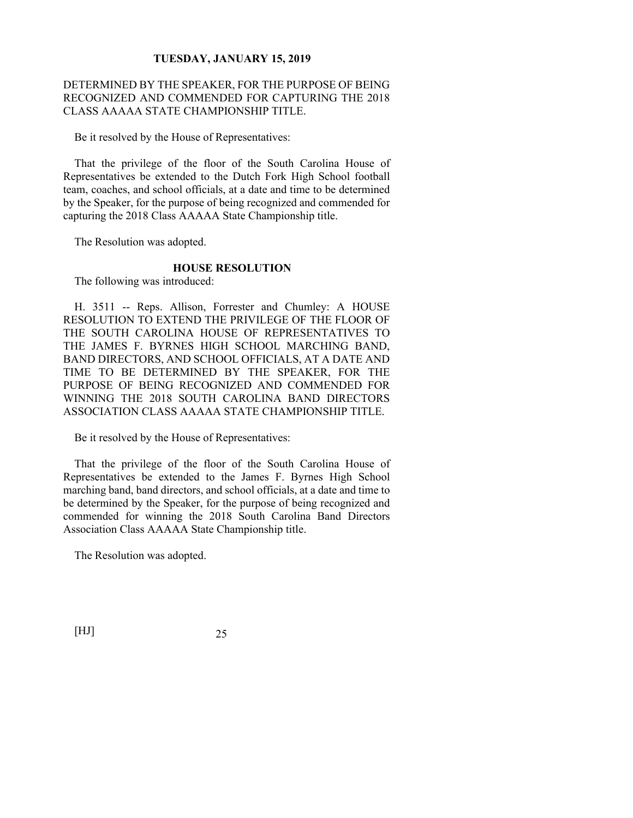# DETERMINED BY THE SPEAKER, FOR THE PURPOSE OF BEING RECOGNIZED AND COMMENDED FOR CAPTURING THE 2018 CLASS AAAAA STATE CHAMPIONSHIP TITLE.

Be it resolved by the House of Representatives:

That the privilege of the floor of the South Carolina House of Representatives be extended to the Dutch Fork High School football team, coaches, and school officials, at a date and time to be determined by the Speaker, for the purpose of being recognized and commended for capturing the 2018 Class AAAAA State Championship title.

The Resolution was adopted.

## **HOUSE RESOLUTION**

The following was introduced:

H. 3511 -- Reps. Allison, Forrester and Chumley: A HOUSE RESOLUTION TO EXTEND THE PRIVILEGE OF THE FLOOR OF THE SOUTH CAROLINA HOUSE OF REPRESENTATIVES TO THE JAMES F. BYRNES HIGH SCHOOL MARCHING BAND, BAND DIRECTORS, AND SCHOOL OFFICIALS, AT A DATE AND TIME TO BE DETERMINED BY THE SPEAKER, FOR THE PURPOSE OF BEING RECOGNIZED AND COMMENDED FOR WINNING THE 2018 SOUTH CAROLINA BAND DIRECTORS ASSOCIATION CLASS AAAAA STATE CHAMPIONSHIP TITLE.

Be it resolved by the House of Representatives:

That the privilege of the floor of the South Carolina House of Representatives be extended to the James F. Byrnes High School marching band, band directors, and school officials, at a date and time to be determined by the Speaker, for the purpose of being recognized and commended for winning the 2018 South Carolina Band Directors Association Class AAAAA State Championship title.

The Resolution was adopted.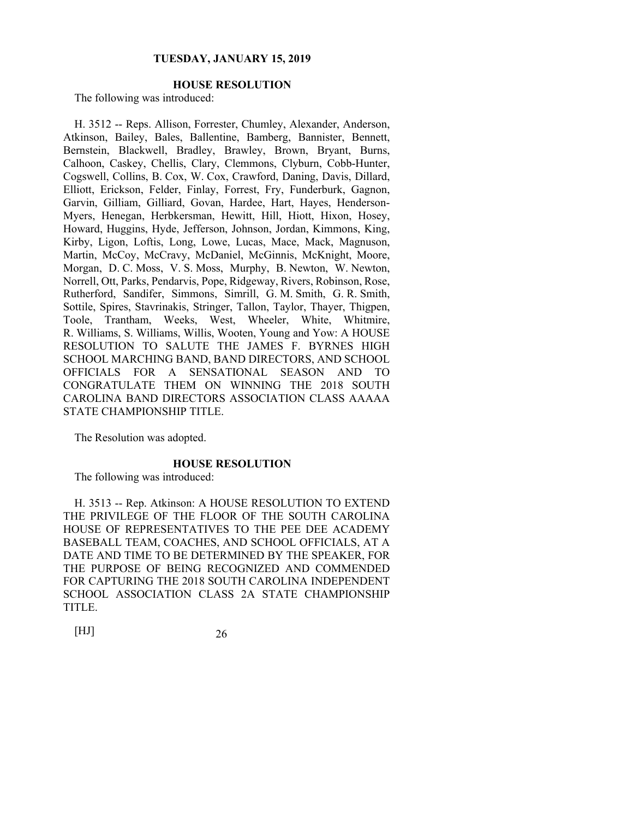# **HOUSE RESOLUTION**

The following was introduced:

H. 3512 -- Reps. Allison, Forrester, Chumley, Alexander, Anderson, Atkinson, Bailey, Bales, Ballentine, Bamberg, Bannister, Bennett, Bernstein, Blackwell, Bradley, Brawley, Brown, Bryant, Burns, Calhoon, Caskey, Chellis, Clary, Clemmons, Clyburn, Cobb-Hunter, Cogswell, Collins, B. Cox, W. Cox, Crawford, Daning, Davis, Dillard, Elliott, Erickson, Felder, Finlay, Forrest, Fry, Funderburk, Gagnon, Garvin, Gilliam, Gilliard, Govan, Hardee, Hart, Hayes, Henderson-Myers, Henegan, Herbkersman, Hewitt, Hill, Hiott, Hixon, Hosey, Howard, Huggins, Hyde, Jefferson, Johnson, Jordan, Kimmons, King, Kirby, Ligon, Loftis, Long, Lowe, Lucas, Mace, Mack, Magnuson, Martin, McCoy, McCravy, McDaniel, McGinnis, McKnight, Moore, Morgan, D. C. Moss, V. S. Moss, Murphy, B. Newton, W. Newton, Norrell, Ott, Parks, Pendarvis, Pope, Ridgeway, Rivers, Robinson, Rose, Rutherford, Sandifer, Simmons, Simrill, G. M. Smith, G. R. Smith, Sottile, Spires, Stavrinakis, Stringer, Tallon, Taylor, Thayer, Thigpen, Toole, Trantham, Weeks, West, Wheeler, White, Whitmire, R. Williams, S. Williams, Willis, Wooten, Young and Yow: A HOUSE RESOLUTION TO SALUTE THE JAMES F. BYRNES HIGH SCHOOL MARCHING BAND, BAND DIRECTORS, AND SCHOOL OFFICIALS FOR A SENSATIONAL SEASON AND TO CONGRATULATE THEM ON WINNING THE 2018 SOUTH CAROLINA BAND DIRECTORS ASSOCIATION CLASS AAAAA STATE CHAMPIONSHIP TITLE.

The Resolution was adopted.

## **HOUSE RESOLUTION**

The following was introduced:

H. 3513 -- Rep. Atkinson: A HOUSE RESOLUTION TO EXTEND THE PRIVILEGE OF THE FLOOR OF THE SOUTH CAROLINA HOUSE OF REPRESENTATIVES TO THE PEE DEE ACADEMY BASEBALL TEAM, COACHES, AND SCHOOL OFFICIALS, AT A DATE AND TIME TO BE DETERMINED BY THE SPEAKER, FOR THE PURPOSE OF BEING RECOGNIZED AND COMMENDED FOR CAPTURING THE 2018 SOUTH CAROLINA INDEPENDENT SCHOOL ASSOCIATION CLASS 2A STATE CHAMPIONSHIP TITLE.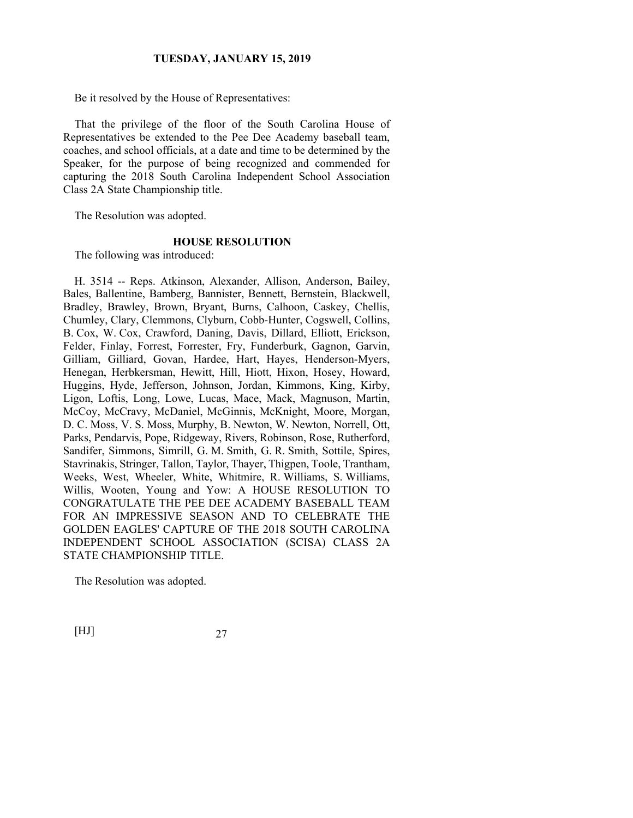Be it resolved by the House of Representatives:

That the privilege of the floor of the South Carolina House of Representatives be extended to the Pee Dee Academy baseball team, coaches, and school officials, at a date and time to be determined by the Speaker, for the purpose of being recognized and commended for capturing the 2018 South Carolina Independent School Association Class 2A State Championship title.

The Resolution was adopted.

#### **HOUSE RESOLUTION**

The following was introduced:

H. 3514 -- Reps. Atkinson, Alexander, Allison, Anderson, Bailey, Bales, Ballentine, Bamberg, Bannister, Bennett, Bernstein, Blackwell, Bradley, Brawley, Brown, Bryant, Burns, Calhoon, Caskey, Chellis, Chumley, Clary, Clemmons, Clyburn, Cobb-Hunter, Cogswell, Collins, B. Cox, W. Cox, Crawford, Daning, Davis, Dillard, Elliott, Erickson, Felder, Finlay, Forrest, Forrester, Fry, Funderburk, Gagnon, Garvin, Gilliam, Gilliard, Govan, Hardee, Hart, Hayes, Henderson-Myers, Henegan, Herbkersman, Hewitt, Hill, Hiott, Hixon, Hosey, Howard, Huggins, Hyde, Jefferson, Johnson, Jordan, Kimmons, King, Kirby, Ligon, Loftis, Long, Lowe, Lucas, Mace, Mack, Magnuson, Martin, McCoy, McCravy, McDaniel, McGinnis, McKnight, Moore, Morgan, D. C. Moss, V. S. Moss, Murphy, B. Newton, W. Newton, Norrell, Ott, Parks, Pendarvis, Pope, Ridgeway, Rivers, Robinson, Rose, Rutherford, Sandifer, Simmons, Simrill, G. M. Smith, G. R. Smith, Sottile, Spires, Stavrinakis, Stringer, Tallon, Taylor, Thayer, Thigpen, Toole, Trantham, Weeks, West, Wheeler, White, Whitmire, R. Williams, S. Williams, Willis, Wooten, Young and Yow: A HOUSE RESOLUTION TO CONGRATULATE THE PEE DEE ACADEMY BASEBALL TEAM FOR AN IMPRESSIVE SEASON AND TO CELEBRATE THE GOLDEN EAGLES' CAPTURE OF THE 2018 SOUTH CAROLINA INDEPENDENT SCHOOL ASSOCIATION (SCISA) CLASS 2A STATE CHAMPIONSHIP TITLE.

The Resolution was adopted.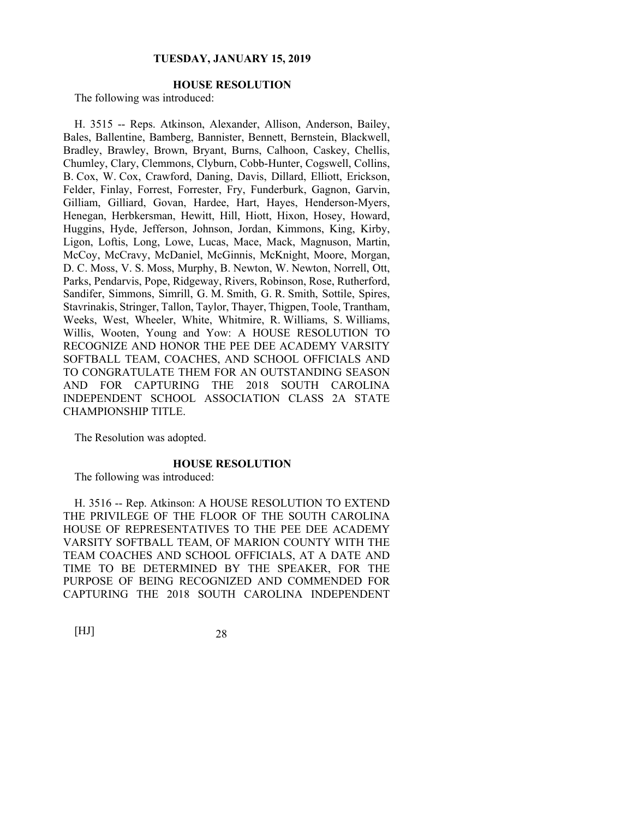# **HOUSE RESOLUTION**

The following was introduced:

H. 3515 -- Reps. Atkinson, Alexander, Allison, Anderson, Bailey, Bales, Ballentine, Bamberg, Bannister, Bennett, Bernstein, Blackwell, Bradley, Brawley, Brown, Bryant, Burns, Calhoon, Caskey, Chellis, Chumley, Clary, Clemmons, Clyburn, Cobb-Hunter, Cogswell, Collins, B. Cox, W. Cox, Crawford, Daning, Davis, Dillard, Elliott, Erickson, Felder, Finlay, Forrest, Forrester, Fry, Funderburk, Gagnon, Garvin, Gilliam, Gilliard, Govan, Hardee, Hart, Hayes, Henderson-Myers, Henegan, Herbkersman, Hewitt, Hill, Hiott, Hixon, Hosey, Howard, Huggins, Hyde, Jefferson, Johnson, Jordan, Kimmons, King, Kirby, Ligon, Loftis, Long, Lowe, Lucas, Mace, Mack, Magnuson, Martin, McCoy, McCravy, McDaniel, McGinnis, McKnight, Moore, Morgan, D. C. Moss, V. S. Moss, Murphy, B. Newton, W. Newton, Norrell, Ott, Parks, Pendarvis, Pope, Ridgeway, Rivers, Robinson, Rose, Rutherford, Sandifer, Simmons, Simrill, G. M. Smith, G. R. Smith, Sottile, Spires, Stavrinakis, Stringer, Tallon, Taylor, Thayer, Thigpen, Toole, Trantham, Weeks, West, Wheeler, White, Whitmire, R. Williams, S. Williams, Willis, Wooten, Young and Yow: A HOUSE RESOLUTION TO RECOGNIZE AND HONOR THE PEE DEE ACADEMY VARSITY SOFTBALL TEAM, COACHES, AND SCHOOL OFFICIALS AND TO CONGRATULATE THEM FOR AN OUTSTANDING SEASON AND FOR CAPTURING THE 2018 SOUTH CAROLINA INDEPENDENT SCHOOL ASSOCIATION CLASS 2A STATE CHAMPIONSHIP TITLE.

The Resolution was adopted.

## **HOUSE RESOLUTION**

The following was introduced:

H. 3516 -- Rep. Atkinson: A HOUSE RESOLUTION TO EXTEND THE PRIVILEGE OF THE FLOOR OF THE SOUTH CAROLINA HOUSE OF REPRESENTATIVES TO THE PEE DEE ACADEMY VARSITY SOFTBALL TEAM, OF MARION COUNTY WITH THE TEAM COACHES AND SCHOOL OFFICIALS, AT A DATE AND TIME TO BE DETERMINED BY THE SPEAKER, FOR THE PURPOSE OF BEING RECOGNIZED AND COMMENDED FOR CAPTURING THE 2018 SOUTH CAROLINA INDEPENDENT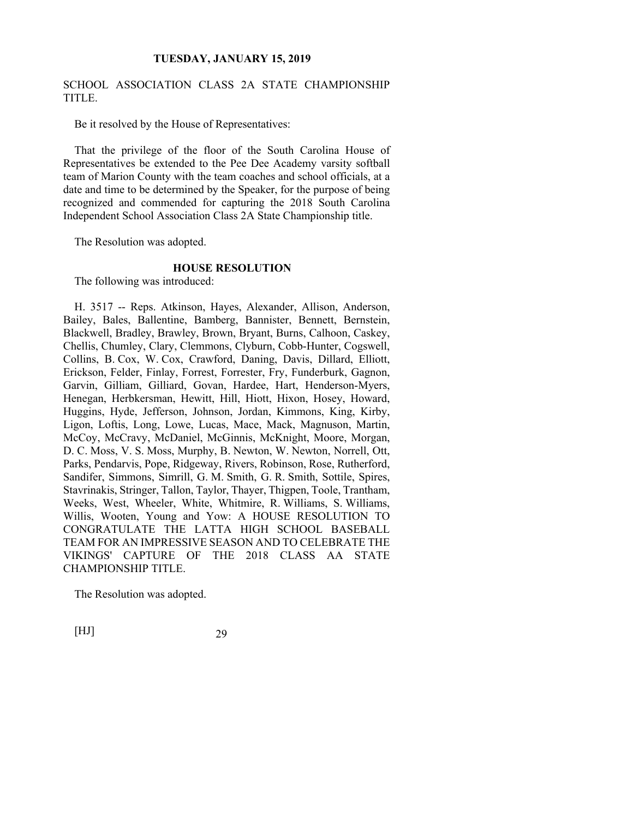# SCHOOL ASSOCIATION CLASS 2A STATE CHAMPIONSHIP TITLE.

Be it resolved by the House of Representatives:

That the privilege of the floor of the South Carolina House of Representatives be extended to the Pee Dee Academy varsity softball team of Marion County with the team coaches and school officials, at a date and time to be determined by the Speaker, for the purpose of being recognized and commended for capturing the 2018 South Carolina Independent School Association Class 2A State Championship title.

The Resolution was adopted.

#### **HOUSE RESOLUTION**

The following was introduced:

H. 3517 -- Reps. Atkinson, Hayes, Alexander, Allison, Anderson, Bailey, Bales, Ballentine, Bamberg, Bannister, Bennett, Bernstein, Blackwell, Bradley, Brawley, Brown, Bryant, Burns, Calhoon, Caskey, Chellis, Chumley, Clary, Clemmons, Clyburn, Cobb-Hunter, Cogswell, Collins, B. Cox, W. Cox, Crawford, Daning, Davis, Dillard, Elliott, Erickson, Felder, Finlay, Forrest, Forrester, Fry, Funderburk, Gagnon, Garvin, Gilliam, Gilliard, Govan, Hardee, Hart, Henderson-Myers, Henegan, Herbkersman, Hewitt, Hill, Hiott, Hixon, Hosey, Howard, Huggins, Hyde, Jefferson, Johnson, Jordan, Kimmons, King, Kirby, Ligon, Loftis, Long, Lowe, Lucas, Mace, Mack, Magnuson, Martin, McCoy, McCravy, McDaniel, McGinnis, McKnight, Moore, Morgan, D. C. Moss, V. S. Moss, Murphy, B. Newton, W. Newton, Norrell, Ott, Parks, Pendarvis, Pope, Ridgeway, Rivers, Robinson, Rose, Rutherford, Sandifer, Simmons, Simrill, G. M. Smith, G. R. Smith, Sottile, Spires, Stavrinakis, Stringer, Tallon, Taylor, Thayer, Thigpen, Toole, Trantham, Weeks, West, Wheeler, White, Whitmire, R. Williams, S. Williams, Willis, Wooten, Young and Yow: A HOUSE RESOLUTION TO CONGRATULATE THE LATTA HIGH SCHOOL BASEBALL TEAM FOR AN IMPRESSIVE SEASON AND TO CELEBRATE THE VIKINGS' CAPTURE OF THE 2018 CLASS AA STATE CHAMPIONSHIP TITLE.

The Resolution was adopted.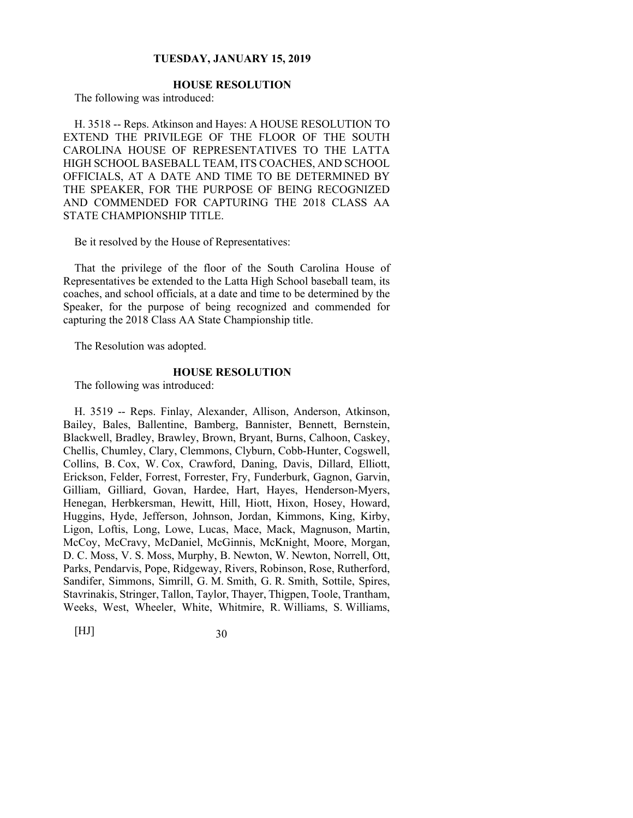# **HOUSE RESOLUTION**

The following was introduced:

H. 3518 -- Reps. Atkinson and Hayes: A HOUSE RESOLUTION TO EXTEND THE PRIVILEGE OF THE FLOOR OF THE SOUTH CAROLINA HOUSE OF REPRESENTATIVES TO THE LATTA HIGH SCHOOL BASEBALL TEAM, ITS COACHES, AND SCHOOL OFFICIALS, AT A DATE AND TIME TO BE DETERMINED BY THE SPEAKER, FOR THE PURPOSE OF BEING RECOGNIZED AND COMMENDED FOR CAPTURING THE 2018 CLASS AA STATE CHAMPIONSHIP TITLE.

Be it resolved by the House of Representatives:

That the privilege of the floor of the South Carolina House of Representatives be extended to the Latta High School baseball team, its coaches, and school officials, at a date and time to be determined by the Speaker, for the purpose of being recognized and commended for capturing the 2018 Class AA State Championship title.

The Resolution was adopted.

#### **HOUSE RESOLUTION**

The following was introduced:

H. 3519 -- Reps. Finlay, Alexander, Allison, Anderson, Atkinson, Bailey, Bales, Ballentine, Bamberg, Bannister, Bennett, Bernstein, Blackwell, Bradley, Brawley, Brown, Bryant, Burns, Calhoon, Caskey, Chellis, Chumley, Clary, Clemmons, Clyburn, Cobb-Hunter, Cogswell, Collins, B. Cox, W. Cox, Crawford, Daning, Davis, Dillard, Elliott, Erickson, Felder, Forrest, Forrester, Fry, Funderburk, Gagnon, Garvin, Gilliam, Gilliard, Govan, Hardee, Hart, Hayes, Henderson-Myers, Henegan, Herbkersman, Hewitt, Hill, Hiott, Hixon, Hosey, Howard, Huggins, Hyde, Jefferson, Johnson, Jordan, Kimmons, King, Kirby, Ligon, Loftis, Long, Lowe, Lucas, Mace, Mack, Magnuson, Martin, McCoy, McCravy, McDaniel, McGinnis, McKnight, Moore, Morgan, D. C. Moss, V. S. Moss, Murphy, B. Newton, W. Newton, Norrell, Ott, Parks, Pendarvis, Pope, Ridgeway, Rivers, Robinson, Rose, Rutherford, Sandifer, Simmons, Simrill, G. M. Smith, G. R. Smith, Sottile, Spires, Stavrinakis, Stringer, Tallon, Taylor, Thayer, Thigpen, Toole, Trantham, Weeks, West, Wheeler, White, Whitmire, R. Williams, S. Williams,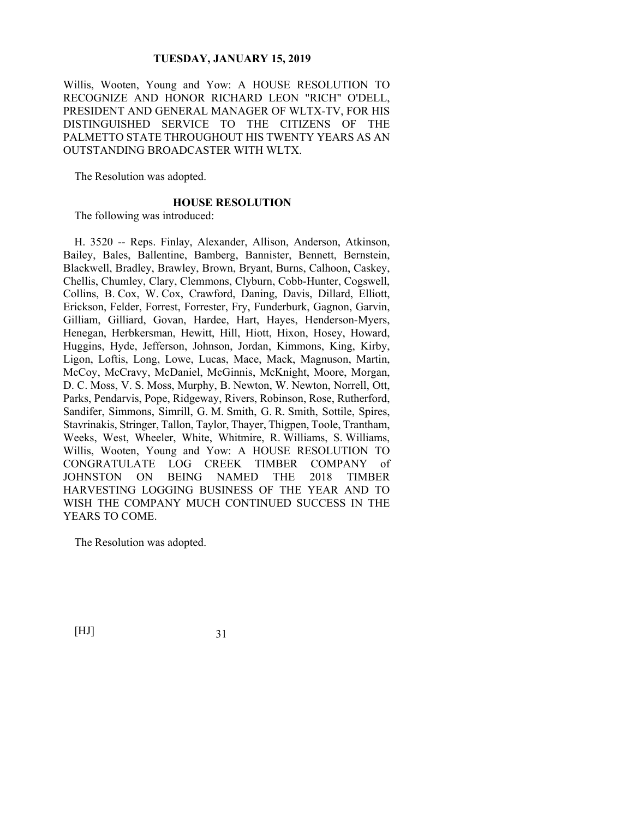Willis, Wooten, Young and Yow: A HOUSE RESOLUTION TO RECOGNIZE AND HONOR RICHARD LEON "RICH" O'DELL, PRESIDENT AND GENERAL MANAGER OF WLTX-TV, FOR HIS DISTINGUISHED SERVICE TO THE CITIZENS OF THE PALMETTO STATE THROUGHOUT HIS TWENTY YEARS AS AN OUTSTANDING BROADCASTER WITH WLTX.

The Resolution was adopted.

#### **HOUSE RESOLUTION**

The following was introduced:

H. 3520 -- Reps. Finlay, Alexander, Allison, Anderson, Atkinson, Bailey, Bales, Ballentine, Bamberg, Bannister, Bennett, Bernstein, Blackwell, Bradley, Brawley, Brown, Bryant, Burns, Calhoon, Caskey, Chellis, Chumley, Clary, Clemmons, Clyburn, Cobb-Hunter, Cogswell, Collins, B. Cox, W. Cox, Crawford, Daning, Davis, Dillard, Elliott, Erickson, Felder, Forrest, Forrester, Fry, Funderburk, Gagnon, Garvin, Gilliam, Gilliard, Govan, Hardee, Hart, Hayes, Henderson-Myers, Henegan, Herbkersman, Hewitt, Hill, Hiott, Hixon, Hosey, Howard, Huggins, Hyde, Jefferson, Johnson, Jordan, Kimmons, King, Kirby, Ligon, Loftis, Long, Lowe, Lucas, Mace, Mack, Magnuson, Martin, McCoy, McCravy, McDaniel, McGinnis, McKnight, Moore, Morgan, D. C. Moss, V. S. Moss, Murphy, B. Newton, W. Newton, Norrell, Ott, Parks, Pendarvis, Pope, Ridgeway, Rivers, Robinson, Rose, Rutherford, Sandifer, Simmons, Simrill, G. M. Smith, G. R. Smith, Sottile, Spires, Stavrinakis, Stringer, Tallon, Taylor, Thayer, Thigpen, Toole, Trantham, Weeks, West, Wheeler, White, Whitmire, R. Williams, S. Williams, Willis, Wooten, Young and Yow: A HOUSE RESOLUTION TO CONGRATULATE LOG CREEK TIMBER COMPANY of JOHNSTON ON BEING NAMED THE 2018 TIMBER HARVESTING LOGGING BUSINESS OF THE YEAR AND TO WISH THE COMPANY MUCH CONTINUED SUCCESS IN THE YEARS TO COME.

The Resolution was adopted.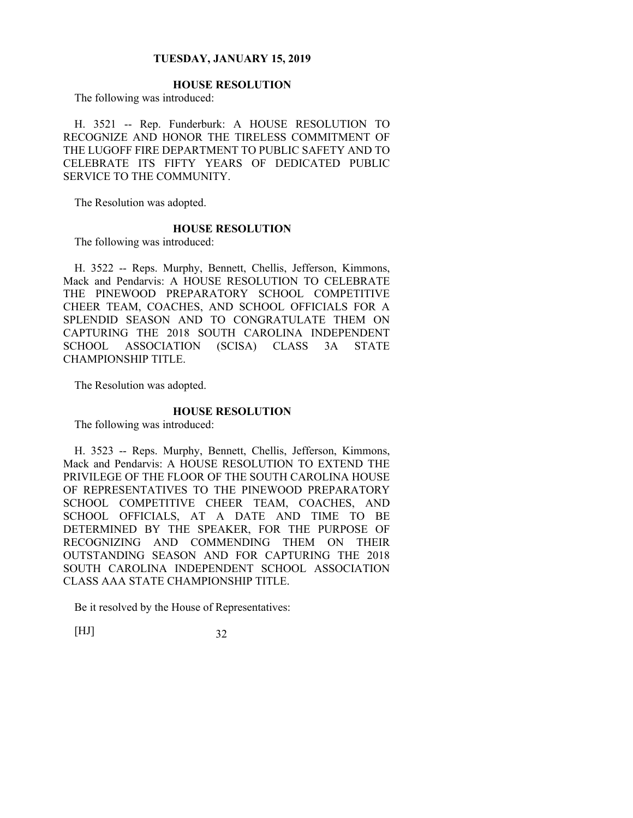# **HOUSE RESOLUTION**

The following was introduced:

H. 3521 -- Rep. Funderburk: A HOUSE RESOLUTION TO RECOGNIZE AND HONOR THE TIRELESS COMMITMENT OF THE LUGOFF FIRE DEPARTMENT TO PUBLIC SAFETY AND TO CELEBRATE ITS FIFTY YEARS OF DEDICATED PUBLIC SERVICE TO THE COMMUNITY.

The Resolution was adopted.

#### **HOUSE RESOLUTION**

The following was introduced:

H. 3522 -- Reps. Murphy, Bennett, Chellis, Jefferson, Kimmons, Mack and Pendarvis: A HOUSE RESOLUTION TO CELEBRATE THE PINEWOOD PREPARATORY SCHOOL COMPETITIVE CHEER TEAM, COACHES, AND SCHOOL OFFICIALS FOR A SPLENDID SEASON AND TO CONGRATULATE THEM ON CAPTURING THE 2018 SOUTH CAROLINA INDEPENDENT SCHOOL ASSOCIATION (SCISA) CLASS 3A STATE CHAMPIONSHIP TITLE.

The Resolution was adopted.

## **HOUSE RESOLUTION**

The following was introduced:

H. 3523 -- Reps. Murphy, Bennett, Chellis, Jefferson, Kimmons, Mack and Pendarvis: A HOUSE RESOLUTION TO EXTEND THE PRIVILEGE OF THE FLOOR OF THE SOUTH CAROLINA HOUSE OF REPRESENTATIVES TO THE PINEWOOD PREPARATORY SCHOOL COMPETITIVE CHEER TEAM, COACHES, AND SCHOOL OFFICIALS, AT A DATE AND TIME TO BE DETERMINED BY THE SPEAKER, FOR THE PURPOSE OF RECOGNIZING AND COMMENDING THEM ON THEIR OUTSTANDING SEASON AND FOR CAPTURING THE 2018 SOUTH CAROLINA INDEPENDENT SCHOOL ASSOCIATION CLASS AAA STATE CHAMPIONSHIP TITLE.

Be it resolved by the House of Representatives: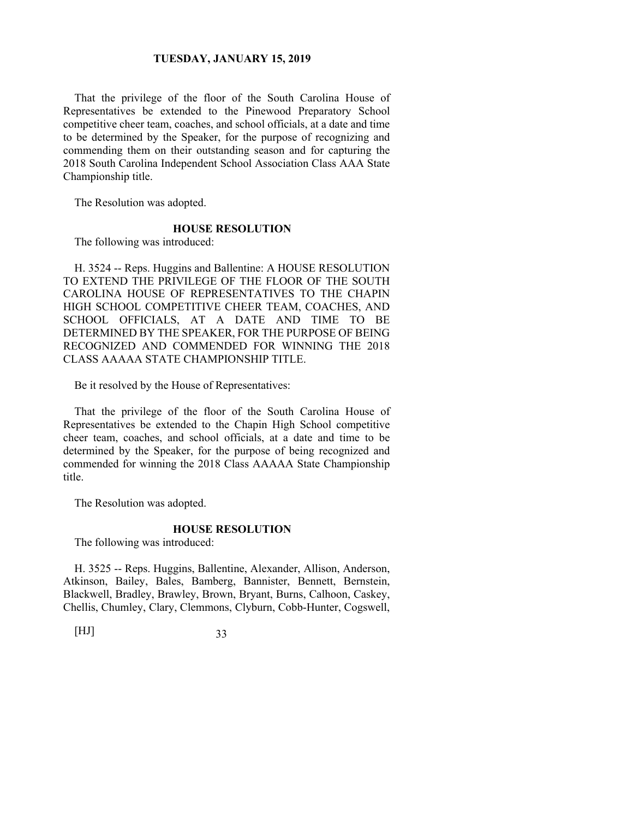That the privilege of the floor of the South Carolina House of Representatives be extended to the Pinewood Preparatory School competitive cheer team, coaches, and school officials, at a date and time to be determined by the Speaker, for the purpose of recognizing and commending them on their outstanding season and for capturing the 2018 South Carolina Independent School Association Class AAA State Championship title.

The Resolution was adopted.

#### **HOUSE RESOLUTION**

The following was introduced:

H. 3524 -- Reps. Huggins and Ballentine: A HOUSE RESOLUTION TO EXTEND THE PRIVILEGE OF THE FLOOR OF THE SOUTH CAROLINA HOUSE OF REPRESENTATIVES TO THE CHAPIN HIGH SCHOOL COMPETITIVE CHEER TEAM, COACHES, AND SCHOOL OFFICIALS, AT A DATE AND TIME TO BE DETERMINED BY THE SPEAKER, FOR THE PURPOSE OF BEING RECOGNIZED AND COMMENDED FOR WINNING THE 2018 CLASS AAAAA STATE CHAMPIONSHIP TITLE.

Be it resolved by the House of Representatives:

That the privilege of the floor of the South Carolina House of Representatives be extended to the Chapin High School competitive cheer team, coaches, and school officials, at a date and time to be determined by the Speaker, for the purpose of being recognized and commended for winning the 2018 Class AAAAA State Championship title.

The Resolution was adopted.

#### **HOUSE RESOLUTION**

The following was introduced:

H. 3525 -- Reps. Huggins, Ballentine, Alexander, Allison, Anderson, Atkinson, Bailey, Bales, Bamberg, Bannister, Bennett, Bernstein, Blackwell, Bradley, Brawley, Brown, Bryant, Burns, Calhoon, Caskey, Chellis, Chumley, Clary, Clemmons, Clyburn, Cobb-Hunter, Cogswell,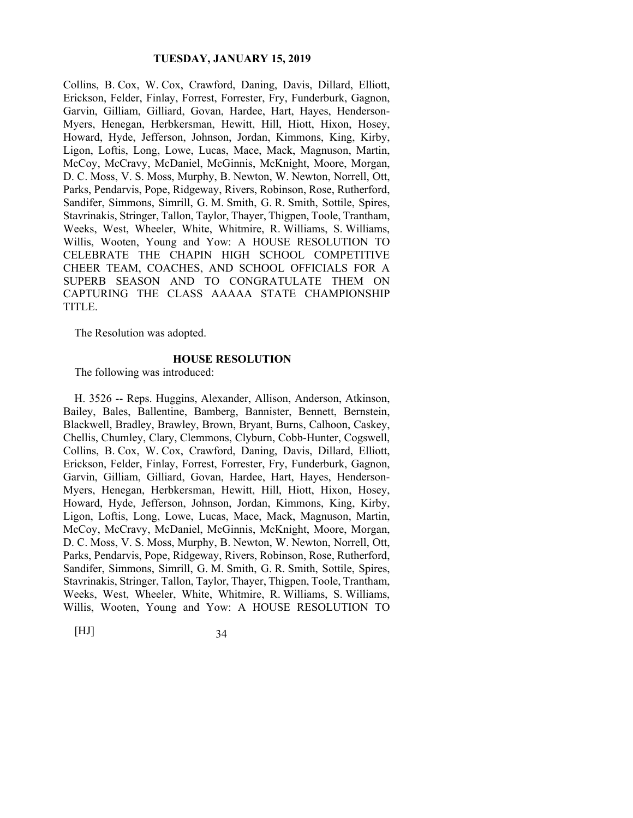Collins, B. Cox, W. Cox, Crawford, Daning, Davis, Dillard, Elliott, Erickson, Felder, Finlay, Forrest, Forrester, Fry, Funderburk, Gagnon, Garvin, Gilliam, Gilliard, Govan, Hardee, Hart, Hayes, Henderson-Myers, Henegan, Herbkersman, Hewitt, Hill, Hiott, Hixon, Hosey, Howard, Hyde, Jefferson, Johnson, Jordan, Kimmons, King, Kirby, Ligon, Loftis, Long, Lowe, Lucas, Mace, Mack, Magnuson, Martin, McCoy, McCravy, McDaniel, McGinnis, McKnight, Moore, Morgan, D. C. Moss, V. S. Moss, Murphy, B. Newton, W. Newton, Norrell, Ott, Parks, Pendarvis, Pope, Ridgeway, Rivers, Robinson, Rose, Rutherford, Sandifer, Simmons, Simrill, G. M. Smith, G. R. Smith, Sottile, Spires, Stavrinakis, Stringer, Tallon, Taylor, Thayer, Thigpen, Toole, Trantham, Weeks, West, Wheeler, White, Whitmire, R. Williams, S. Williams, Willis, Wooten, Young and Yow: A HOUSE RESOLUTION TO CELEBRATE THE CHAPIN HIGH SCHOOL COMPETITIVE CHEER TEAM, COACHES, AND SCHOOL OFFICIALS FOR A SUPERB SEASON AND TO CONGRATULATE THEM ON CAPTURING THE CLASS AAAAA STATE CHAMPIONSHIP TITLE.

The Resolution was adopted.

#### **HOUSE RESOLUTION**

The following was introduced:

H. 3526 -- Reps. Huggins, Alexander, Allison, Anderson, Atkinson, Bailey, Bales, Ballentine, Bamberg, Bannister, Bennett, Bernstein, Blackwell, Bradley, Brawley, Brown, Bryant, Burns, Calhoon, Caskey, Chellis, Chumley, Clary, Clemmons, Clyburn, Cobb-Hunter, Cogswell, Collins, B. Cox, W. Cox, Crawford, Daning, Davis, Dillard, Elliott, Erickson, Felder, Finlay, Forrest, Forrester, Fry, Funderburk, Gagnon, Garvin, Gilliam, Gilliard, Govan, Hardee, Hart, Hayes, Henderson-Myers, Henegan, Herbkersman, Hewitt, Hill, Hiott, Hixon, Hosey, Howard, Hyde, Jefferson, Johnson, Jordan, Kimmons, King, Kirby, Ligon, Loftis, Long, Lowe, Lucas, Mace, Mack, Magnuson, Martin, McCoy, McCravy, McDaniel, McGinnis, McKnight, Moore, Morgan, D. C. Moss, V. S. Moss, Murphy, B. Newton, W. Newton, Norrell, Ott, Parks, Pendarvis, Pope, Ridgeway, Rivers, Robinson, Rose, Rutherford, Sandifer, Simmons, Simrill, G. M. Smith, G. R. Smith, Sottile, Spires, Stavrinakis, Stringer, Tallon, Taylor, Thayer, Thigpen, Toole, Trantham, Weeks, West, Wheeler, White, Whitmire, R. Williams, S. Williams, Willis, Wooten, Young and Yow: A HOUSE RESOLUTION TO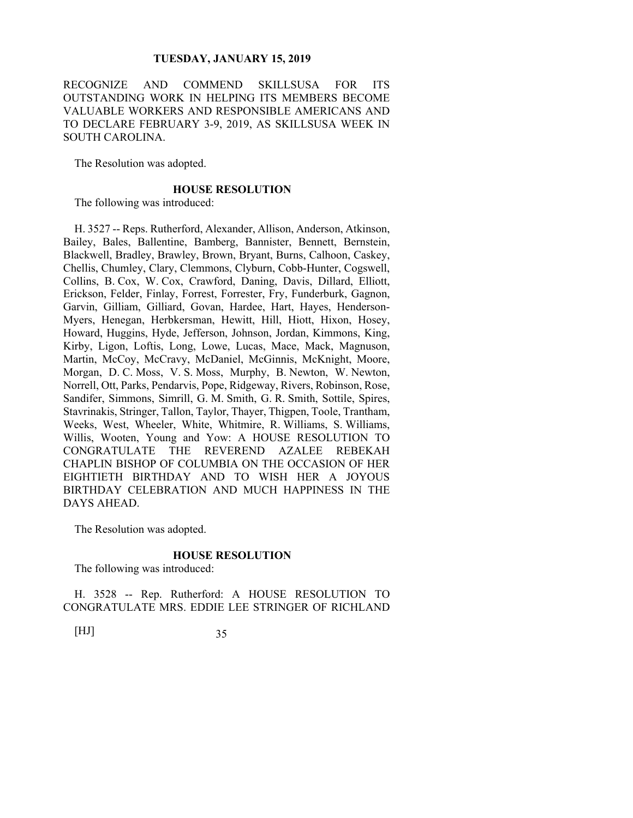RECOGNIZE AND COMMEND SKILLSUSA FOR ITS OUTSTANDING WORK IN HELPING ITS MEMBERS BECOME VALUABLE WORKERS AND RESPONSIBLE AMERICANS AND TO DECLARE FEBRUARY 3-9, 2019, AS SKILLSUSA WEEK IN SOUTH CAROLINA.

The Resolution was adopted.

## **HOUSE RESOLUTION**

The following was introduced:

H. 3527 -- Reps. Rutherford, Alexander, Allison, Anderson, Atkinson, Bailey, Bales, Ballentine, Bamberg, Bannister, Bennett, Bernstein, Blackwell, Bradley, Brawley, Brown, Bryant, Burns, Calhoon, Caskey, Chellis, Chumley, Clary, Clemmons, Clyburn, Cobb-Hunter, Cogswell, Collins, B. Cox, W. Cox, Crawford, Daning, Davis, Dillard, Elliott, Erickson, Felder, Finlay, Forrest, Forrester, Fry, Funderburk, Gagnon, Garvin, Gilliam, Gilliard, Govan, Hardee, Hart, Hayes, Henderson-Myers, Henegan, Herbkersman, Hewitt, Hill, Hiott, Hixon, Hosey, Howard, Huggins, Hyde, Jefferson, Johnson, Jordan, Kimmons, King, Kirby, Ligon, Loftis, Long, Lowe, Lucas, Mace, Mack, Magnuson, Martin, McCoy, McCravy, McDaniel, McGinnis, McKnight, Moore, Morgan, D. C. Moss, V. S. Moss, Murphy, B. Newton, W. Newton, Norrell, Ott, Parks, Pendarvis, Pope, Ridgeway, Rivers, Robinson, Rose, Sandifer, Simmons, Simrill, G. M. Smith, G. R. Smith, Sottile, Spires, Stavrinakis, Stringer, Tallon, Taylor, Thayer, Thigpen, Toole, Trantham, Weeks, West, Wheeler, White, Whitmire, R. Williams, S. Williams, Willis, Wooten, Young and Yow: A HOUSE RESOLUTION TO CONGRATULATE THE REVEREND AZALEE REBEKAH CHAPLIN BISHOP OF COLUMBIA ON THE OCCASION OF HER EIGHTIETH BIRTHDAY AND TO WISH HER A JOYOUS BIRTHDAY CELEBRATION AND MUCH HAPPINESS IN THE DAYS AHEAD.

The Resolution was adopted.

## **HOUSE RESOLUTION**

The following was introduced:

H. 3528 -- Rep. Rutherford: A HOUSE RESOLUTION TO CONGRATULATE MRS. EDDIE LEE STRINGER OF RICHLAND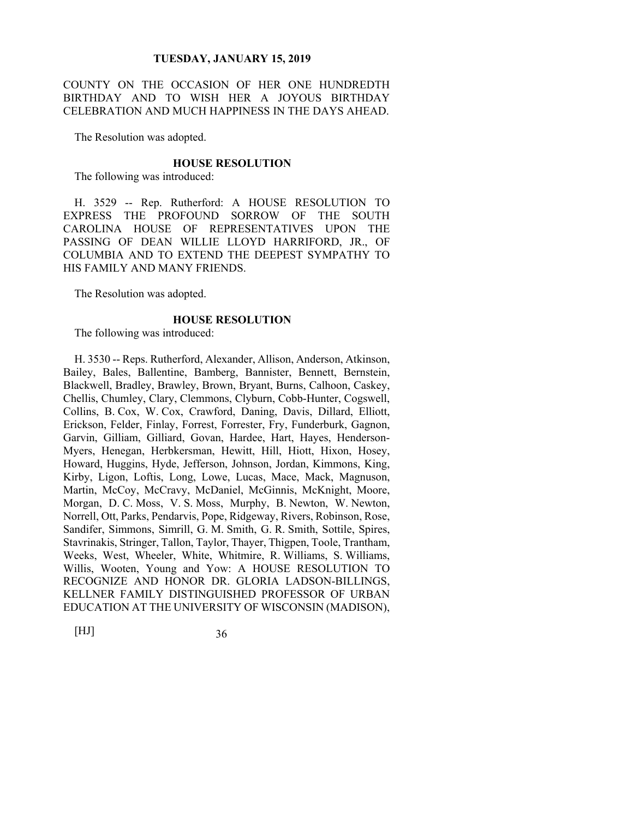COUNTY ON THE OCCASION OF HER ONE HUNDREDTH BIRTHDAY AND TO WISH HER A JOYOUS BIRTHDAY CELEBRATION AND MUCH HAPPINESS IN THE DAYS AHEAD.

The Resolution was adopted.

#### **HOUSE RESOLUTION**

The following was introduced:

H. 3529 -- Rep. Rutherford: A HOUSE RESOLUTION TO EXPRESS THE PROFOUND SORROW OF THE SOUTH CAROLINA HOUSE OF REPRESENTATIVES UPON THE PASSING OF DEAN WILLIE LLOYD HARRIFORD, JR., OF COLUMBIA AND TO EXTEND THE DEEPEST SYMPATHY TO HIS FAMILY AND MANY FRIENDS.

The Resolution was adopted.

#### **HOUSE RESOLUTION**

The following was introduced:

H. 3530 -- Reps. Rutherford, Alexander, Allison, Anderson, Atkinson, Bailey, Bales, Ballentine, Bamberg, Bannister, Bennett, Bernstein, Blackwell, Bradley, Brawley, Brown, Bryant, Burns, Calhoon, Caskey, Chellis, Chumley, Clary, Clemmons, Clyburn, Cobb-Hunter, Cogswell, Collins, B. Cox, W. Cox, Crawford, Daning, Davis, Dillard, Elliott, Erickson, Felder, Finlay, Forrest, Forrester, Fry, Funderburk, Gagnon, Garvin, Gilliam, Gilliard, Govan, Hardee, Hart, Hayes, Henderson-Myers, Henegan, Herbkersman, Hewitt, Hill, Hiott, Hixon, Hosey, Howard, Huggins, Hyde, Jefferson, Johnson, Jordan, Kimmons, King, Kirby, Ligon, Loftis, Long, Lowe, Lucas, Mace, Mack, Magnuson, Martin, McCoy, McCravy, McDaniel, McGinnis, McKnight, Moore, Morgan, D. C. Moss, V. S. Moss, Murphy, B. Newton, W. Newton, Norrell, Ott, Parks, Pendarvis, Pope, Ridgeway, Rivers, Robinson, Rose, Sandifer, Simmons, Simrill, G. M. Smith, G. R. Smith, Sottile, Spires, Stavrinakis, Stringer, Tallon, Taylor, Thayer, Thigpen, Toole, Trantham, Weeks, West, Wheeler, White, Whitmire, R. Williams, S. Williams, Willis, Wooten, Young and Yow: A HOUSE RESOLUTION TO RECOGNIZE AND HONOR DR. GLORIA LADSON-BILLINGS, KELLNER FAMILY DISTINGUISHED PROFESSOR OF URBAN EDUCATION AT THE UNIVERSITY OF WISCONSIN (MADISON),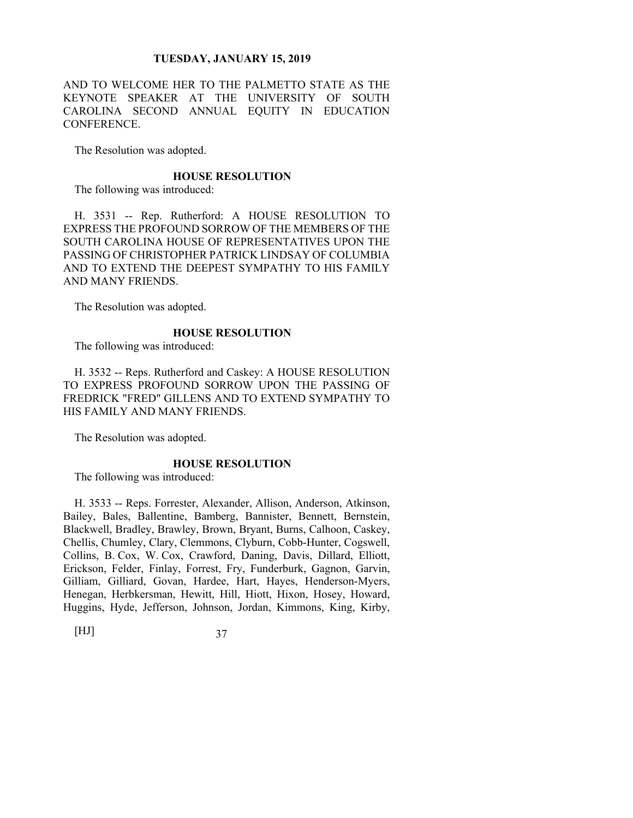AND TO WELCOME HER TO THE PALMETTO STATE AS THE KEYNOTE SPEAKER AT THE UNIVERSITY OF SOUTH CAROLINA SECOND ANNUAL EQUITY IN EDUCATION CONFERENCE.

The Resolution was adopted.

#### **HOUSE RESOLUTION**

The following was introduced:

H. 3531 -- Rep. Rutherford: A HOUSE RESOLUTION TO EXPRESS THE PROFOUND SORROW OF THE MEMBERS OF THE SOUTH CAROLINA HOUSE OF REPRESENTATIVES UPON THE PASSING OF CHRISTOPHER PATRICK LINDSAY OF COLUMBIA AND TO EXTEND THE DEEPEST SYMPATHY TO HIS FAMILY AND MANY FRIENDS.

The Resolution was adopted.

## **HOUSE RESOLUTION**

The following was introduced:

H. 3532 -- Reps. Rutherford and Caskey: A HOUSE RESOLUTION TO EXPRESS PROFOUND SORROW UPON THE PASSING OF FREDRICK "FRED" GILLENS AND TO EXTEND SYMPATHY TO HIS FAMILY AND MANY FRIENDS.

The Resolution was adopted.

## **HOUSE RESOLUTION**

The following was introduced:

H. 3533 -- Reps. Forrester, Alexander, Allison, Anderson, Atkinson, Bailey, Bales, Ballentine, Bamberg, Bannister, Bennett, Bernstein, Blackwell, Bradley, Brawley, Brown, Bryant, Burns, Calhoon, Caskey, Chellis, Chumley, Clary, Clemmons, Clyburn, Cobb-Hunter, Cogswell, Collins, B. Cox, W. Cox, Crawford, Daning, Davis, Dillard, Elliott, Erickson, Felder, Finlay, Forrest, Fry, Funderburk, Gagnon, Garvin, Gilliam, Gilliard, Govan, Hardee, Hart, Hayes, Henderson-Myers, Henegan, Herbkersman, Hewitt, Hill, Hiott, Hixon, Hosey, Howard, Huggins, Hyde, Jefferson, Johnson, Jordan, Kimmons, King, Kirby,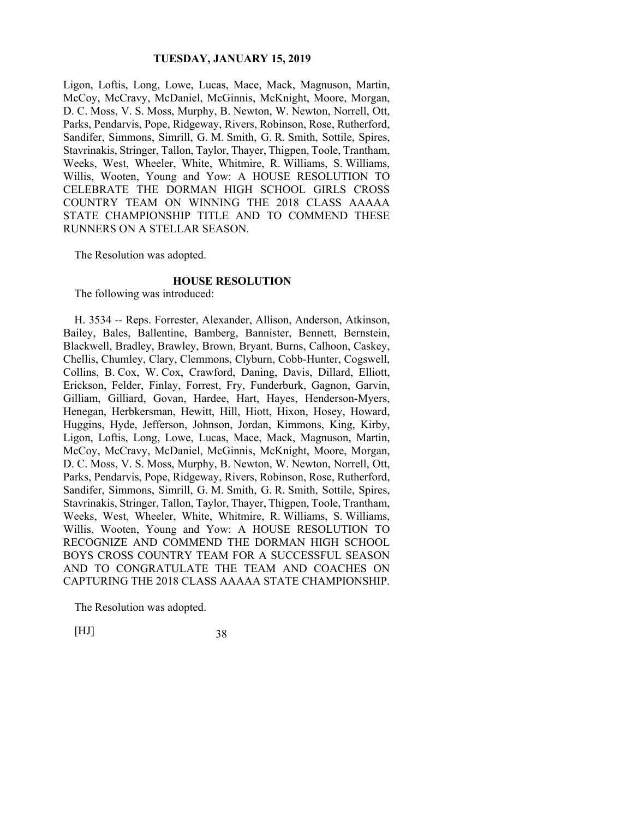Ligon, Loftis, Long, Lowe, Lucas, Mace, Mack, Magnuson, Martin, McCoy, McCravy, McDaniel, McGinnis, McKnight, Moore, Morgan, D. C. Moss, V. S. Moss, Murphy, B. Newton, W. Newton, Norrell, Ott, Parks, Pendarvis, Pope, Ridgeway, Rivers, Robinson, Rose, Rutherford, Sandifer, Simmons, Simrill, G. M. Smith, G. R. Smith, Sottile, Spires, Stavrinakis, Stringer, Tallon, Taylor, Thayer, Thigpen, Toole, Trantham, Weeks, West, Wheeler, White, Whitmire, R. Williams, S. Williams, Willis, Wooten, Young and Yow: A HOUSE RESOLUTION TO CELEBRATE THE DORMAN HIGH SCHOOL GIRLS CROSS COUNTRY TEAM ON WINNING THE 2018 CLASS AAAAA STATE CHAMPIONSHIP TITLE AND TO COMMEND THESE RUNNERS ON A STELLAR SEASON.

The Resolution was adopted.

#### **HOUSE RESOLUTION**

The following was introduced:

H. 3534 -- Reps. Forrester, Alexander, Allison, Anderson, Atkinson, Bailey, Bales, Ballentine, Bamberg, Bannister, Bennett, Bernstein, Blackwell, Bradley, Brawley, Brown, Bryant, Burns, Calhoon, Caskey, Chellis, Chumley, Clary, Clemmons, Clyburn, Cobb-Hunter, Cogswell, Collins, B. Cox, W. Cox, Crawford, Daning, Davis, Dillard, Elliott, Erickson, Felder, Finlay, Forrest, Fry, Funderburk, Gagnon, Garvin, Gilliam, Gilliard, Govan, Hardee, Hart, Hayes, Henderson-Myers, Henegan, Herbkersman, Hewitt, Hill, Hiott, Hixon, Hosey, Howard, Huggins, Hyde, Jefferson, Johnson, Jordan, Kimmons, King, Kirby, Ligon, Loftis, Long, Lowe, Lucas, Mace, Mack, Magnuson, Martin, McCoy, McCravy, McDaniel, McGinnis, McKnight, Moore, Morgan, D. C. Moss, V. S. Moss, Murphy, B. Newton, W. Newton, Norrell, Ott, Parks, Pendarvis, Pope, Ridgeway, Rivers, Robinson, Rose, Rutherford, Sandifer, Simmons, Simrill, G. M. Smith, G. R. Smith, Sottile, Spires, Stavrinakis, Stringer, Tallon, Taylor, Thayer, Thigpen, Toole, Trantham, Weeks, West, Wheeler, White, Whitmire, R. Williams, S. Williams, Willis, Wooten, Young and Yow: A HOUSE RESOLUTION TO RECOGNIZE AND COMMEND THE DORMAN HIGH SCHOOL BOYS CROSS COUNTRY TEAM FOR A SUCCESSFUL SEASON AND TO CONGRATULATE THE TEAM AND COACHES ON CAPTURING THE 2018 CLASS AAAAA STATE CHAMPIONSHIP.

The Resolution was adopted.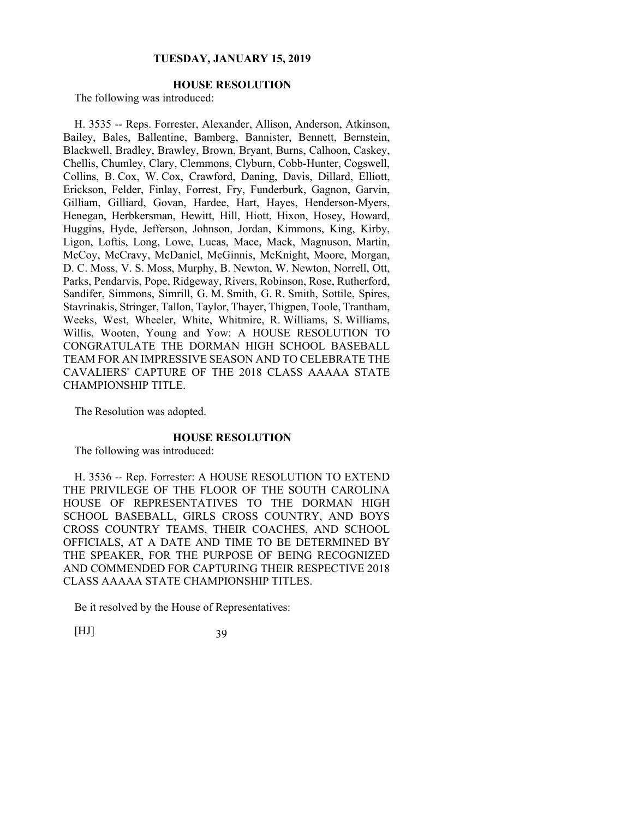# **HOUSE RESOLUTION**

The following was introduced:

H. 3535 -- Reps. Forrester, Alexander, Allison, Anderson, Atkinson, Bailey, Bales, Ballentine, Bamberg, Bannister, Bennett, Bernstein, Blackwell, Bradley, Brawley, Brown, Bryant, Burns, Calhoon, Caskey, Chellis, Chumley, Clary, Clemmons, Clyburn, Cobb-Hunter, Cogswell, Collins, B. Cox, W. Cox, Crawford, Daning, Davis, Dillard, Elliott, Erickson, Felder, Finlay, Forrest, Fry, Funderburk, Gagnon, Garvin, Gilliam, Gilliard, Govan, Hardee, Hart, Hayes, Henderson-Myers, Henegan, Herbkersman, Hewitt, Hill, Hiott, Hixon, Hosey, Howard, Huggins, Hyde, Jefferson, Johnson, Jordan, Kimmons, King, Kirby, Ligon, Loftis, Long, Lowe, Lucas, Mace, Mack, Magnuson, Martin, McCoy, McCravy, McDaniel, McGinnis, McKnight, Moore, Morgan, D. C. Moss, V. S. Moss, Murphy, B. Newton, W. Newton, Norrell, Ott, Parks, Pendarvis, Pope, Ridgeway, Rivers, Robinson, Rose, Rutherford, Sandifer, Simmons, Simrill, G. M. Smith, G. R. Smith, Sottile, Spires, Stavrinakis, Stringer, Tallon, Taylor, Thayer, Thigpen, Toole, Trantham, Weeks, West, Wheeler, White, Whitmire, R. Williams, S. Williams, Willis, Wooten, Young and Yow: A HOUSE RESOLUTION TO CONGRATULATE THE DORMAN HIGH SCHOOL BASEBALL TEAM FOR AN IMPRESSIVE SEASON AND TO CELEBRATE THE CAVALIERS' CAPTURE OF THE 2018 CLASS AAAAA STATE CHAMPIONSHIP TITLE.

The Resolution was adopted.

#### **HOUSE RESOLUTION**

The following was introduced:

H. 3536 -- Rep. Forrester: A HOUSE RESOLUTION TO EXTEND THE PRIVILEGE OF THE FLOOR OF THE SOUTH CAROLINA HOUSE OF REPRESENTATIVES TO THE DORMAN HIGH SCHOOL BASEBALL, GIRLS CROSS COUNTRY, AND BOYS CROSS COUNTRY TEAMS, THEIR COACHES, AND SCHOOL OFFICIALS, AT A DATE AND TIME TO BE DETERMINED BY THE SPEAKER, FOR THE PURPOSE OF BEING RECOGNIZED AND COMMENDED FOR CAPTURING THEIR RESPECTIVE 2018 CLASS AAAAA STATE CHAMPIONSHIP TITLES.

Be it resolved by the House of Representatives: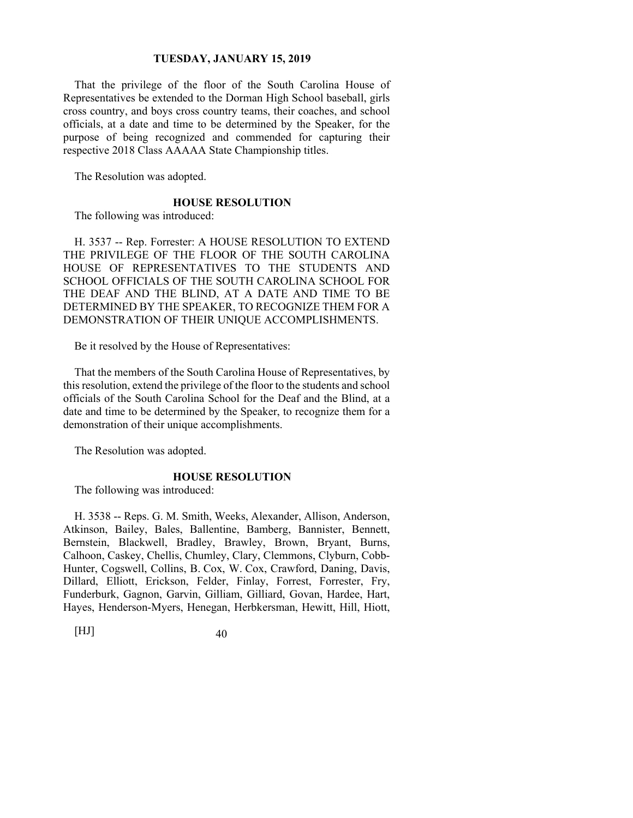That the privilege of the floor of the South Carolina House of Representatives be extended to the Dorman High School baseball, girls cross country, and boys cross country teams, their coaches, and school officials, at a date and time to be determined by the Speaker, for the purpose of being recognized and commended for capturing their respective 2018 Class AAAAA State Championship titles.

The Resolution was adopted.

#### **HOUSE RESOLUTION**

The following was introduced:

H. 3537 -- Rep. Forrester: A HOUSE RESOLUTION TO EXTEND THE PRIVILEGE OF THE FLOOR OF THE SOUTH CAROLINA HOUSE OF REPRESENTATIVES TO THE STUDENTS AND SCHOOL OFFICIALS OF THE SOUTH CAROLINA SCHOOL FOR THE DEAF AND THE BLIND, AT A DATE AND TIME TO BE DETERMINED BY THE SPEAKER, TO RECOGNIZE THEM FOR A DEMONSTRATION OF THEIR UNIQUE ACCOMPLISHMENTS.

Be it resolved by the House of Representatives:

That the members of the South Carolina House of Representatives, by this resolution, extend the privilege of the floor to the students and school officials of the South Carolina School for the Deaf and the Blind, at a date and time to be determined by the Speaker, to recognize them for a demonstration of their unique accomplishments.

The Resolution was adopted.

## **HOUSE RESOLUTION**

The following was introduced:

H. 3538 -- Reps. G. M. Smith, Weeks, Alexander, Allison, Anderson, Atkinson, Bailey, Bales, Ballentine, Bamberg, Bannister, Bennett, Bernstein, Blackwell, Bradley, Brawley, Brown, Bryant, Burns, Calhoon, Caskey, Chellis, Chumley, Clary, Clemmons, Clyburn, Cobb-Hunter, Cogswell, Collins, B. Cox, W. Cox, Crawford, Daning, Davis, Dillard, Elliott, Erickson, Felder, Finlay, Forrest, Forrester, Fry, Funderburk, Gagnon, Garvin, Gilliam, Gilliard, Govan, Hardee, Hart, Hayes, Henderson-Myers, Henegan, Herbkersman, Hewitt, Hill, Hiott,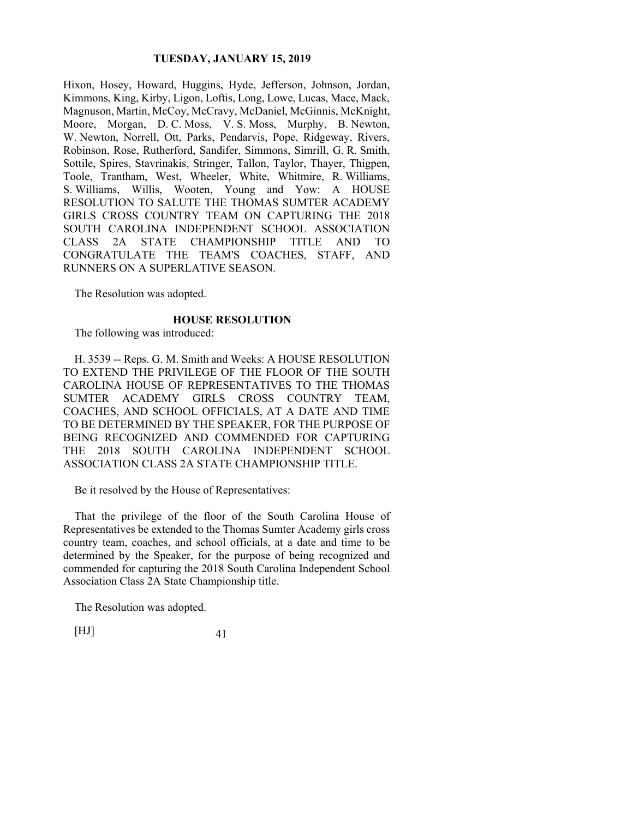Hixon, Hosey, Howard, Huggins, Hyde, Jefferson, Johnson, Jordan, Kimmons, King, Kirby, Ligon, Loftis, Long, Lowe, Lucas, Mace, Mack, Magnuson, Martin, McCoy, McCravy, McDaniel, McGinnis, McKnight, Moore, Morgan, D. C. Moss, V. S. Moss, Murphy, B. Newton, W. Newton, Norrell, Ott, Parks, Pendarvis, Pope, Ridgeway, Rivers, Robinson, Rose, Rutherford, Sandifer, Simmons, Simrill, G. R. Smith, Sottile, Spires, Stavrinakis, Stringer, Tallon, Taylor, Thayer, Thigpen, Toole, Trantham, West, Wheeler, White, Whitmire, R. Williams, S. Williams, Willis, Wooten, Young and Yow: A HOUSE RESOLUTION TO SALUTE THE THOMAS SUMTER ACADEMY GIRLS CROSS COUNTRY TEAM ON CAPTURING THE 2018 SOUTH CAROLINA INDEPENDENT SCHOOL ASSOCIATION CLASS 2A STATE CHAMPIONSHIP TITLE AND TO CONGRATULATE THE TEAM'S COACHES, STAFF, AND RUNNERS ON A SUPERLATIVE SEASON.

The Resolution was adopted.

#### **HOUSE RESOLUTION**

The following was introduced:

H. 3539 -- Reps. G. M. Smith and Weeks: A HOUSE RESOLUTION TO EXTEND THE PRIVILEGE OF THE FLOOR OF THE SOUTH CAROLINA HOUSE OF REPRESENTATIVES TO THE THOMAS SUMTER ACADEMY GIRLS CROSS COUNTRY TEAM, COACHES, AND SCHOOL OFFICIALS, AT A DATE AND TIME TO BE DETERMINED BY THE SPEAKER, FOR THE PURPOSE OF BEING RECOGNIZED AND COMMENDED FOR CAPTURING THE 2018 SOUTH CAROLINA INDEPENDENT SCHOOL ASSOCIATION CLASS 2A STATE CHAMPIONSHIP TITLE.

Be it resolved by the House of Representatives:

That the privilege of the floor of the South Carolina House of Representatives be extended to the Thomas Sumter Academy girls cross country team, coaches, and school officials, at a date and time to be determined by the Speaker, for the purpose of being recognized and commended for capturing the 2018 South Carolina Independent School Association Class 2A State Championship title.

The Resolution was adopted.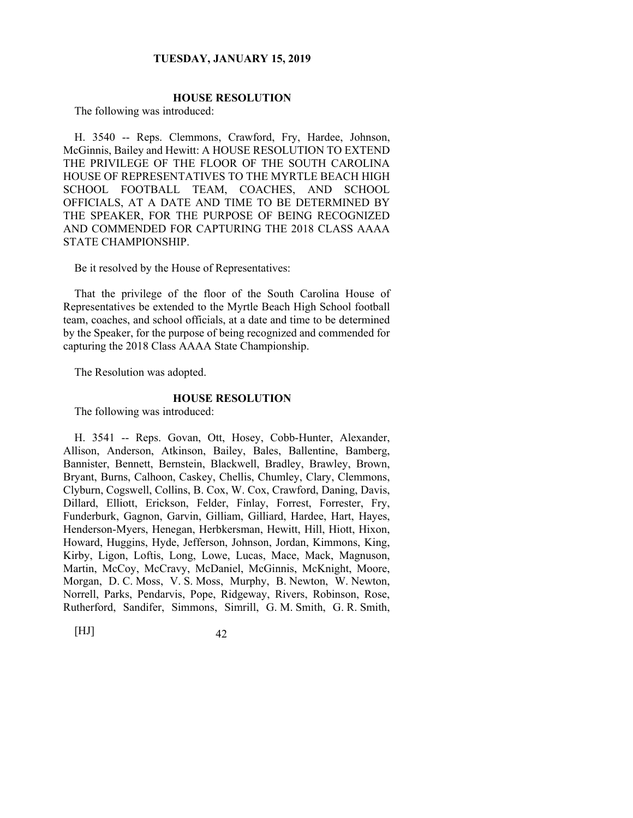## **HOUSE RESOLUTION**

The following was introduced:

H. 3540 -- Reps. Clemmons, Crawford, Fry, Hardee, Johnson, McGinnis, Bailey and Hewitt: A HOUSE RESOLUTION TO EXTEND THE PRIVILEGE OF THE FLOOR OF THE SOUTH CAROLINA HOUSE OF REPRESENTATIVES TO THE MYRTLE BEACH HIGH SCHOOL FOOTBALL TEAM, COACHES, AND SCHOOL OFFICIALS, AT A DATE AND TIME TO BE DETERMINED BY THE SPEAKER, FOR THE PURPOSE OF BEING RECOGNIZED AND COMMENDED FOR CAPTURING THE 2018 CLASS AAAA STATE CHAMPIONSHIP.

Be it resolved by the House of Representatives:

That the privilege of the floor of the South Carolina House of Representatives be extended to the Myrtle Beach High School football team, coaches, and school officials, at a date and time to be determined by the Speaker, for the purpose of being recognized and commended for capturing the 2018 Class AAAA State Championship.

The Resolution was adopted.

#### **HOUSE RESOLUTION**

The following was introduced:

H. 3541 -- Reps. Govan, Ott, Hosey, Cobb-Hunter, Alexander, Allison, Anderson, Atkinson, Bailey, Bales, Ballentine, Bamberg, Bannister, Bennett, Bernstein, Blackwell, Bradley, Brawley, Brown, Bryant, Burns, Calhoon, Caskey, Chellis, Chumley, Clary, Clemmons, Clyburn, Cogswell, Collins, B. Cox, W. Cox, Crawford, Daning, Davis, Dillard, Elliott, Erickson, Felder, Finlay, Forrest, Forrester, Fry, Funderburk, Gagnon, Garvin, Gilliam, Gilliard, Hardee, Hart, Hayes, Henderson-Myers, Henegan, Herbkersman, Hewitt, Hill, Hiott, Hixon, Howard, Huggins, Hyde, Jefferson, Johnson, Jordan, Kimmons, King, Kirby, Ligon, Loftis, Long, Lowe, Lucas, Mace, Mack, Magnuson, Martin, McCoy, McCravy, McDaniel, McGinnis, McKnight, Moore, Morgan, D. C. Moss, V. S. Moss, Murphy, B. Newton, W. Newton, Norrell, Parks, Pendarvis, Pope, Ridgeway, Rivers, Robinson, Rose, Rutherford, Sandifer, Simmons, Simrill, G. M. Smith, G. R. Smith,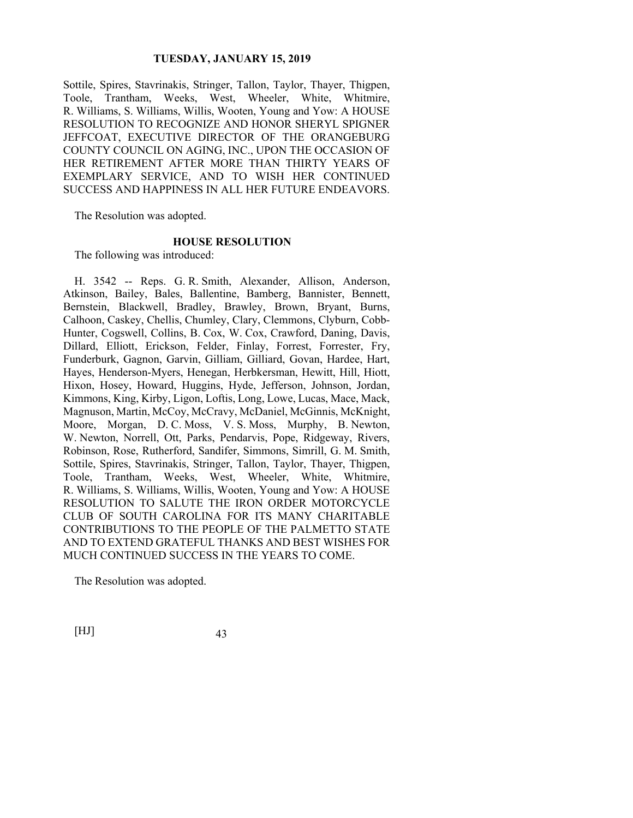Sottile, Spires, Stavrinakis, Stringer, Tallon, Taylor, Thayer, Thigpen, Toole, Trantham, Weeks, West, Wheeler, White, Whitmire, R. Williams, S. Williams, Willis, Wooten, Young and Yow: A HOUSE RESOLUTION TO RECOGNIZE AND HONOR SHERYL SPIGNER JEFFCOAT, EXECUTIVE DIRECTOR OF THE ORANGEBURG COUNTY COUNCIL ON AGING, INC., UPON THE OCCASION OF HER RETIREMENT AFTER MORE THAN THIRTY YEARS OF EXEMPLARY SERVICE, AND TO WISH HER CONTINUED SUCCESS AND HAPPINESS IN ALL HER FUTURE ENDEAVORS.

The Resolution was adopted.

#### **HOUSE RESOLUTION**

The following was introduced:

H. 3542 -- Reps. G. R. Smith, Alexander, Allison, Anderson, Atkinson, Bailey, Bales, Ballentine, Bamberg, Bannister, Bennett, Bernstein, Blackwell, Bradley, Brawley, Brown, Bryant, Burns, Calhoon, Caskey, Chellis, Chumley, Clary, Clemmons, Clyburn, Cobb-Hunter, Cogswell, Collins, B. Cox, W. Cox, Crawford, Daning, Davis, Dillard, Elliott, Erickson, Felder, Finlay, Forrest, Forrester, Fry, Funderburk, Gagnon, Garvin, Gilliam, Gilliard, Govan, Hardee, Hart, Hayes, Henderson-Myers, Henegan, Herbkersman, Hewitt, Hill, Hiott, Hixon, Hosey, Howard, Huggins, Hyde, Jefferson, Johnson, Jordan, Kimmons, King, Kirby, Ligon, Loftis, Long, Lowe, Lucas, Mace, Mack, Magnuson, Martin, McCoy, McCravy, McDaniel, McGinnis, McKnight, Moore, Morgan, D. C. Moss, V. S. Moss, Murphy, B. Newton, W. Newton, Norrell, Ott, Parks, Pendarvis, Pope, Ridgeway, Rivers, Robinson, Rose, Rutherford, Sandifer, Simmons, Simrill, G. M. Smith, Sottile, Spires, Stavrinakis, Stringer, Tallon, Taylor, Thayer, Thigpen, Toole, Trantham, Weeks, West, Wheeler, White, Whitmire, R. Williams, S. Williams, Willis, Wooten, Young and Yow: A HOUSE RESOLUTION TO SALUTE THE IRON ORDER MOTORCYCLE CLUB OF SOUTH CAROLINA FOR ITS MANY CHARITABLE CONTRIBUTIONS TO THE PEOPLE OF THE PALMETTO STATE AND TO EXTEND GRATEFUL THANKS AND BEST WISHES FOR MUCH CONTINUED SUCCESS IN THE YEARS TO COME.

The Resolution was adopted.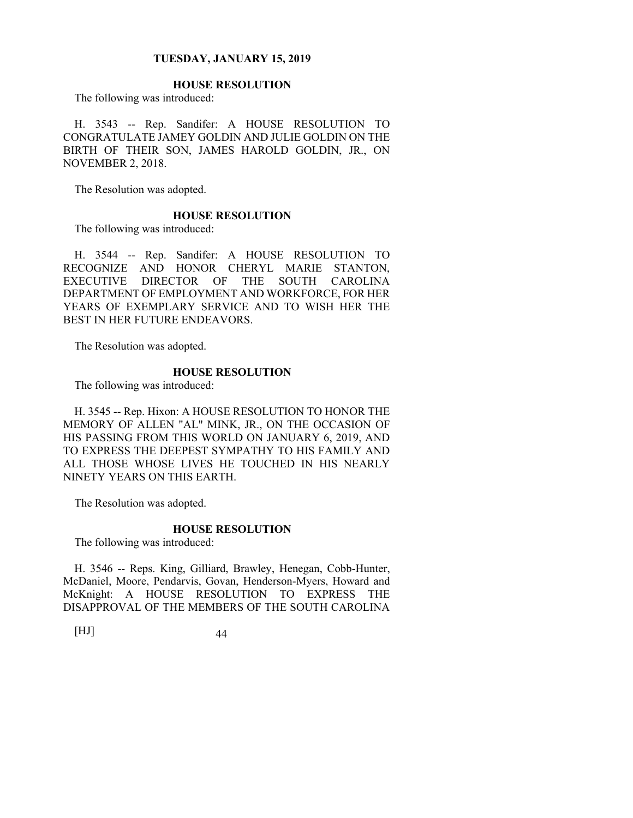# **HOUSE RESOLUTION**

The following was introduced:

H. 3543 -- Rep. Sandifer: A HOUSE RESOLUTION TO CONGRATULATE JAMEY GOLDIN AND JULIE GOLDIN ON THE BIRTH OF THEIR SON, JAMES HAROLD GOLDIN, JR., ON NOVEMBER 2, 2018.

The Resolution was adopted.

## **HOUSE RESOLUTION**

The following was introduced:

H. 3544 -- Rep. Sandifer: A HOUSE RESOLUTION TO RECOGNIZE AND HONOR CHERYL MARIE STANTON, EXECUTIVE DIRECTOR OF THE SOUTH CAROLINA DEPARTMENT OF EMPLOYMENT AND WORKFORCE, FOR HER YEARS OF EXEMPLARY SERVICE AND TO WISH HER THE BEST IN HER FUTURE ENDEAVORS.

The Resolution was adopted.

#### **HOUSE RESOLUTION**

The following was introduced:

H. 3545 -- Rep. Hixon: A HOUSE RESOLUTION TO HONOR THE MEMORY OF ALLEN "AL" MINK, JR., ON THE OCCASION OF HIS PASSING FROM THIS WORLD ON JANUARY 6, 2019, AND TO EXPRESS THE DEEPEST SYMPATHY TO HIS FAMILY AND ALL THOSE WHOSE LIVES HE TOUCHED IN HIS NEARLY NINETY YEARS ON THIS EARTH.

The Resolution was adopted.

#### **HOUSE RESOLUTION**

The following was introduced:

H. 3546 -- Reps. King, Gilliard, Brawley, Henegan, Cobb-Hunter, McDaniel, Moore, Pendarvis, Govan, Henderson-Myers, Howard and McKnight: A HOUSE RESOLUTION TO EXPRESS THE DISAPPROVAL OF THE MEMBERS OF THE SOUTH CAROLINA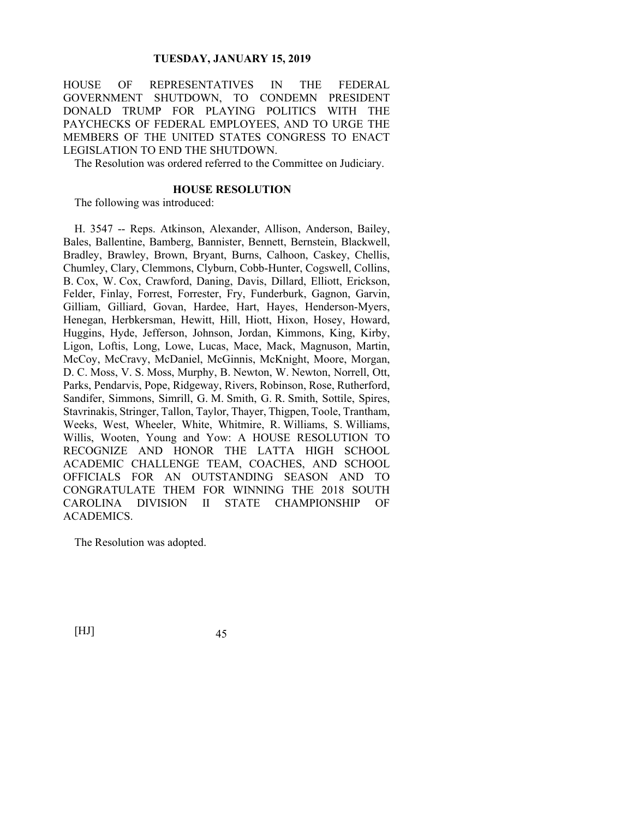HOUSE OF REPRESENTATIVES IN THE FEDERAL GOVERNMENT SHUTDOWN, TO CONDEMN PRESIDENT DONALD TRUMP FOR PLAYING POLITICS WITH THE PAYCHECKS OF FEDERAL EMPLOYEES, AND TO URGE THE MEMBERS OF THE UNITED STATES CONGRESS TO ENACT LEGISLATION TO END THE SHUTDOWN.

The Resolution was ordered referred to the Committee on Judiciary.

# **HOUSE RESOLUTION**

The following was introduced:

H. 3547 -- Reps. Atkinson, Alexander, Allison, Anderson, Bailey, Bales, Ballentine, Bamberg, Bannister, Bennett, Bernstein, Blackwell, Bradley, Brawley, Brown, Bryant, Burns, Calhoon, Caskey, Chellis, Chumley, Clary, Clemmons, Clyburn, Cobb-Hunter, Cogswell, Collins, B. Cox, W. Cox, Crawford, Daning, Davis, Dillard, Elliott, Erickson, Felder, Finlay, Forrest, Forrester, Fry, Funderburk, Gagnon, Garvin, Gilliam, Gilliard, Govan, Hardee, Hart, Hayes, Henderson-Myers, Henegan, Herbkersman, Hewitt, Hill, Hiott, Hixon, Hosey, Howard, Huggins, Hyde, Jefferson, Johnson, Jordan, Kimmons, King, Kirby, Ligon, Loftis, Long, Lowe, Lucas, Mace, Mack, Magnuson, Martin, McCoy, McCravy, McDaniel, McGinnis, McKnight, Moore, Morgan, D. C. Moss, V. S. Moss, Murphy, B. Newton, W. Newton, Norrell, Ott, Parks, Pendarvis, Pope, Ridgeway, Rivers, Robinson, Rose, Rutherford, Sandifer, Simmons, Simrill, G. M. Smith, G. R. Smith, Sottile, Spires, Stavrinakis, Stringer, Tallon, Taylor, Thayer, Thigpen, Toole, Trantham, Weeks, West, Wheeler, White, Whitmire, R. Williams, S. Williams, Willis, Wooten, Young and Yow: A HOUSE RESOLUTION TO RECOGNIZE AND HONOR THE LATTA HIGH SCHOOL ACADEMIC CHALLENGE TEAM, COACHES, AND SCHOOL OFFICIALS FOR AN OUTSTANDING SEASON AND TO CONGRATULATE THEM FOR WINNING THE 2018 SOUTH CAROLINA DIVISION II STATE CHAMPIONSHIP OF ACADEMICS.

The Resolution was adopted.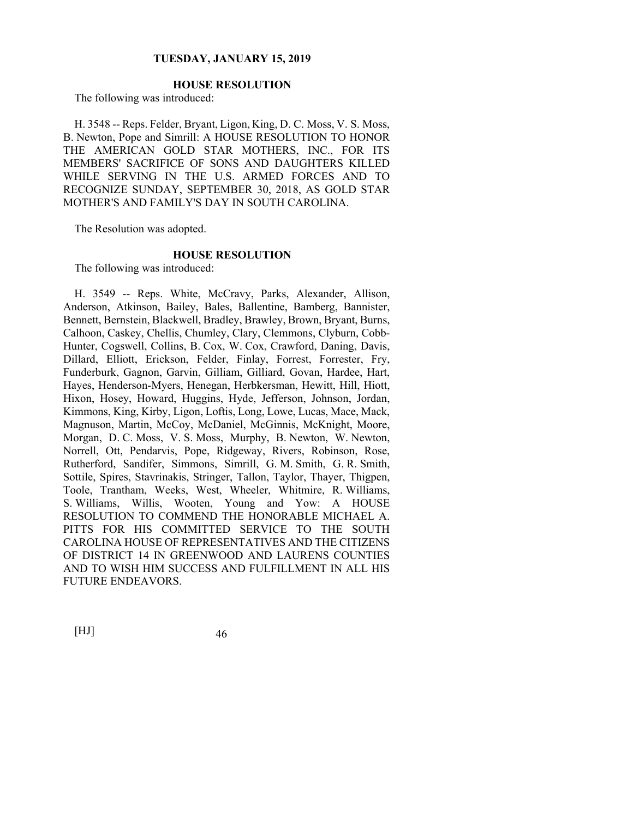# **HOUSE RESOLUTION**

The following was introduced:

H. 3548 -- Reps. Felder, Bryant, Ligon, King, D. C. Moss, V. S. Moss, B. Newton, Pope and Simrill: A HOUSE RESOLUTION TO HONOR THE AMERICAN GOLD STAR MOTHERS, INC., FOR ITS MEMBERS' SACRIFICE OF SONS AND DAUGHTERS KILLED WHILE SERVING IN THE U.S. ARMED FORCES AND TO RECOGNIZE SUNDAY, SEPTEMBER 30, 2018, AS GOLD STAR MOTHER'S AND FAMILY'S DAY IN SOUTH CAROLINA.

The Resolution was adopted.

# **HOUSE RESOLUTION**

The following was introduced:

H. 3549 -- Reps. White, McCravy, Parks, Alexander, Allison, Anderson, Atkinson, Bailey, Bales, Ballentine, Bamberg, Bannister, Bennett, Bernstein, Blackwell, Bradley, Brawley, Brown, Bryant, Burns, Calhoon, Caskey, Chellis, Chumley, Clary, Clemmons, Clyburn, Cobb-Hunter, Cogswell, Collins, B. Cox, W. Cox, Crawford, Daning, Davis, Dillard, Elliott, Erickson, Felder, Finlay, Forrest, Forrester, Fry, Funderburk, Gagnon, Garvin, Gilliam, Gilliard, Govan, Hardee, Hart, Hayes, Henderson-Myers, Henegan, Herbkersman, Hewitt, Hill, Hiott, Hixon, Hosey, Howard, Huggins, Hyde, Jefferson, Johnson, Jordan, Kimmons, King, Kirby, Ligon, Loftis, Long, Lowe, Lucas, Mace, Mack, Magnuson, Martin, McCoy, McDaniel, McGinnis, McKnight, Moore, Morgan, D. C. Moss, V. S. Moss, Murphy, B. Newton, W. Newton, Norrell, Ott, Pendarvis, Pope, Ridgeway, Rivers, Robinson, Rose, Rutherford, Sandifer, Simmons, Simrill, G. M. Smith, G. R. Smith, Sottile, Spires, Stavrinakis, Stringer, Tallon, Taylor, Thayer, Thigpen, Toole, Trantham, Weeks, West, Wheeler, Whitmire, R. Williams, S. Williams, Willis, Wooten, Young and Yow: A HOUSE RESOLUTION TO COMMEND THE HONORABLE MICHAEL A. PITTS FOR HIS COMMITTED SERVICE TO THE SOUTH CAROLINA HOUSE OF REPRESENTATIVES AND THE CITIZENS OF DISTRICT 14 IN GREENWOOD AND LAURENS COUNTIES AND TO WISH HIM SUCCESS AND FULFILLMENT IN ALL HIS FUTURE ENDEAVORS.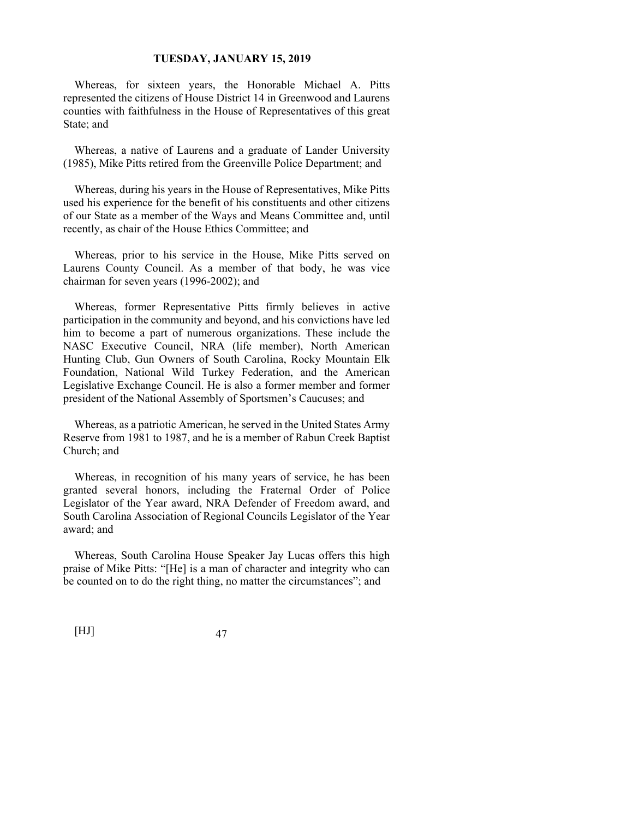Whereas, for sixteen years, the Honorable Michael A. Pitts represented the citizens of House District 14 in Greenwood and Laurens counties with faithfulness in the House of Representatives of this great State; and

Whereas, a native of Laurens and a graduate of Lander University (1985), Mike Pitts retired from the Greenville Police Department; and

Whereas, during his years in the House of Representatives, Mike Pitts used his experience for the benefit of his constituents and other citizens of our State as a member of the Ways and Means Committee and, until recently, as chair of the House Ethics Committee; and

Whereas, prior to his service in the House, Mike Pitts served on Laurens County Council. As a member of that body, he was vice chairman for seven years (1996-2002); and

Whereas, former Representative Pitts firmly believes in active participation in the community and beyond, and his convictions have led him to become a part of numerous organizations. These include the NASC Executive Council, NRA (life member), North American Hunting Club, Gun Owners of South Carolina, Rocky Mountain Elk Foundation, National Wild Turkey Federation, and the American Legislative Exchange Council. He is also a former member and former president of the National Assembly of Sportsmen's Caucuses; and

Whereas, as a patriotic American, he served in the United States Army Reserve from 1981 to 1987, and he is a member of Rabun Creek Baptist Church; and

Whereas, in recognition of his many years of service, he has been granted several honors, including the Fraternal Order of Police Legislator of the Year award, NRA Defender of Freedom award, and South Carolina Association of Regional Councils Legislator of the Year award; and

Whereas, South Carolina House Speaker Jay Lucas offers this high praise of Mike Pitts: "[He] is a man of character and integrity who can be counted on to do the right thing, no matter the circumstances"; and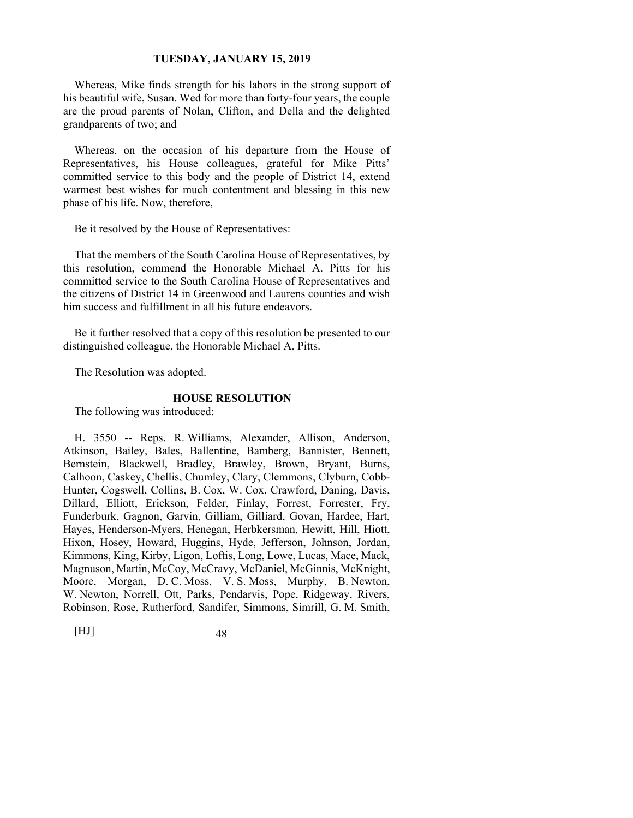Whereas, Mike finds strength for his labors in the strong support of his beautiful wife, Susan. Wed for more than forty-four years, the couple are the proud parents of Nolan, Clifton, and Della and the delighted grandparents of two; and

Whereas, on the occasion of his departure from the House of Representatives, his House colleagues, grateful for Mike Pitts' committed service to this body and the people of District 14, extend warmest best wishes for much contentment and blessing in this new phase of his life. Now, therefore,

Be it resolved by the House of Representatives:

That the members of the South Carolina House of Representatives, by this resolution, commend the Honorable Michael A. Pitts for his committed service to the South Carolina House of Representatives and the citizens of District 14 in Greenwood and Laurens counties and wish him success and fulfillment in all his future endeavors.

Be it further resolved that a copy of this resolution be presented to our distinguished colleague, the Honorable Michael A. Pitts.

The Resolution was adopted.

#### **HOUSE RESOLUTION**

The following was introduced:

H. 3550 -- Reps. R. Williams, Alexander, Allison, Anderson, Atkinson, Bailey, Bales, Ballentine, Bamberg, Bannister, Bennett, Bernstein, Blackwell, Bradley, Brawley, Brown, Bryant, Burns, Calhoon, Caskey, Chellis, Chumley, Clary, Clemmons, Clyburn, Cobb-Hunter, Cogswell, Collins, B. Cox, W. Cox, Crawford, Daning, Davis, Dillard, Elliott, Erickson, Felder, Finlay, Forrest, Forrester, Fry, Funderburk, Gagnon, Garvin, Gilliam, Gilliard, Govan, Hardee, Hart, Hayes, Henderson-Myers, Henegan, Herbkersman, Hewitt, Hill, Hiott, Hixon, Hosey, Howard, Huggins, Hyde, Jefferson, Johnson, Jordan, Kimmons, King, Kirby, Ligon, Loftis, Long, Lowe, Lucas, Mace, Mack, Magnuson, Martin, McCoy, McCravy, McDaniel, McGinnis, McKnight, Moore, Morgan, D. C. Moss, V. S. Moss, Murphy, B. Newton, W. Newton, Norrell, Ott, Parks, Pendarvis, Pope, Ridgeway, Rivers, Robinson, Rose, Rutherford, Sandifer, Simmons, Simrill, G. M. Smith,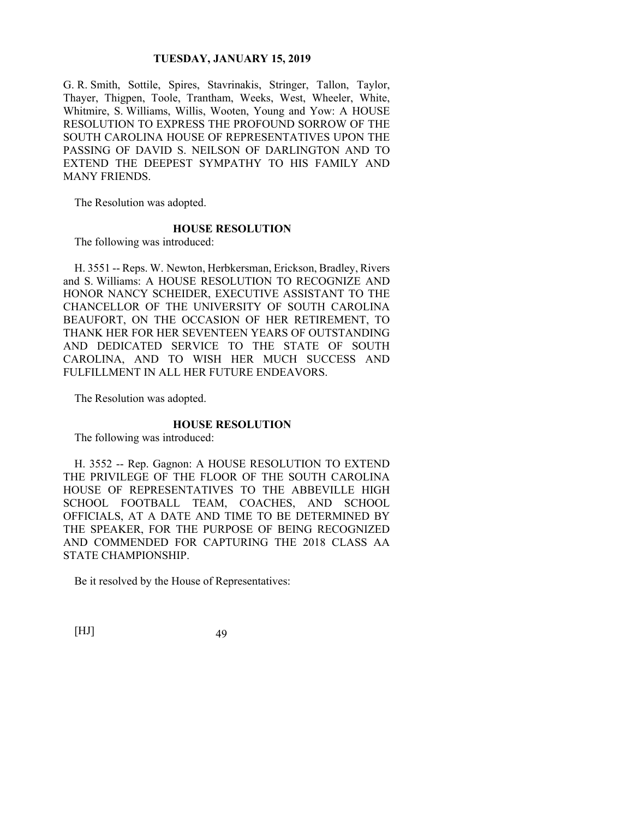G. R. Smith, Sottile, Spires, Stavrinakis, Stringer, Tallon, Taylor, Thayer, Thigpen, Toole, Trantham, Weeks, West, Wheeler, White, Whitmire, S. Williams, Willis, Wooten, Young and Yow: A HOUSE RESOLUTION TO EXPRESS THE PROFOUND SORROW OF THE SOUTH CAROLINA HOUSE OF REPRESENTATIVES UPON THE PASSING OF DAVID S. NEILSON OF DARLINGTON AND TO EXTEND THE DEEPEST SYMPATHY TO HIS FAMILY AND MANY FRIENDS.

The Resolution was adopted.

#### **HOUSE RESOLUTION**

The following was introduced:

H. 3551 -- Reps. W. Newton, Herbkersman, Erickson, Bradley, Rivers and S. Williams: A HOUSE RESOLUTION TO RECOGNIZE AND HONOR NANCY SCHEIDER, EXECUTIVE ASSISTANT TO THE CHANCELLOR OF THE UNIVERSITY OF SOUTH CAROLINA BEAUFORT, ON THE OCCASION OF HER RETIREMENT, TO THANK HER FOR HER SEVENTEEN YEARS OF OUTSTANDING AND DEDICATED SERVICE TO THE STATE OF SOUTH CAROLINA, AND TO WISH HER MUCH SUCCESS AND FULFILLMENT IN ALL HER FUTURE ENDEAVORS.

The Resolution was adopted.

#### **HOUSE RESOLUTION**

The following was introduced:

H. 3552 -- Rep. Gagnon: A HOUSE RESOLUTION TO EXTEND THE PRIVILEGE OF THE FLOOR OF THE SOUTH CAROLINA HOUSE OF REPRESENTATIVES TO THE ABBEVILLE HIGH SCHOOL FOOTBALL TEAM, COACHES, AND SCHOOL OFFICIALS, AT A DATE AND TIME TO BE DETERMINED BY THE SPEAKER, FOR THE PURPOSE OF BEING RECOGNIZED AND COMMENDED FOR CAPTURING THE 2018 CLASS AA STATE CHAMPIONSHIP.

Be it resolved by the House of Representatives: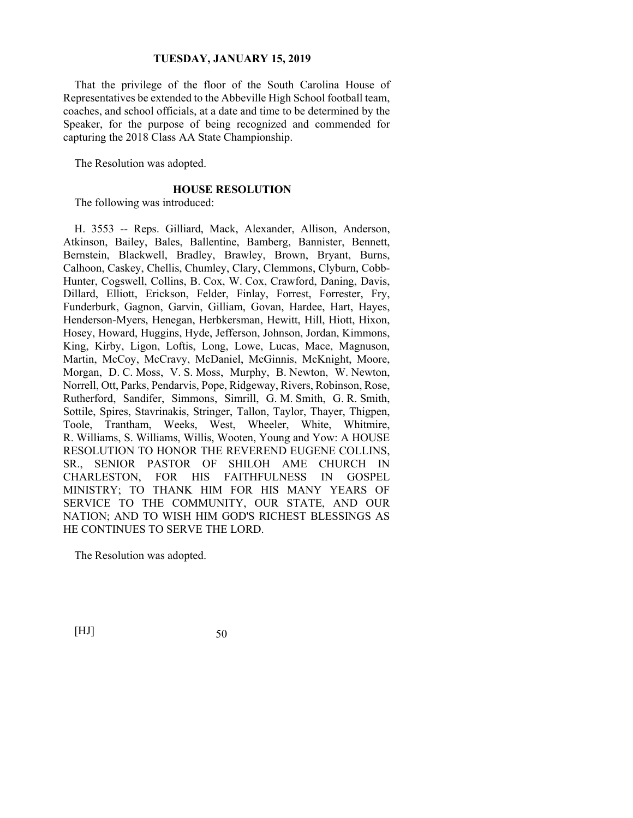That the privilege of the floor of the South Carolina House of Representatives be extended to the Abbeville High School football team, coaches, and school officials, at a date and time to be determined by the Speaker, for the purpose of being recognized and commended for capturing the 2018 Class AA State Championship.

The Resolution was adopted.

## **HOUSE RESOLUTION**

The following was introduced:

H. 3553 -- Reps. Gilliard, Mack, Alexander, Allison, Anderson, Atkinson, Bailey, Bales, Ballentine, Bamberg, Bannister, Bennett, Bernstein, Blackwell, Bradley, Brawley, Brown, Bryant, Burns, Calhoon, Caskey, Chellis, Chumley, Clary, Clemmons, Clyburn, Cobb-Hunter, Cogswell, Collins, B. Cox, W. Cox, Crawford, Daning, Davis, Dillard, Elliott, Erickson, Felder, Finlay, Forrest, Forrester, Fry, Funderburk, Gagnon, Garvin, Gilliam, Govan, Hardee, Hart, Hayes, Henderson-Myers, Henegan, Herbkersman, Hewitt, Hill, Hiott, Hixon, Hosey, Howard, Huggins, Hyde, Jefferson, Johnson, Jordan, Kimmons, King, Kirby, Ligon, Loftis, Long, Lowe, Lucas, Mace, Magnuson, Martin, McCoy, McCravy, McDaniel, McGinnis, McKnight, Moore, Morgan, D. C. Moss, V. S. Moss, Murphy, B. Newton, W. Newton, Norrell, Ott, Parks, Pendarvis, Pope, Ridgeway, Rivers, Robinson, Rose, Rutherford, Sandifer, Simmons, Simrill, G. M. Smith, G. R. Smith, Sottile, Spires, Stavrinakis, Stringer, Tallon, Taylor, Thayer, Thigpen, Toole, Trantham, Weeks, West, Wheeler, White, Whitmire, R. Williams, S. Williams, Willis, Wooten, Young and Yow: A HOUSE RESOLUTION TO HONOR THE REVEREND EUGENE COLLINS, SR., SENIOR PASTOR OF SHILOH AME CHURCH IN CHARLESTON, FOR HIS FAITHFULNESS IN GOSPEL MINISTRY; TO THANK HIM FOR HIS MANY YEARS OF SERVICE TO THE COMMUNITY, OUR STATE, AND OUR NATION; AND TO WISH HIM GOD'S RICHEST BLESSINGS AS HE CONTINUES TO SERVE THE LORD.

The Resolution was adopted.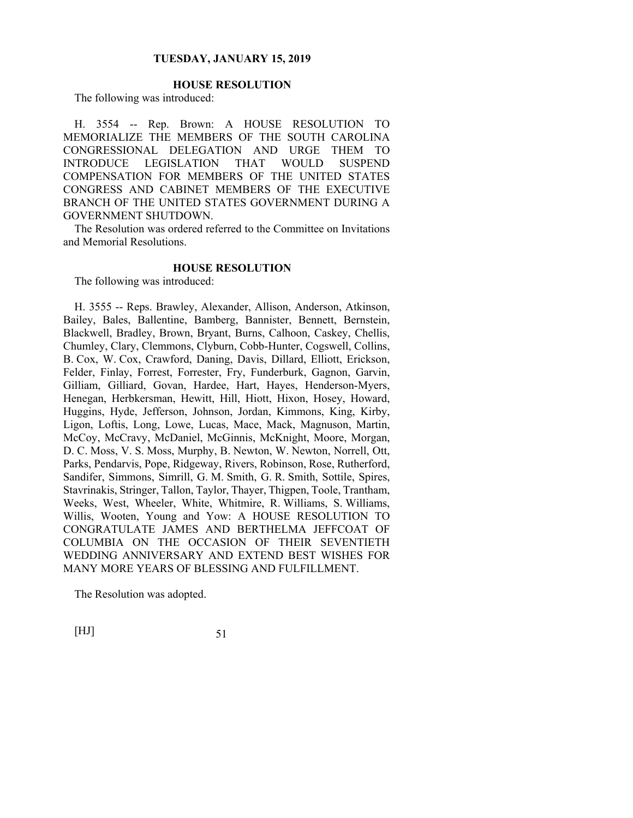# **HOUSE RESOLUTION**

The following was introduced:

H. 3554 -- Rep. Brown: A HOUSE RESOLUTION TO MEMORIALIZE THE MEMBERS OF THE SOUTH CAROLINA CONGRESSIONAL DELEGATION AND URGE THEM TO INTRODUCE LEGISLATION THAT WOULD SUSPEND COMPENSATION FOR MEMBERS OF THE UNITED STATES CONGRESS AND CABINET MEMBERS OF THE EXECUTIVE BRANCH OF THE UNITED STATES GOVERNMENT DURING A GOVERNMENT SHUTDOWN.

The Resolution was ordered referred to the Committee on Invitations and Memorial Resolutions.

## **HOUSE RESOLUTION**

The following was introduced:

H. 3555 -- Reps. Brawley, Alexander, Allison, Anderson, Atkinson, Bailey, Bales, Ballentine, Bamberg, Bannister, Bennett, Bernstein, Blackwell, Bradley, Brown, Bryant, Burns, Calhoon, Caskey, Chellis, Chumley, Clary, Clemmons, Clyburn, Cobb-Hunter, Cogswell, Collins, B. Cox, W. Cox, Crawford, Daning, Davis, Dillard, Elliott, Erickson, Felder, Finlay, Forrest, Forrester, Fry, Funderburk, Gagnon, Garvin, Gilliam, Gilliard, Govan, Hardee, Hart, Hayes, Henderson-Myers, Henegan, Herbkersman, Hewitt, Hill, Hiott, Hixon, Hosey, Howard, Huggins, Hyde, Jefferson, Johnson, Jordan, Kimmons, King, Kirby, Ligon, Loftis, Long, Lowe, Lucas, Mace, Mack, Magnuson, Martin, McCoy, McCravy, McDaniel, McGinnis, McKnight, Moore, Morgan, D. C. Moss, V. S. Moss, Murphy, B. Newton, W. Newton, Norrell, Ott, Parks, Pendarvis, Pope, Ridgeway, Rivers, Robinson, Rose, Rutherford, Sandifer, Simmons, Simrill, G. M. Smith, G. R. Smith, Sottile, Spires, Stavrinakis, Stringer, Tallon, Taylor, Thayer, Thigpen, Toole, Trantham, Weeks, West, Wheeler, White, Whitmire, R. Williams, S. Williams, Willis, Wooten, Young and Yow: A HOUSE RESOLUTION TO CONGRATULATE JAMES AND BERTHELMA JEFFCOAT OF COLUMBIA ON THE OCCASION OF THEIR SEVENTIETH WEDDING ANNIVERSARY AND EXTEND BEST WISHES FOR MANY MORE YEARS OF BLESSING AND FULFILLMENT.

The Resolution was adopted.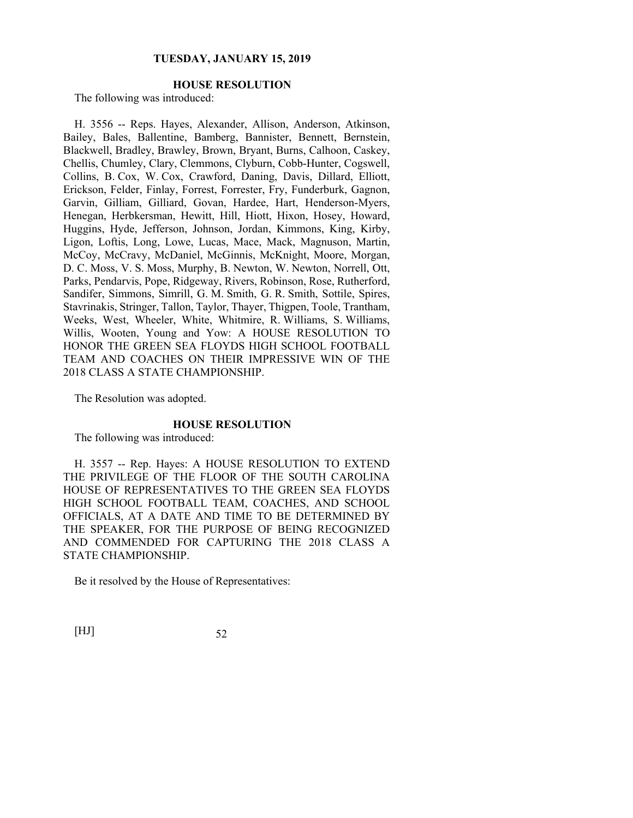# **HOUSE RESOLUTION**

The following was introduced:

H. 3556 -- Reps. Hayes, Alexander, Allison, Anderson, Atkinson, Bailey, Bales, Ballentine, Bamberg, Bannister, Bennett, Bernstein, Blackwell, Bradley, Brawley, Brown, Bryant, Burns, Calhoon, Caskey, Chellis, Chumley, Clary, Clemmons, Clyburn, Cobb-Hunter, Cogswell, Collins, B. Cox, W. Cox, Crawford, Daning, Davis, Dillard, Elliott, Erickson, Felder, Finlay, Forrest, Forrester, Fry, Funderburk, Gagnon, Garvin, Gilliam, Gilliard, Govan, Hardee, Hart, Henderson-Myers, Henegan, Herbkersman, Hewitt, Hill, Hiott, Hixon, Hosey, Howard, Huggins, Hyde, Jefferson, Johnson, Jordan, Kimmons, King, Kirby, Ligon, Loftis, Long, Lowe, Lucas, Mace, Mack, Magnuson, Martin, McCoy, McCravy, McDaniel, McGinnis, McKnight, Moore, Morgan, D. C. Moss, V. S. Moss, Murphy, B. Newton, W. Newton, Norrell, Ott, Parks, Pendarvis, Pope, Ridgeway, Rivers, Robinson, Rose, Rutherford, Sandifer, Simmons, Simrill, G. M. Smith, G. R. Smith, Sottile, Spires, Stavrinakis, Stringer, Tallon, Taylor, Thayer, Thigpen, Toole, Trantham, Weeks, West, Wheeler, White, Whitmire, R. Williams, S. Williams, Willis, Wooten, Young and Yow: A HOUSE RESOLUTION TO HONOR THE GREEN SEA FLOYDS HIGH SCHOOL FOOTBALL TEAM AND COACHES ON THEIR IMPRESSIVE WIN OF THE 2018 CLASS A STATE CHAMPIONSHIP.

The Resolution was adopted.

#### **HOUSE RESOLUTION**

The following was introduced:

H. 3557 -- Rep. Hayes: A HOUSE RESOLUTION TO EXTEND THE PRIVILEGE OF THE FLOOR OF THE SOUTH CAROLINA HOUSE OF REPRESENTATIVES TO THE GREEN SEA FLOYDS HIGH SCHOOL FOOTBALL TEAM, COACHES, AND SCHOOL OFFICIALS, AT A DATE AND TIME TO BE DETERMINED BY THE SPEAKER, FOR THE PURPOSE OF BEING RECOGNIZED AND COMMENDED FOR CAPTURING THE 2018 CLASS A STATE CHAMPIONSHIP.

Be it resolved by the House of Representatives: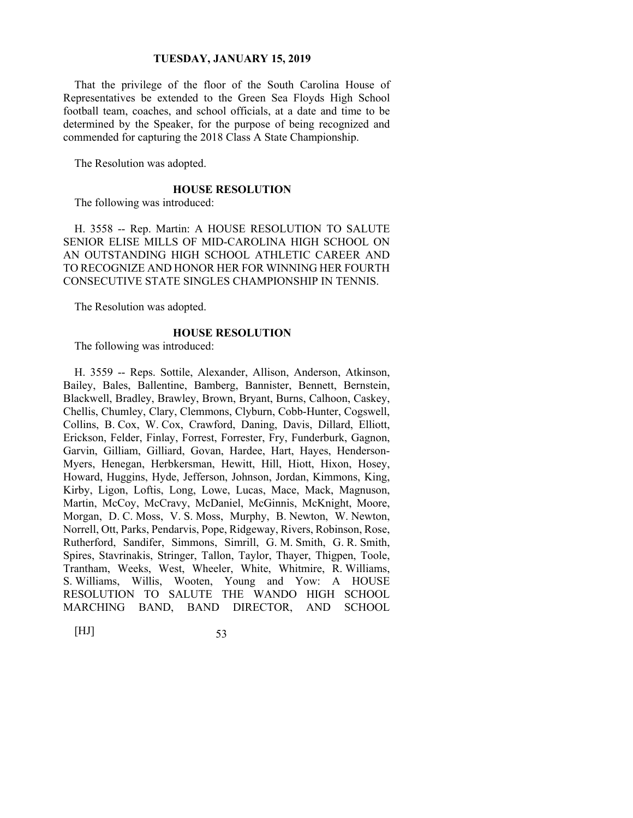That the privilege of the floor of the South Carolina House of Representatives be extended to the Green Sea Floyds High School football team, coaches, and school officials, at a date and time to be determined by the Speaker, for the purpose of being recognized and commended for capturing the 2018 Class A State Championship.

The Resolution was adopted.

## **HOUSE RESOLUTION**

The following was introduced:

H. 3558 -- Rep. Martin: A HOUSE RESOLUTION TO SALUTE SENIOR ELISE MILLS OF MID-CAROLINA HIGH SCHOOL ON AN OUTSTANDING HIGH SCHOOL ATHLETIC CAREER AND TO RECOGNIZE AND HONOR HER FOR WINNING HER FOURTH CONSECUTIVE STATE SINGLES CHAMPIONSHIP IN TENNIS.

The Resolution was adopted.

#### **HOUSE RESOLUTION**

The following was introduced:

H. 3559 -- Reps. Sottile, Alexander, Allison, Anderson, Atkinson, Bailey, Bales, Ballentine, Bamberg, Bannister, Bennett, Bernstein, Blackwell, Bradley, Brawley, Brown, Bryant, Burns, Calhoon, Caskey, Chellis, Chumley, Clary, Clemmons, Clyburn, Cobb-Hunter, Cogswell, Collins, B. Cox, W. Cox, Crawford, Daning, Davis, Dillard, Elliott, Erickson, Felder, Finlay, Forrest, Forrester, Fry, Funderburk, Gagnon, Garvin, Gilliam, Gilliard, Govan, Hardee, Hart, Hayes, Henderson-Myers, Henegan, Herbkersman, Hewitt, Hill, Hiott, Hixon, Hosey, Howard, Huggins, Hyde, Jefferson, Johnson, Jordan, Kimmons, King, Kirby, Ligon, Loftis, Long, Lowe, Lucas, Mace, Mack, Magnuson, Martin, McCoy, McCravy, McDaniel, McGinnis, McKnight, Moore, Morgan, D. C. Moss, V. S. Moss, Murphy, B. Newton, W. Newton, Norrell, Ott, Parks, Pendarvis, Pope, Ridgeway, Rivers, Robinson, Rose, Rutherford, Sandifer, Simmons, Simrill, G. M. Smith, G. R. Smith, Spires, Stavrinakis, Stringer, Tallon, Taylor, Thayer, Thigpen, Toole, Trantham, Weeks, West, Wheeler, White, Whitmire, R. Williams, S. Williams, Willis, Wooten, Young and Yow: A HOUSE RESOLUTION TO SALUTE THE WANDO HIGH SCHOOL MARCHING BAND, BAND DIRECTOR, AND SCHOOL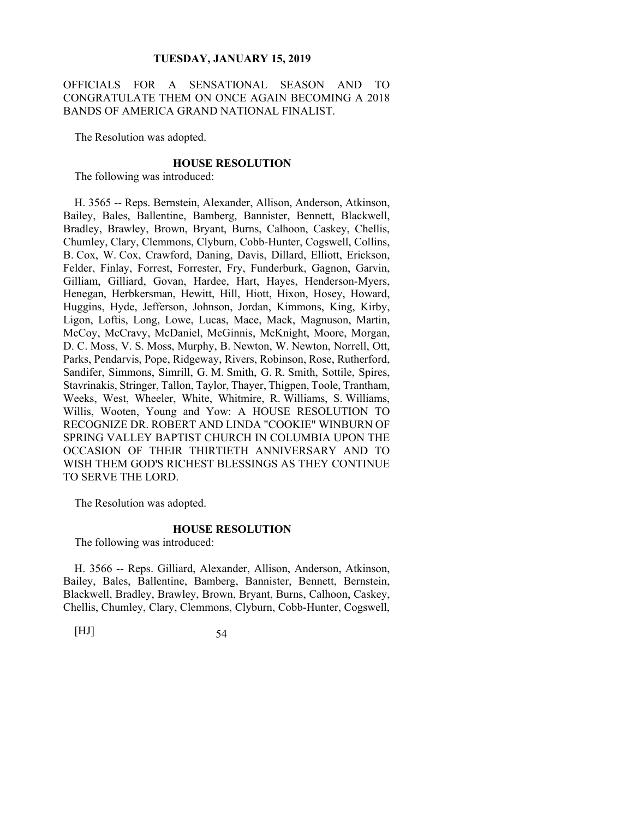OFFICIALS FOR A SENSATIONAL SEASON AND TO CONGRATULATE THEM ON ONCE AGAIN BECOMING A 2018 BANDS OF AMERICA GRAND NATIONAL FINALIST.

The Resolution was adopted.

#### **HOUSE RESOLUTION**

The following was introduced:

H. 3565 -- Reps. Bernstein, Alexander, Allison, Anderson, Atkinson, Bailey, Bales, Ballentine, Bamberg, Bannister, Bennett, Blackwell, Bradley, Brawley, Brown, Bryant, Burns, Calhoon, Caskey, Chellis, Chumley, Clary, Clemmons, Clyburn, Cobb-Hunter, Cogswell, Collins, B. Cox, W. Cox, Crawford, Daning, Davis, Dillard, Elliott, Erickson, Felder, Finlay, Forrest, Forrester, Fry, Funderburk, Gagnon, Garvin, Gilliam, Gilliard, Govan, Hardee, Hart, Hayes, Henderson-Myers, Henegan, Herbkersman, Hewitt, Hill, Hiott, Hixon, Hosey, Howard, Huggins, Hyde, Jefferson, Johnson, Jordan, Kimmons, King, Kirby, Ligon, Loftis, Long, Lowe, Lucas, Mace, Mack, Magnuson, Martin, McCoy, McCravy, McDaniel, McGinnis, McKnight, Moore, Morgan, D. C. Moss, V. S. Moss, Murphy, B. Newton, W. Newton, Norrell, Ott, Parks, Pendarvis, Pope, Ridgeway, Rivers, Robinson, Rose, Rutherford, Sandifer, Simmons, Simrill, G. M. Smith, G. R. Smith, Sottile, Spires, Stavrinakis, Stringer, Tallon, Taylor, Thayer, Thigpen, Toole, Trantham, Weeks, West, Wheeler, White, Whitmire, R. Williams, S. Williams, Willis, Wooten, Young and Yow: A HOUSE RESOLUTION TO RECOGNIZE DR. ROBERT AND LINDA "COOKIE" WINBURN OF SPRING VALLEY BAPTIST CHURCH IN COLUMBIA UPON THE OCCASION OF THEIR THIRTIETH ANNIVERSARY AND TO WISH THEM GOD'S RICHEST BLESSINGS AS THEY CONTINUE TO SERVE THE LORD.

The Resolution was adopted.

#### **HOUSE RESOLUTION**

The following was introduced:

H. 3566 -- Reps. Gilliard, Alexander, Allison, Anderson, Atkinson, Bailey, Bales, Ballentine, Bamberg, Bannister, Bennett, Bernstein, Blackwell, Bradley, Brawley, Brown, Bryant, Burns, Calhoon, Caskey, Chellis, Chumley, Clary, Clemmons, Clyburn, Cobb-Hunter, Cogswell,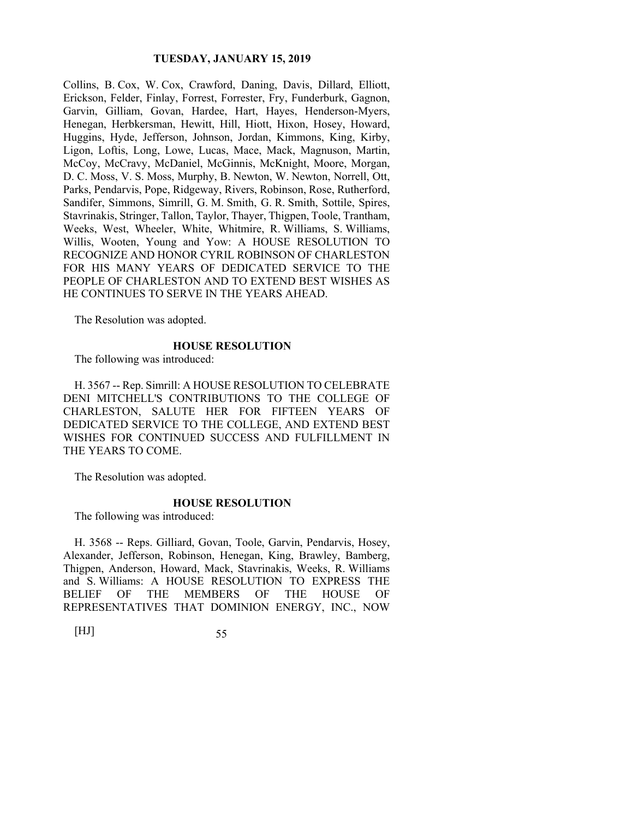Collins, B. Cox, W. Cox, Crawford, Daning, Davis, Dillard, Elliott, Erickson, Felder, Finlay, Forrest, Forrester, Fry, Funderburk, Gagnon, Garvin, Gilliam, Govan, Hardee, Hart, Hayes, Henderson-Myers, Henegan, Herbkersman, Hewitt, Hill, Hiott, Hixon, Hosey, Howard, Huggins, Hyde, Jefferson, Johnson, Jordan, Kimmons, King, Kirby, Ligon, Loftis, Long, Lowe, Lucas, Mace, Mack, Magnuson, Martin, McCoy, McCravy, McDaniel, McGinnis, McKnight, Moore, Morgan, D. C. Moss, V. S. Moss, Murphy, B. Newton, W. Newton, Norrell, Ott, Parks, Pendarvis, Pope, Ridgeway, Rivers, Robinson, Rose, Rutherford, Sandifer, Simmons, Simrill, G. M. Smith, G. R. Smith, Sottile, Spires, Stavrinakis, Stringer, Tallon, Taylor, Thayer, Thigpen, Toole, Trantham, Weeks, West, Wheeler, White, Whitmire, R. Williams, S. Williams, Willis, Wooten, Young and Yow: A HOUSE RESOLUTION TO RECOGNIZE AND HONOR CYRIL ROBINSON OF CHARLESTON FOR HIS MANY YEARS OF DEDICATED SERVICE TO THE PEOPLE OF CHARLESTON AND TO EXTEND BEST WISHES AS HE CONTINUES TO SERVE IN THE YEARS AHEAD.

The Resolution was adopted.

#### **HOUSE RESOLUTION**

The following was introduced:

H. 3567 -- Rep. Simrill: A HOUSE RESOLUTION TO CELEBRATE DENI MITCHELL'S CONTRIBUTIONS TO THE COLLEGE OF CHARLESTON, SALUTE HER FOR FIFTEEN YEARS OF DEDICATED SERVICE TO THE COLLEGE, AND EXTEND BEST WISHES FOR CONTINUED SUCCESS AND FULFILLMENT IN THE YEARS TO COME.

The Resolution was adopted.

#### **HOUSE RESOLUTION**

The following was introduced:

H. 3568 -- Reps. Gilliard, Govan, Toole, Garvin, Pendarvis, Hosey, Alexander, Jefferson, Robinson, Henegan, King, Brawley, Bamberg, Thigpen, Anderson, Howard, Mack, Stavrinakis, Weeks, R. Williams and S. Williams: A HOUSE RESOLUTION TO EXPRESS THE BELIEF OF THE MEMBERS OF THE HOUSE OF REPRESENTATIVES THAT DOMINION ENERGY, INC., NOW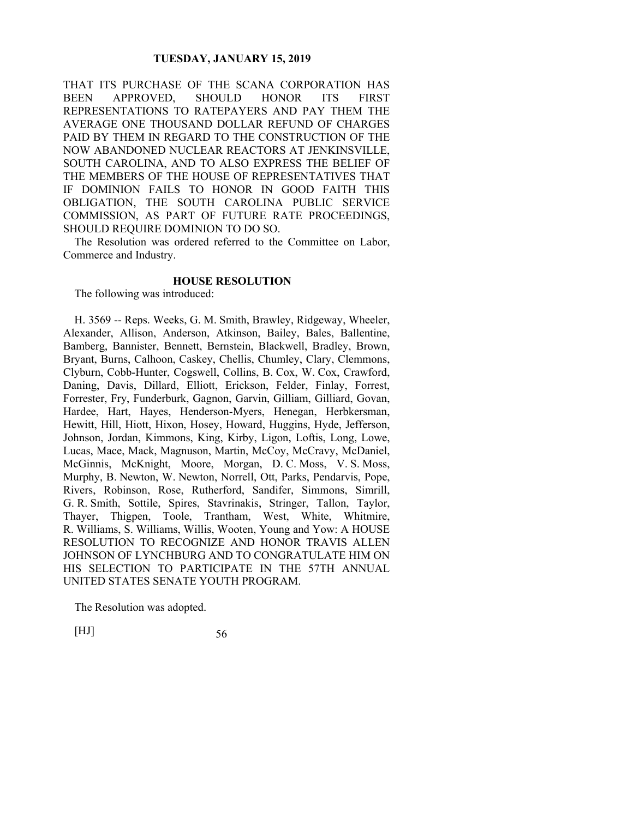THAT ITS PURCHASE OF THE SCANA CORPORATION HAS BEEN APPROVED, SHOULD HONOR ITS FIRST REPRESENTATIONS TO RATEPAYERS AND PAY THEM THE AVERAGE ONE THOUSAND DOLLAR REFUND OF CHARGES PAID BY THEM IN REGARD TO THE CONSTRUCTION OF THE NOW ABANDONED NUCLEAR REACTORS AT JENKINSVILLE, SOUTH CAROLINA, AND TO ALSO EXPRESS THE BELIEF OF THE MEMBERS OF THE HOUSE OF REPRESENTATIVES THAT IF DOMINION FAILS TO HONOR IN GOOD FAITH THIS OBLIGATION, THE SOUTH CAROLINA PUBLIC SERVICE COMMISSION, AS PART OF FUTURE RATE PROCEEDINGS, SHOULD REQUIRE DOMINION TO DO SO.

The Resolution was ordered referred to the Committee on Labor, Commerce and Industry.

#### **HOUSE RESOLUTION**

The following was introduced:

H. 3569 -- Reps. Weeks, G. M. Smith, Brawley, Ridgeway, Wheeler, Alexander, Allison, Anderson, Atkinson, Bailey, Bales, Ballentine, Bamberg, Bannister, Bennett, Bernstein, Blackwell, Bradley, Brown, Bryant, Burns, Calhoon, Caskey, Chellis, Chumley, Clary, Clemmons, Clyburn, Cobb-Hunter, Cogswell, Collins, B. Cox, W. Cox, Crawford, Daning, Davis, Dillard, Elliott, Erickson, Felder, Finlay, Forrest, Forrester, Fry, Funderburk, Gagnon, Garvin, Gilliam, Gilliard, Govan, Hardee, Hart, Hayes, Henderson-Myers, Henegan, Herbkersman, Hewitt, Hill, Hiott, Hixon, Hosey, Howard, Huggins, Hyde, Jefferson, Johnson, Jordan, Kimmons, King, Kirby, Ligon, Loftis, Long, Lowe, Lucas, Mace, Mack, Magnuson, Martin, McCoy, McCravy, McDaniel, McGinnis, McKnight, Moore, Morgan, D. C. Moss, V. S. Moss, Murphy, B. Newton, W. Newton, Norrell, Ott, Parks, Pendarvis, Pope, Rivers, Robinson, Rose, Rutherford, Sandifer, Simmons, Simrill, G. R. Smith, Sottile, Spires, Stavrinakis, Stringer, Tallon, Taylor, Thayer, Thigpen, Toole, Trantham, West, White, Whitmire, R. Williams, S. Williams, Willis, Wooten, Young and Yow: A HOUSE RESOLUTION TO RECOGNIZE AND HONOR TRAVIS ALLEN JOHNSON OF LYNCHBURG AND TO CONGRATULATE HIM ON HIS SELECTION TO PARTICIPATE IN THE 57TH ANNUAL UNITED STATES SENATE YOUTH PROGRAM.

The Resolution was adopted.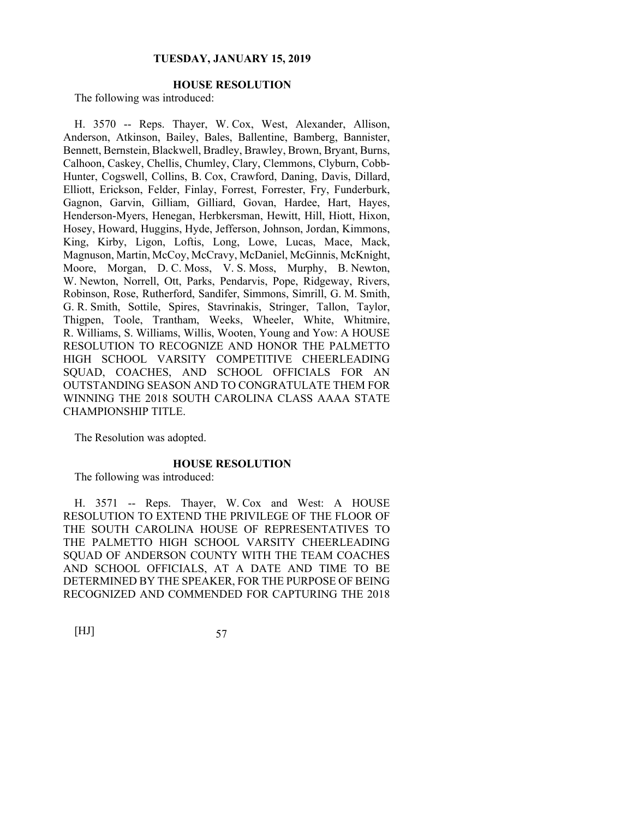# **HOUSE RESOLUTION**

The following was introduced:

H. 3570 -- Reps. Thayer, W. Cox, West, Alexander, Allison, Anderson, Atkinson, Bailey, Bales, Ballentine, Bamberg, Bannister, Bennett, Bernstein, Blackwell, Bradley, Brawley, Brown, Bryant, Burns, Calhoon, Caskey, Chellis, Chumley, Clary, Clemmons, Clyburn, Cobb-Hunter, Cogswell, Collins, B. Cox, Crawford, Daning, Davis, Dillard, Elliott, Erickson, Felder, Finlay, Forrest, Forrester, Fry, Funderburk, Gagnon, Garvin, Gilliam, Gilliard, Govan, Hardee, Hart, Hayes, Henderson-Myers, Henegan, Herbkersman, Hewitt, Hill, Hiott, Hixon, Hosey, Howard, Huggins, Hyde, Jefferson, Johnson, Jordan, Kimmons, King, Kirby, Ligon, Loftis, Long, Lowe, Lucas, Mace, Mack, Magnuson, Martin, McCoy, McCravy, McDaniel, McGinnis, McKnight, Moore, Morgan, D. C. Moss, V. S. Moss, Murphy, B. Newton, W. Newton, Norrell, Ott, Parks, Pendarvis, Pope, Ridgeway, Rivers, Robinson, Rose, Rutherford, Sandifer, Simmons, Simrill, G. M. Smith, G. R. Smith, Sottile, Spires, Stavrinakis, Stringer, Tallon, Taylor, Thigpen, Toole, Trantham, Weeks, Wheeler, White, Whitmire, R. Williams, S. Williams, Willis, Wooten, Young and Yow: A HOUSE RESOLUTION TO RECOGNIZE AND HONOR THE PALMETTO HIGH SCHOOL VARSITY COMPETITIVE CHEERLEADING SQUAD, COACHES, AND SCHOOL OFFICIALS FOR AN OUTSTANDING SEASON AND TO CONGRATULATE THEM FOR WINNING THE 2018 SOUTH CAROLINA CLASS AAAA STATE CHAMPIONSHIP TITLE.

The Resolution was adopted.

#### **HOUSE RESOLUTION**

The following was introduced:

H. 3571 -- Reps. Thayer, W. Cox and West: A HOUSE RESOLUTION TO EXTEND THE PRIVILEGE OF THE FLOOR OF THE SOUTH CAROLINA HOUSE OF REPRESENTATIVES TO THE PALMETTO HIGH SCHOOL VARSITY CHEERLEADING SQUAD OF ANDERSON COUNTY WITH THE TEAM COACHES AND SCHOOL OFFICIALS, AT A DATE AND TIME TO BE DETERMINED BY THE SPEAKER, FOR THE PURPOSE OF BEING RECOGNIZED AND COMMENDED FOR CAPTURING THE 2018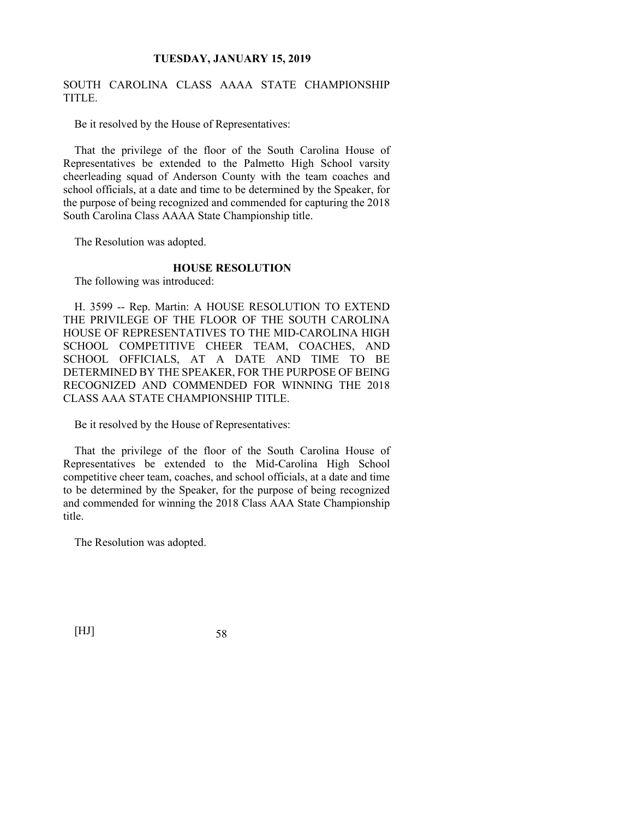# SOUTH CAROLINA CLASS AAAA STATE CHAMPIONSHIP TITLE.

Be it resolved by the House of Representatives:

That the privilege of the floor of the South Carolina House of Representatives be extended to the Palmetto High School varsity cheerleading squad of Anderson County with the team coaches and school officials, at a date and time to be determined by the Speaker, for the purpose of being recognized and commended for capturing the 2018 South Carolina Class AAAA State Championship title.

The Resolution was adopted.

## **HOUSE RESOLUTION**

The following was introduced:

H. 3599 -- Rep. Martin: A HOUSE RESOLUTION TO EXTEND THE PRIVILEGE OF THE FLOOR OF THE SOUTH CAROLINA HOUSE OF REPRESENTATIVES TO THE MID-CAROLINA HIGH SCHOOL COMPETITIVE CHEER TEAM, COACHES, AND SCHOOL OFFICIALS, AT A DATE AND TIME TO BE DETERMINED BY THE SPEAKER, FOR THE PURPOSE OF BEING RECOGNIZED AND COMMENDED FOR WINNING THE 2018 CLASS AAA STATE CHAMPIONSHIP TITLE.

Be it resolved by the House of Representatives:

That the privilege of the floor of the South Carolina House of Representatives be extended to the Mid-Carolina High School competitive cheer team, coaches, and school officials, at a date and time to be determined by the Speaker, for the purpose of being recognized and commended for winning the 2018 Class AAA State Championship title.

The Resolution was adopted.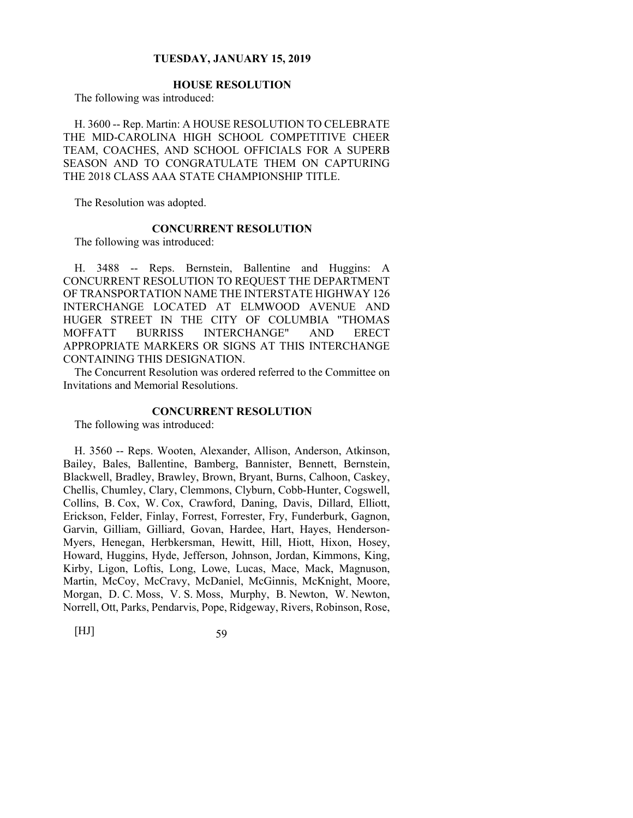# **HOUSE RESOLUTION**

The following was introduced:

H. 3600 -- Rep. Martin: A HOUSE RESOLUTION TO CELEBRATE THE MID-CAROLINA HIGH SCHOOL COMPETITIVE CHEER TEAM, COACHES, AND SCHOOL OFFICIALS FOR A SUPERB SEASON AND TO CONGRATULATE THEM ON CAPTURING THE 2018 CLASS AAA STATE CHAMPIONSHIP TITLE.

The Resolution was adopted.

## **CONCURRENT RESOLUTION**

The following was introduced:

H. 3488 -- Reps. Bernstein, Ballentine and Huggins: A CONCURRENT RESOLUTION TO REQUEST THE DEPARTMENT OF TRANSPORTATION NAME THE INTERSTATE HIGHWAY 126 INTERCHANGE LOCATED AT ELMWOOD AVENUE AND HUGER STREET IN THE CITY OF COLUMBIA "THOMAS MOFFATT BURRISS INTERCHANGE" AND ERECT APPROPRIATE MARKERS OR SIGNS AT THIS INTERCHANGE CONTAINING THIS DESIGNATION.

The Concurrent Resolution was ordered referred to the Committee on Invitations and Memorial Resolutions.

#### **CONCURRENT RESOLUTION**

The following was introduced:

H. 3560 -- Reps. Wooten, Alexander, Allison, Anderson, Atkinson, Bailey, Bales, Ballentine, Bamberg, Bannister, Bennett, Bernstein, Blackwell, Bradley, Brawley, Brown, Bryant, Burns, Calhoon, Caskey, Chellis, Chumley, Clary, Clemmons, Clyburn, Cobb-Hunter, Cogswell, Collins, B. Cox, W. Cox, Crawford, Daning, Davis, Dillard, Elliott, Erickson, Felder, Finlay, Forrest, Forrester, Fry, Funderburk, Gagnon, Garvin, Gilliam, Gilliard, Govan, Hardee, Hart, Hayes, Henderson-Myers, Henegan, Herbkersman, Hewitt, Hill, Hiott, Hixon, Hosey, Howard, Huggins, Hyde, Jefferson, Johnson, Jordan, Kimmons, King, Kirby, Ligon, Loftis, Long, Lowe, Lucas, Mace, Mack, Magnuson, Martin, McCoy, McCravy, McDaniel, McGinnis, McKnight, Moore, Morgan, D. C. Moss, V. S. Moss, Murphy, B. Newton, W. Newton, Norrell, Ott, Parks, Pendarvis, Pope, Ridgeway, Rivers, Robinson, Rose,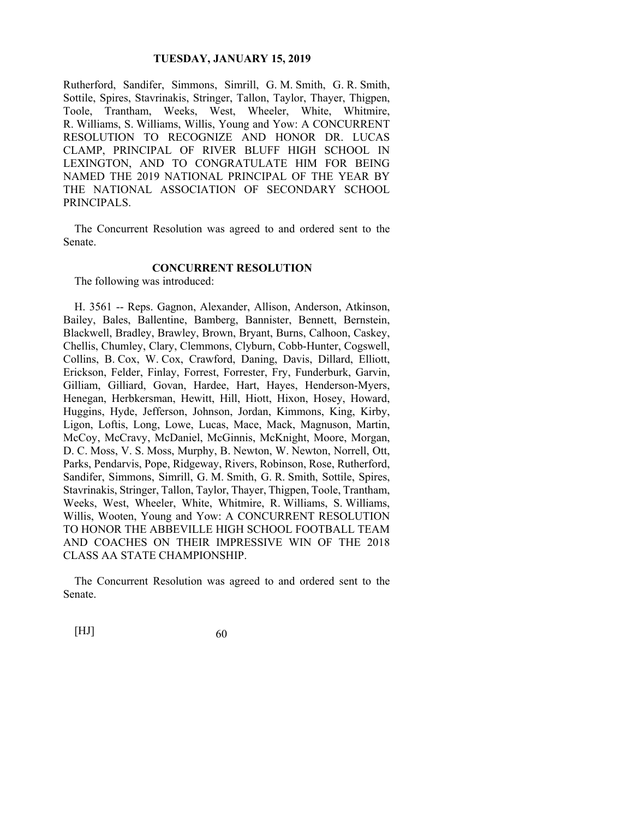Rutherford, Sandifer, Simmons, Simrill, G. M. Smith, G. R. Smith, Sottile, Spires, Stavrinakis, Stringer, Tallon, Taylor, Thayer, Thigpen, Toole, Trantham, Weeks, West, Wheeler, White, Whitmire, R. Williams, S. Williams, Willis, Young and Yow: A CONCURRENT RESOLUTION TO RECOGNIZE AND HONOR DR. LUCAS CLAMP, PRINCIPAL OF RIVER BLUFF HIGH SCHOOL IN LEXINGTON, AND TO CONGRATULATE HIM FOR BEING NAMED THE 2019 NATIONAL PRINCIPAL OF THE YEAR BY THE NATIONAL ASSOCIATION OF SECONDARY SCHOOL PRINCIPALS.

The Concurrent Resolution was agreed to and ordered sent to the Senate.

## **CONCURRENT RESOLUTION**

The following was introduced:

H. 3561 -- Reps. Gagnon, Alexander, Allison, Anderson, Atkinson, Bailey, Bales, Ballentine, Bamberg, Bannister, Bennett, Bernstein, Blackwell, Bradley, Brawley, Brown, Bryant, Burns, Calhoon, Caskey, Chellis, Chumley, Clary, Clemmons, Clyburn, Cobb-Hunter, Cogswell, Collins, B. Cox, W. Cox, Crawford, Daning, Davis, Dillard, Elliott, Erickson, Felder, Finlay, Forrest, Forrester, Fry, Funderburk, Garvin, Gilliam, Gilliard, Govan, Hardee, Hart, Hayes, Henderson-Myers, Henegan, Herbkersman, Hewitt, Hill, Hiott, Hixon, Hosey, Howard, Huggins, Hyde, Jefferson, Johnson, Jordan, Kimmons, King, Kirby, Ligon, Loftis, Long, Lowe, Lucas, Mace, Mack, Magnuson, Martin, McCoy, McCravy, McDaniel, McGinnis, McKnight, Moore, Morgan, D. C. Moss, V. S. Moss, Murphy, B. Newton, W. Newton, Norrell, Ott, Parks, Pendarvis, Pope, Ridgeway, Rivers, Robinson, Rose, Rutherford, Sandifer, Simmons, Simrill, G. M. Smith, G. R. Smith, Sottile, Spires, Stavrinakis, Stringer, Tallon, Taylor, Thayer, Thigpen, Toole, Trantham, Weeks, West, Wheeler, White, Whitmire, R. Williams, S. Williams, Willis, Wooten, Young and Yow: A CONCURRENT RESOLUTION TO HONOR THE ABBEVILLE HIGH SCHOOL FOOTBALL TEAM AND COACHES ON THEIR IMPRESSIVE WIN OF THE 2018 CLASS AA STATE CHAMPIONSHIP.

The Concurrent Resolution was agreed to and ordered sent to the Senate.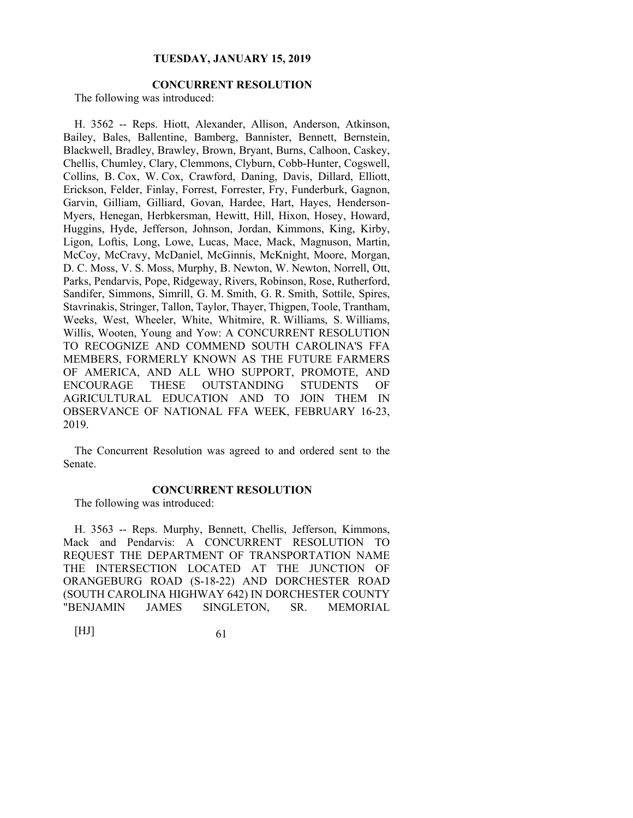# **CONCURRENT RESOLUTION**

The following was introduced:

H. 3562 -- Reps. Hiott, Alexander, Allison, Anderson, Atkinson, Bailey, Bales, Ballentine, Bamberg, Bannister, Bennett, Bernstein, Blackwell, Bradley, Brawley, Brown, Bryant, Burns, Calhoon, Caskey, Chellis, Chumley, Clary, Clemmons, Clyburn, Cobb-Hunter, Cogswell, Collins, B. Cox, W. Cox, Crawford, Daning, Davis, Dillard, Elliott, Erickson, Felder, Finlay, Forrest, Forrester, Fry, Funderburk, Gagnon, Garvin, Gilliam, Gilliard, Govan, Hardee, Hart, Hayes, Henderson-Myers, Henegan, Herbkersman, Hewitt, Hill, Hixon, Hosey, Howard, Huggins, Hyde, Jefferson, Johnson, Jordan, Kimmons, King, Kirby, Ligon, Loftis, Long, Lowe, Lucas, Mace, Mack, Magnuson, Martin, McCoy, McCravy, McDaniel, McGinnis, McKnight, Moore, Morgan, D. C. Moss, V. S. Moss, Murphy, B. Newton, W. Newton, Norrell, Ott, Parks, Pendarvis, Pope, Ridgeway, Rivers, Robinson, Rose, Rutherford, Sandifer, Simmons, Simrill, G. M. Smith, G. R. Smith, Sottile, Spires, Stavrinakis, Stringer, Tallon, Taylor, Thayer, Thigpen, Toole, Trantham, Weeks, West, Wheeler, White, Whitmire, R. Williams, S. Williams, Willis, Wooten, Young and Yow: A CONCURRENT RESOLUTION TO RECOGNIZE AND COMMEND SOUTH CAROLINA'S FFA MEMBERS, FORMERLY KNOWN AS THE FUTURE FARMERS OF AMERICA, AND ALL WHO SUPPORT, PROMOTE, AND ENCOURAGE THESE OUTSTANDING STUDENTS OF AGRICULTURAL EDUCATION AND TO JOIN THEM IN OBSERVANCE OF NATIONAL FFA WEEK, FEBRUARY 16-23, 2019.

The Concurrent Resolution was agreed to and ordered sent to the Senate.

## **CONCURRENT RESOLUTION**

The following was introduced:

H. 3563 -- Reps. Murphy, Bennett, Chellis, Jefferson, Kimmons, Mack and Pendarvis: A CONCURRENT RESOLUTION TO REQUEST THE DEPARTMENT OF TRANSPORTATION NAME THE INTERSECTION LOCATED AT THE JUNCTION OF ORANGEBURG ROAD (S-18-22) AND DORCHESTER ROAD (SOUTH CAROLINA HIGHWAY 642) IN DORCHESTER COUNTY "BENJAMIN JAMES SINGLETON, SR. MEMORIAL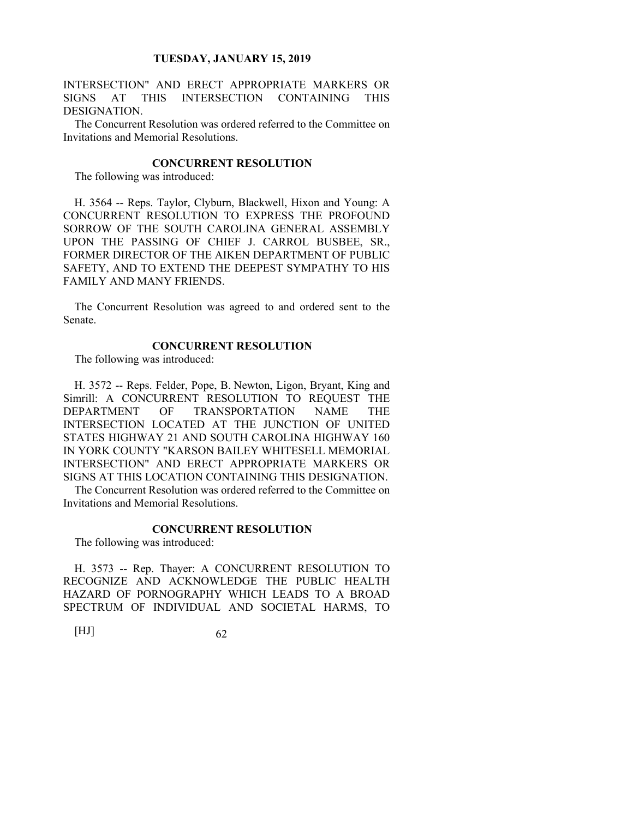INTERSECTION" AND ERECT APPROPRIATE MARKERS OR SIGNS AT THIS INTERSECTION CONTAINING THIS DESIGNATION.

The Concurrent Resolution was ordered referred to the Committee on Invitations and Memorial Resolutions.

## **CONCURRENT RESOLUTION**

The following was introduced:

H. 3564 -- Reps. Taylor, Clyburn, Blackwell, Hixon and Young: A CONCURRENT RESOLUTION TO EXPRESS THE PROFOUND SORROW OF THE SOUTH CAROLINA GENERAL ASSEMBLY UPON THE PASSING OF CHIEF J. CARROL BUSBEE, SR., FORMER DIRECTOR OF THE AIKEN DEPARTMENT OF PUBLIC SAFETY, AND TO EXTEND THE DEEPEST SYMPATHY TO HIS FAMILY AND MANY FRIENDS.

The Concurrent Resolution was agreed to and ordered sent to the Senate.

#### **CONCURRENT RESOLUTION**

The following was introduced:

H. 3572 -- Reps. Felder, Pope, B. Newton, Ligon, Bryant, King and Simrill: A CONCURRENT RESOLUTION TO REQUEST THE DEPARTMENT OF TRANSPORTATION NAME THE INTERSECTION LOCATED AT THE JUNCTION OF UNITED STATES HIGHWAY 21 AND SOUTH CAROLINA HIGHWAY 160 IN YORK COUNTY "KARSON BAILEY WHITESELL MEMORIAL INTERSECTION" AND ERECT APPROPRIATE MARKERS OR SIGNS AT THIS LOCATION CONTAINING THIS DESIGNATION.

The Concurrent Resolution was ordered referred to the Committee on Invitations and Memorial Resolutions.

## **CONCURRENT RESOLUTION**

The following was introduced:

H. 3573 -- Rep. Thayer: A CONCURRENT RESOLUTION TO RECOGNIZE AND ACKNOWLEDGE THE PUBLIC HEALTH HAZARD OF PORNOGRAPHY WHICH LEADS TO A BROAD SPECTRUM OF INDIVIDUAL AND SOCIETAL HARMS, TO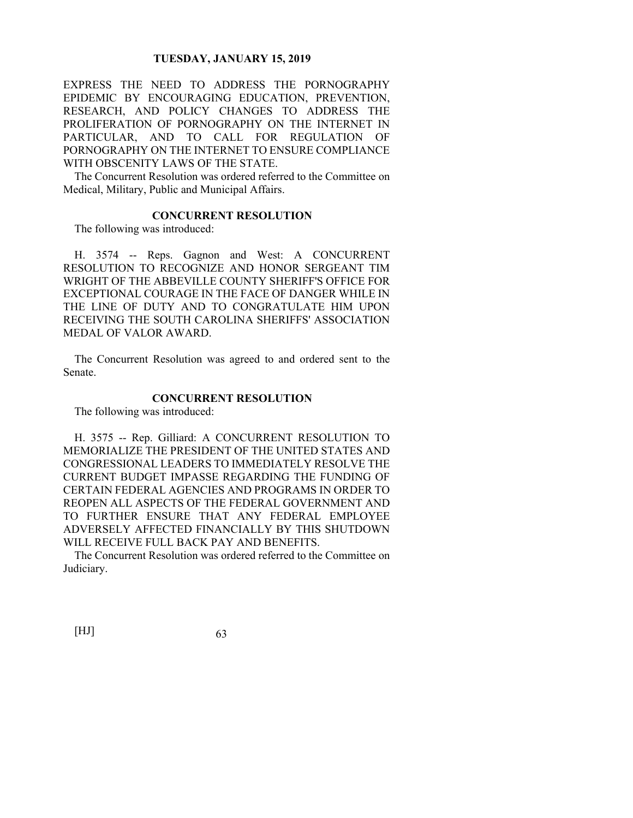EXPRESS THE NEED TO ADDRESS THE PORNOGRAPHY EPIDEMIC BY ENCOURAGING EDUCATION, PREVENTION, RESEARCH, AND POLICY CHANGES TO ADDRESS THE PROLIFERATION OF PORNOGRAPHY ON THE INTERNET IN PARTICULAR, AND TO CALL FOR REGULATION OF PORNOGRAPHY ON THE INTERNET TO ENSURE COMPLIANCE WITH OBSCENITY LAWS OF THE STATE.

The Concurrent Resolution was ordered referred to the Committee on Medical, Military, Public and Municipal Affairs.

## **CONCURRENT RESOLUTION**

The following was introduced:

H. 3574 -- Reps. Gagnon and West: A CONCURRENT RESOLUTION TO RECOGNIZE AND HONOR SERGEANT TIM WRIGHT OF THE ABBEVILLE COUNTY SHERIFF'S OFFICE FOR EXCEPTIONAL COURAGE IN THE FACE OF DANGER WHILE IN THE LINE OF DUTY AND TO CONGRATULATE HIM UPON RECEIVING THE SOUTH CAROLINA SHERIFFS' ASSOCIATION MEDAL OF VALOR AWARD.

The Concurrent Resolution was agreed to and ordered sent to the Senate.

## **CONCURRENT RESOLUTION**

The following was introduced:

H. 3575 -- Rep. Gilliard: A CONCURRENT RESOLUTION TO MEMORIALIZE THE PRESIDENT OF THE UNITED STATES AND CONGRESSIONAL LEADERS TO IMMEDIATELY RESOLVE THE CURRENT BUDGET IMPASSE REGARDING THE FUNDING OF CERTAIN FEDERAL AGENCIES AND PROGRAMS IN ORDER TO REOPEN ALL ASPECTS OF THE FEDERAL GOVERNMENT AND TO FURTHER ENSURE THAT ANY FEDERAL EMPLOYEE ADVERSELY AFFECTED FINANCIALLY BY THIS SHUTDOWN WILL RECEIVE FULL BACK PAY AND BENEFITS.

The Concurrent Resolution was ordered referred to the Committee on Judiciary.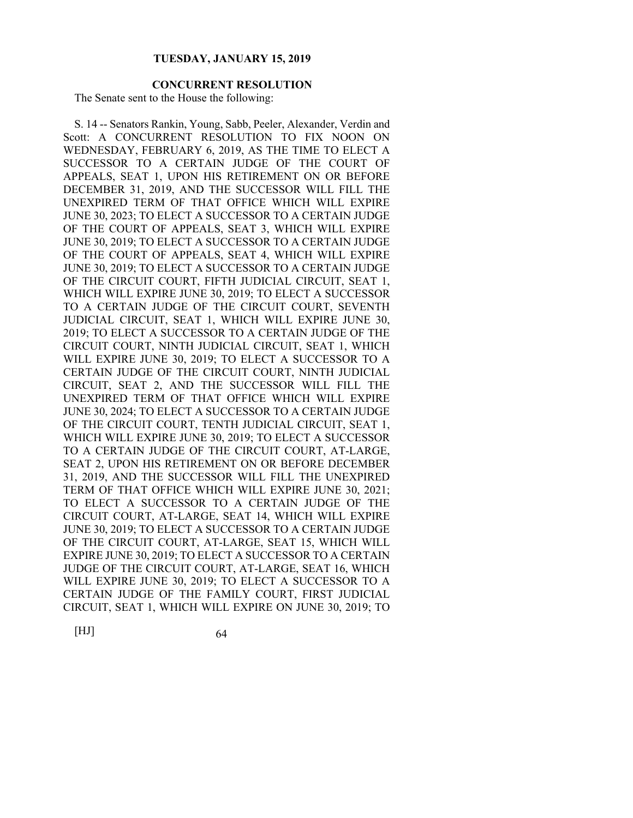# **CONCURRENT RESOLUTION**

The Senate sent to the House the following:

S. 14 -- Senators Rankin, Young, Sabb, Peeler, Alexander, Verdin and Scott: A CONCURRENT RESOLUTION TO FIX NOON ON WEDNESDAY, FEBRUARY 6, 2019, AS THE TIME TO ELECT A SUCCESSOR TO A CERTAIN JUDGE OF THE COURT OF APPEALS, SEAT 1, UPON HIS RETIREMENT ON OR BEFORE DECEMBER 31, 2019, AND THE SUCCESSOR WILL FILL THE UNEXPIRED TERM OF THAT OFFICE WHICH WILL EXPIRE JUNE 30, 2023; TO ELECT A SUCCESSOR TO A CERTAIN JUDGE OF THE COURT OF APPEALS, SEAT 3, WHICH WILL EXPIRE JUNE 30, 2019; TO ELECT A SUCCESSOR TO A CERTAIN JUDGE OF THE COURT OF APPEALS, SEAT 4, WHICH WILL EXPIRE JUNE 30, 2019; TO ELECT A SUCCESSOR TO A CERTAIN JUDGE OF THE CIRCUIT COURT, FIFTH JUDICIAL CIRCUIT, SEAT 1, WHICH WILL EXPIRE JUNE 30, 2019; TO ELECT A SUCCESSOR TO A CERTAIN JUDGE OF THE CIRCUIT COURT, SEVENTH JUDICIAL CIRCUIT, SEAT 1, WHICH WILL EXPIRE JUNE 30, 2019; TO ELECT A SUCCESSOR TO A CERTAIN JUDGE OF THE CIRCUIT COURT, NINTH JUDICIAL CIRCUIT, SEAT 1, WHICH WILL EXPIRE JUNE 30, 2019; TO ELECT A SUCCESSOR TO A CERTAIN JUDGE OF THE CIRCUIT COURT, NINTH JUDICIAL CIRCUIT, SEAT 2, AND THE SUCCESSOR WILL FILL THE UNEXPIRED TERM OF THAT OFFICE WHICH WILL EXPIRE JUNE 30, 2024; TO ELECT A SUCCESSOR TO A CERTAIN JUDGE OF THE CIRCUIT COURT, TENTH JUDICIAL CIRCUIT, SEAT 1, WHICH WILL EXPIRE JUNE 30, 2019; TO ELECT A SUCCESSOR TO A CERTAIN JUDGE OF THE CIRCUIT COURT, AT-LARGE, SEAT 2, UPON HIS RETIREMENT ON OR BEFORE DECEMBER 31, 2019, AND THE SUCCESSOR WILL FILL THE UNEXPIRED TERM OF THAT OFFICE WHICH WILL EXPIRE JUNE 30, 2021; TO ELECT A SUCCESSOR TO A CERTAIN JUDGE OF THE CIRCUIT COURT, AT-LARGE, SEAT 14, WHICH WILL EXPIRE JUNE 30, 2019; TO ELECT A SUCCESSOR TO A CERTAIN JUDGE OF THE CIRCUIT COURT, AT-LARGE, SEAT 15, WHICH WILL EXPIRE JUNE 30, 2019; TO ELECT A SUCCESSOR TO A CERTAIN JUDGE OF THE CIRCUIT COURT, AT-LARGE, SEAT 16, WHICH WILL EXPIRE JUNE 30, 2019; TO ELECT A SUCCESSOR TO A CERTAIN JUDGE OF THE FAMILY COURT, FIRST JUDICIAL CIRCUIT, SEAT 1, WHICH WILL EXPIRE ON JUNE 30, 2019; TO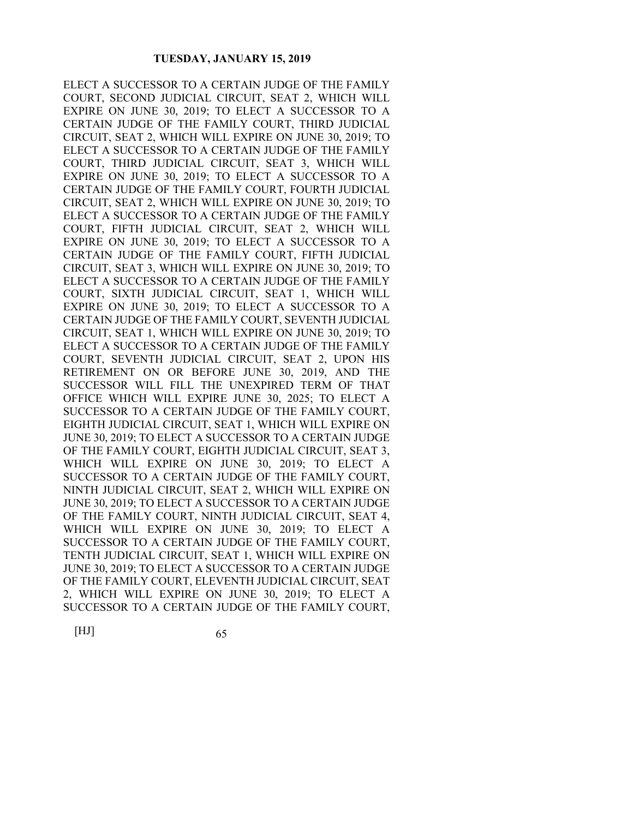ELECT A SUCCESSOR TO A CERTAIN JUDGE OF THE FAMILY COURT, SECOND JUDICIAL CIRCUIT, SEAT 2, WHICH WILL EXPIRE ON JUNE 30, 2019; TO ELECT A SUCCESSOR TO A CERTAIN JUDGE OF THE FAMILY COURT, THIRD JUDICIAL CIRCUIT, SEAT 2, WHICH WILL EXPIRE ON JUNE 30, 2019; TO ELECT A SUCCESSOR TO A CERTAIN JUDGE OF THE FAMILY COURT, THIRD JUDICIAL CIRCUIT, SEAT 3, WHICH WILL EXPIRE ON JUNE 30, 2019; TO ELECT A SUCCESSOR TO A CERTAIN JUDGE OF THE FAMILY COURT, FOURTH JUDICIAL CIRCUIT, SEAT 2, WHICH WILL EXPIRE ON JUNE 30, 2019; TO ELECT A SUCCESSOR TO A CERTAIN JUDGE OF THE FAMILY COURT, FIFTH JUDICIAL CIRCUIT, SEAT 2, WHICH WILL EXPIRE ON JUNE 30, 2019; TO ELECT A SUCCESSOR TO A CERTAIN JUDGE OF THE FAMILY COURT, FIFTH JUDICIAL CIRCUIT, SEAT 3, WHICH WILL EXPIRE ON JUNE 30, 2019; TO ELECT A SUCCESSOR TO A CERTAIN JUDGE OF THE FAMILY COURT, SIXTH JUDICIAL CIRCUIT, SEAT 1, WHICH WILL EXPIRE ON JUNE 30, 2019; TO ELECT A SUCCESSOR TO A CERTAIN JUDGE OF THE FAMILY COURT, SEVENTH JUDICIAL CIRCUIT, SEAT 1, WHICH WILL EXPIRE ON JUNE 30, 2019; TO ELECT A SUCCESSOR TO A CERTAIN JUDGE OF THE FAMILY COURT, SEVENTH JUDICIAL CIRCUIT, SEAT 2, UPON HIS RETIREMENT ON OR BEFORE JUNE 30, 2019, AND THE SUCCESSOR WILL FILL THE UNEXPIRED TERM OF THAT OFFICE WHICH WILL EXPIRE JUNE 30, 2025; TO ELECT A SUCCESSOR TO A CERTAIN JUDGE OF THE FAMILY COURT, EIGHTH JUDICIAL CIRCUIT, SEAT 1, WHICH WILL EXPIRE ON JUNE 30, 2019; TO ELECT A SUCCESSOR TO A CERTAIN JUDGE OF THE FAMILY COURT, EIGHTH JUDICIAL CIRCUIT, SEAT 3, WHICH WILL EXPIRE ON JUNE 30, 2019; TO ELECT A SUCCESSOR TO A CERTAIN JUDGE OF THE FAMILY COURT, NINTH JUDICIAL CIRCUIT, SEAT 2, WHICH WILL EXPIRE ON JUNE 30, 2019; TO ELECT A SUCCESSOR TO A CERTAIN JUDGE OF THE FAMILY COURT, NINTH JUDICIAL CIRCUIT, SEAT 4, WHICH WILL EXPIRE ON JUNE 30, 2019; TO ELECT A SUCCESSOR TO A CERTAIN JUDGE OF THE FAMILY COURT, TENTH JUDICIAL CIRCUIT, SEAT 1, WHICH WILL EXPIRE ON JUNE 30, 2019; TO ELECT A SUCCESSOR TO A CERTAIN JUDGE OF THE FAMILY COURT, ELEVENTH JUDICIAL CIRCUIT, SEAT 2, WHICH WILL EXPIRE ON JUNE 30, 2019; TO ELECT A SUCCESSOR TO A CERTAIN JUDGE OF THE FAMILY COURT,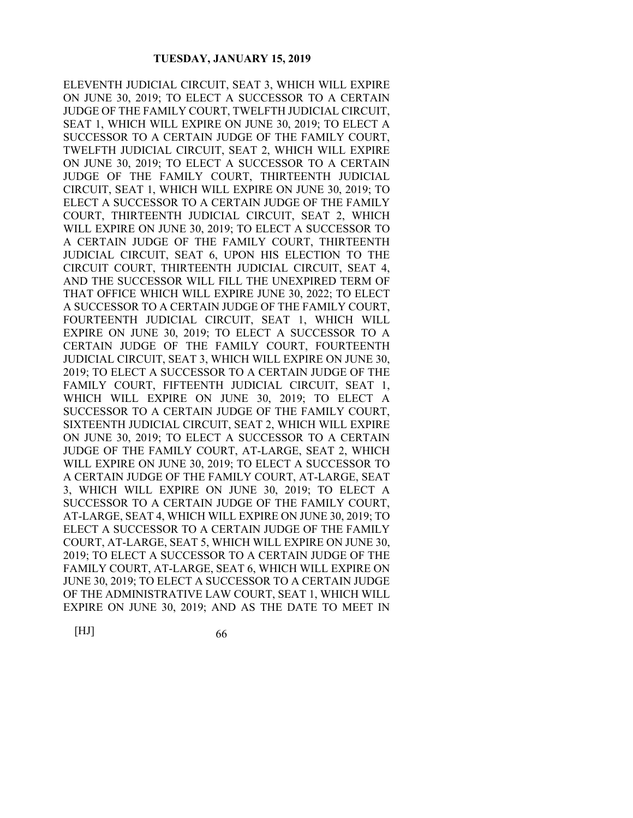ELEVENTH JUDICIAL CIRCUIT, SEAT 3, WHICH WILL EXPIRE ON JUNE 30, 2019; TO ELECT A SUCCESSOR TO A CERTAIN JUDGE OF THE FAMILY COURT, TWELFTH JUDICIAL CIRCUIT, SEAT 1, WHICH WILL EXPIRE ON JUNE 30, 2019; TO ELECT A SUCCESSOR TO A CERTAIN JUDGE OF THE FAMILY COURT, TWELFTH JUDICIAL CIRCUIT, SEAT 2, WHICH WILL EXPIRE ON JUNE 30, 2019; TO ELECT A SUCCESSOR TO A CERTAIN JUDGE OF THE FAMILY COURT, THIRTEENTH JUDICIAL CIRCUIT, SEAT 1, WHICH WILL EXPIRE ON JUNE 30, 2019; TO ELECT A SUCCESSOR TO A CERTAIN JUDGE OF THE FAMILY COURT, THIRTEENTH JUDICIAL CIRCUIT, SEAT 2, WHICH WILL EXPIRE ON JUNE 30, 2019; TO ELECT A SUCCESSOR TO A CERTAIN JUDGE OF THE FAMILY COURT, THIRTEENTH JUDICIAL CIRCUIT, SEAT 6, UPON HIS ELECTION TO THE CIRCUIT COURT, THIRTEENTH JUDICIAL CIRCUIT, SEAT 4, AND THE SUCCESSOR WILL FILL THE UNEXPIRED TERM OF THAT OFFICE WHICH WILL EXPIRE JUNE 30, 2022; TO ELECT A SUCCESSOR TO A CERTAIN JUDGE OF THE FAMILY COURT, FOURTEENTH JUDICIAL CIRCUIT, SEAT 1, WHICH WILL EXPIRE ON JUNE 30, 2019; TO ELECT A SUCCESSOR TO A CERTAIN JUDGE OF THE FAMILY COURT, FOURTEENTH JUDICIAL CIRCUIT, SEAT 3, WHICH WILL EXPIRE ON JUNE 30, 2019; TO ELECT A SUCCESSOR TO A CERTAIN JUDGE OF THE FAMILY COURT, FIFTEENTH JUDICIAL CIRCUIT, SEAT 1, WHICH WILL EXPIRE ON JUNE 30, 2019; TO ELECT A SUCCESSOR TO A CERTAIN JUDGE OF THE FAMILY COURT, SIXTEENTH JUDICIAL CIRCUIT, SEAT 2, WHICH WILL EXPIRE ON JUNE 30, 2019; TO ELECT A SUCCESSOR TO A CERTAIN JUDGE OF THE FAMILY COURT, AT-LARGE, SEAT 2, WHICH WILL EXPIRE ON JUNE 30, 2019; TO ELECT A SUCCESSOR TO A CERTAIN JUDGE OF THE FAMILY COURT, AT-LARGE, SEAT 3, WHICH WILL EXPIRE ON JUNE 30, 2019; TO ELECT A SUCCESSOR TO A CERTAIN JUDGE OF THE FAMILY COURT, AT-LARGE, SEAT 4, WHICH WILL EXPIRE ON JUNE 30, 2019; TO ELECT A SUCCESSOR TO A CERTAIN JUDGE OF THE FAMILY COURT, AT-LARGE, SEAT 5, WHICH WILL EXPIRE ON JUNE 30, 2019; TO ELECT A SUCCESSOR TO A CERTAIN JUDGE OF THE FAMILY COURT, AT-LARGE, SEAT 6, WHICH WILL EXPIRE ON JUNE 30, 2019; TO ELECT A SUCCESSOR TO A CERTAIN JUDGE OF THE ADMINISTRATIVE LAW COURT, SEAT 1, WHICH WILL EXPIRE ON JUNE 30, 2019; AND AS THE DATE TO MEET IN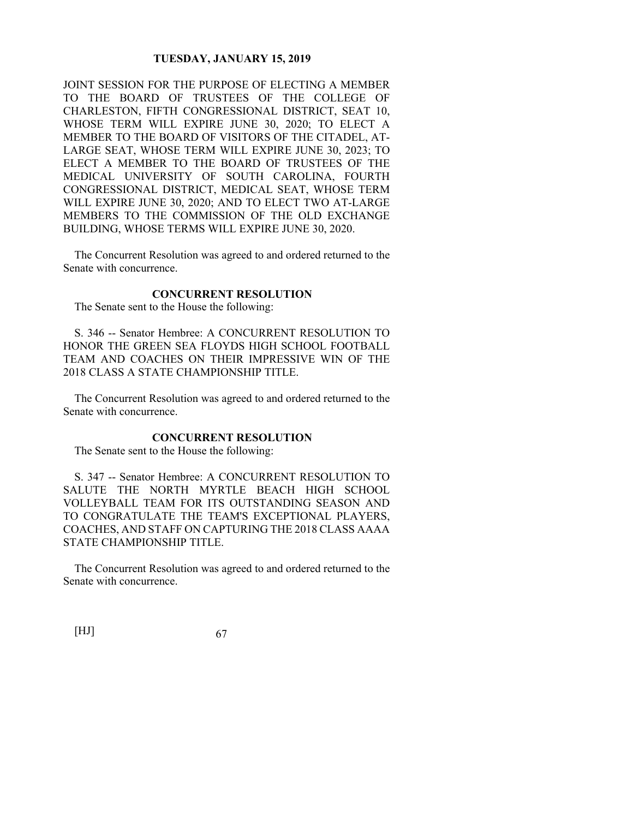JOINT SESSION FOR THE PURPOSE OF ELECTING A MEMBER TO THE BOARD OF TRUSTEES OF THE COLLEGE OF CHARLESTON, FIFTH CONGRESSIONAL DISTRICT, SEAT 10, WHOSE TERM WILL EXPIRE JUNE 30, 2020; TO ELECT A MEMBER TO THE BOARD OF VISITORS OF THE CITADEL, AT-LARGE SEAT, WHOSE TERM WILL EXPIRE JUNE 30, 2023; TO ELECT A MEMBER TO THE BOARD OF TRUSTEES OF THE MEDICAL UNIVERSITY OF SOUTH CAROLINA, FOURTH CONGRESSIONAL DISTRICT, MEDICAL SEAT, WHOSE TERM WILL EXPIRE JUNE 30, 2020; AND TO ELECT TWO AT-LARGE MEMBERS TO THE COMMISSION OF THE OLD EXCHANGE BUILDING, WHOSE TERMS WILL EXPIRE JUNE 30, 2020.

The Concurrent Resolution was agreed to and ordered returned to the Senate with concurrence.

# **CONCURRENT RESOLUTION**

The Senate sent to the House the following:

S. 346 -- Senator Hembree: A CONCURRENT RESOLUTION TO HONOR THE GREEN SEA FLOYDS HIGH SCHOOL FOOTBALL TEAM AND COACHES ON THEIR IMPRESSIVE WIN OF THE 2018 CLASS A STATE CHAMPIONSHIP TITLE.

The Concurrent Resolution was agreed to and ordered returned to the Senate with concurrence.

# **CONCURRENT RESOLUTION**

The Senate sent to the House the following:

S. 347 -- Senator Hembree: A CONCURRENT RESOLUTION TO SALUTE THE NORTH MYRTLE BEACH HIGH SCHOOL VOLLEYBALL TEAM FOR ITS OUTSTANDING SEASON AND TO CONGRATULATE THE TEAM'S EXCEPTIONAL PLAYERS, COACHES, AND STAFF ON CAPTURING THE 2018 CLASS AAAA STATE CHAMPIONSHIP TITLE.

The Concurrent Resolution was agreed to and ordered returned to the Senate with concurrence.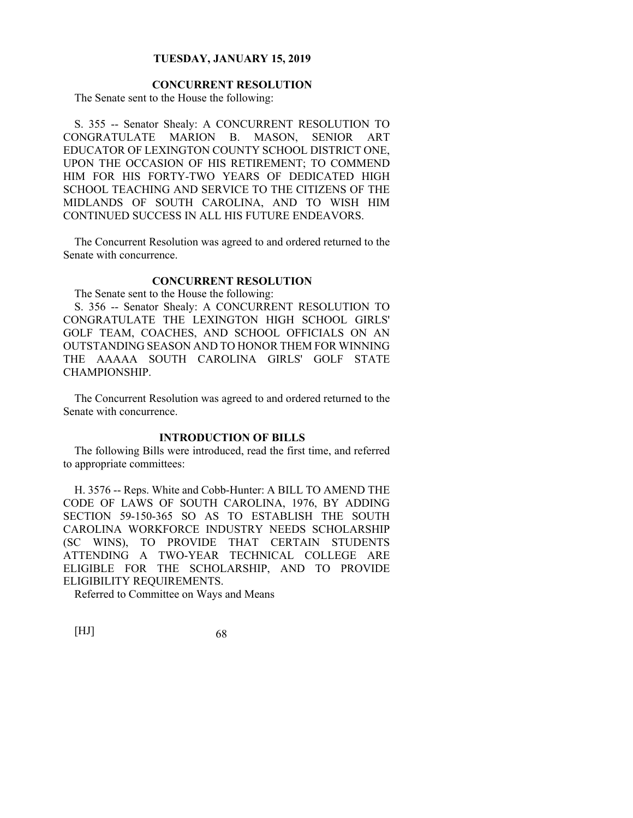## **CONCURRENT RESOLUTION**

The Senate sent to the House the following:

S. 355 -- Senator Shealy: A CONCURRENT RESOLUTION TO CONGRATULATE MARION B. MASON, SENIOR ART EDUCATOR OF LEXINGTON COUNTY SCHOOL DISTRICT ONE, UPON THE OCCASION OF HIS RETIREMENT; TO COMMEND HIM FOR HIS FORTY-TWO YEARS OF DEDICATED HIGH SCHOOL TEACHING AND SERVICE TO THE CITIZENS OF THE MIDLANDS OF SOUTH CAROLINA, AND TO WISH HIM CONTINUED SUCCESS IN ALL HIS FUTURE ENDEAVORS.

The Concurrent Resolution was agreed to and ordered returned to the Senate with concurrence.

### **CONCURRENT RESOLUTION**

The Senate sent to the House the following:

S. 356 -- Senator Shealy: A CONCURRENT RESOLUTION TO CONGRATULATE THE LEXINGTON HIGH SCHOOL GIRLS' GOLF TEAM, COACHES, AND SCHOOL OFFICIALS ON AN OUTSTANDING SEASON AND TO HONOR THEM FOR WINNING THE AAAAA SOUTH CAROLINA GIRLS' GOLF STATE CHAMPIONSHIP.

The Concurrent Resolution was agreed to and ordered returned to the Senate with concurrence.

## **INTRODUCTION OF BILLS**

The following Bills were introduced, read the first time, and referred to appropriate committees:

H. 3576 -- Reps. White and Cobb-Hunter: A BILL TO AMEND THE CODE OF LAWS OF SOUTH CAROLINA, 1976, BY ADDING SECTION 59-150-365 SO AS TO ESTABLISH THE SOUTH CAROLINA WORKFORCE INDUSTRY NEEDS SCHOLARSHIP (SC WINS), TO PROVIDE THAT CERTAIN STUDENTS ATTENDING A TWO-YEAR TECHNICAL COLLEGE ARE ELIGIBLE FOR THE SCHOLARSHIP, AND TO PROVIDE ELIGIBILITY REQUIREMENTS.

Referred to Committee on Ways and Means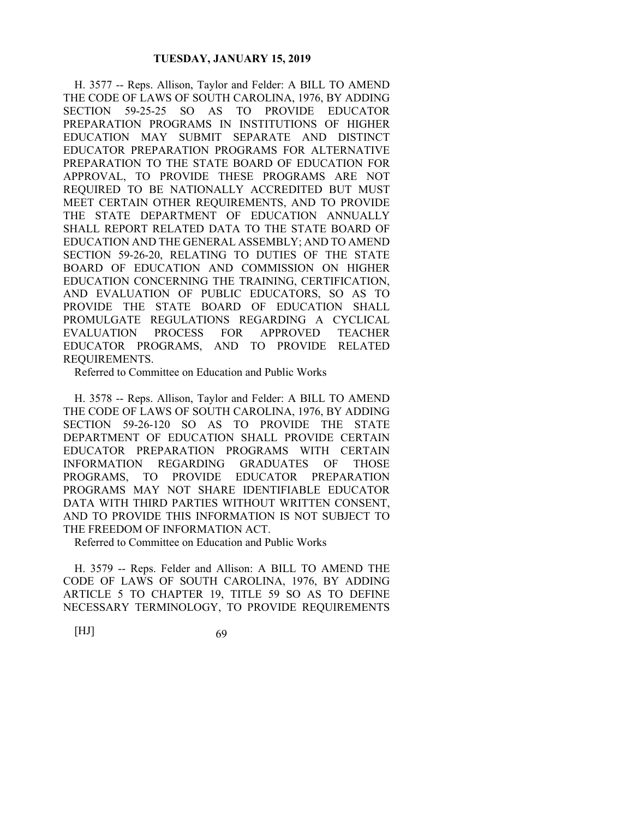H. 3577 -- Reps. Allison, Taylor and Felder: A BILL TO AMEND THE CODE OF LAWS OF SOUTH CAROLINA, 1976, BY ADDING SECTION 59-25-25 SO AS TO PROVIDE EDUCATOR PREPARATION PROGRAMS IN INSTITUTIONS OF HIGHER EDUCATION MAY SUBMIT SEPARATE AND DISTINCT EDUCATOR PREPARATION PROGRAMS FOR ALTERNATIVE PREPARATION TO THE STATE BOARD OF EDUCATION FOR APPROVAL, TO PROVIDE THESE PROGRAMS ARE NOT REQUIRED TO BE NATIONALLY ACCREDITED BUT MUST MEET CERTAIN OTHER REQUIREMENTS, AND TO PROVIDE THE STATE DEPARTMENT OF EDUCATION ANNUALLY SHALL REPORT RELATED DATA TO THE STATE BOARD OF EDUCATION AND THE GENERAL ASSEMBLY; AND TO AMEND SECTION 59-26-20, RELATING TO DUTIES OF THE STATE BOARD OF EDUCATION AND COMMISSION ON HIGHER EDUCATION CONCERNING THE TRAINING, CERTIFICATION, AND EVALUATION OF PUBLIC EDUCATORS, SO AS TO PROVIDE THE STATE BOARD OF EDUCATION SHALL PROMULGATE REGULATIONS REGARDING A CYCLICAL EVALUATION PROCESS FOR APPROVED TEACHER EDUCATOR PROGRAMS, AND TO PROVIDE RELATED REQUIREMENTS.

Referred to Committee on Education and Public Works

H. 3578 -- Reps. Allison, Taylor and Felder: A BILL TO AMEND THE CODE OF LAWS OF SOUTH CAROLINA, 1976, BY ADDING SECTION 59-26-120 SO AS TO PROVIDE THE STATE DEPARTMENT OF EDUCATION SHALL PROVIDE CERTAIN EDUCATOR PREPARATION PROGRAMS WITH CERTAIN INFORMATION REGARDING GRADUATES OF THOSE PROGRAMS, TO PROVIDE EDUCATOR PREPARATION PROGRAMS MAY NOT SHARE IDENTIFIABLE EDUCATOR DATA WITH THIRD PARTIES WITHOUT WRITTEN CONSENT, AND TO PROVIDE THIS INFORMATION IS NOT SUBJECT TO THE FREEDOM OF INFORMATION ACT.

Referred to Committee on Education and Public Works

H. 3579 -- Reps. Felder and Allison: A BILL TO AMEND THE CODE OF LAWS OF SOUTH CAROLINA, 1976, BY ADDING ARTICLE 5 TO CHAPTER 19, TITLE 59 SO AS TO DEFINE NECESSARY TERMINOLOGY, TO PROVIDE REQUIREMENTS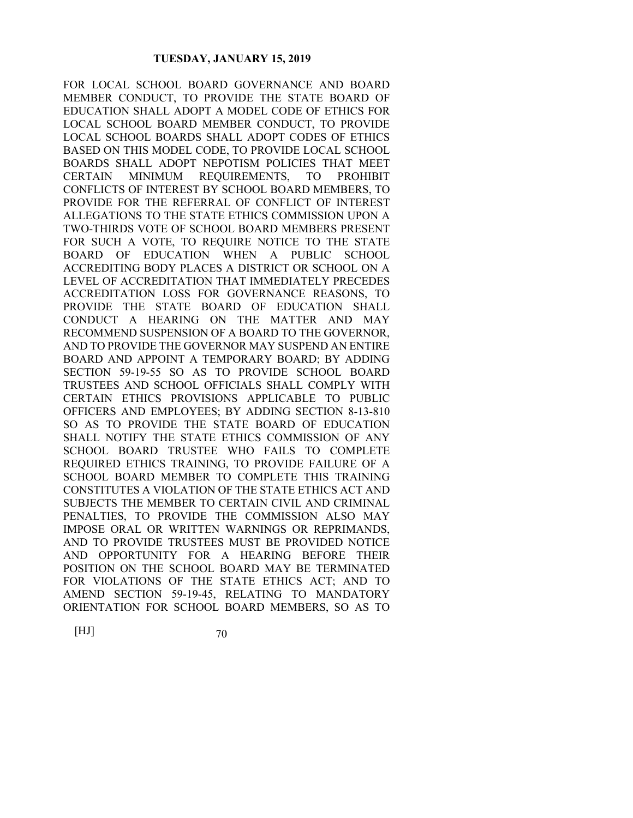FOR LOCAL SCHOOL BOARD GOVERNANCE AND BOARD MEMBER CONDUCT, TO PROVIDE THE STATE BOARD OF EDUCATION SHALL ADOPT A MODEL CODE OF ETHICS FOR LOCAL SCHOOL BOARD MEMBER CONDUCT, TO PROVIDE LOCAL SCHOOL BOARDS SHALL ADOPT CODES OF ETHICS BASED ON THIS MODEL CODE, TO PROVIDE LOCAL SCHOOL BOARDS SHALL ADOPT NEPOTISM POLICIES THAT MEET CERTAIN MINIMUM REQUIREMENTS, TO PROHIBIT CONFLICTS OF INTEREST BY SCHOOL BOARD MEMBERS, TO PROVIDE FOR THE REFERRAL OF CONFLICT OF INTEREST ALLEGATIONS TO THE STATE ETHICS COMMISSION UPON A TWO-THIRDS VOTE OF SCHOOL BOARD MEMBERS PRESENT FOR SUCH A VOTE, TO REQUIRE NOTICE TO THE STATE BOARD OF EDUCATION WHEN A PUBLIC SCHOOL ACCREDITING BODY PLACES A DISTRICT OR SCHOOL ON A LEVEL OF ACCREDITATION THAT IMMEDIATELY PRECEDES ACCREDITATION LOSS FOR GOVERNANCE REASONS, TO PROVIDE THE STATE BOARD OF EDUCATION SHALL CONDUCT A HEARING ON THE MATTER AND MAY RECOMMEND SUSPENSION OF A BOARD TO THE GOVERNOR, AND TO PROVIDE THE GOVERNOR MAY SUSPEND AN ENTIRE BOARD AND APPOINT A TEMPORARY BOARD; BY ADDING SECTION 59-19-55 SO AS TO PROVIDE SCHOOL BOARD TRUSTEES AND SCHOOL OFFICIALS SHALL COMPLY WITH CERTAIN ETHICS PROVISIONS APPLICABLE TO PUBLIC OFFICERS AND EMPLOYEES; BY ADDING SECTION 8-13-810 SO AS TO PROVIDE THE STATE BOARD OF EDUCATION SHALL NOTIFY THE STATE ETHICS COMMISSION OF ANY SCHOOL BOARD TRUSTEE WHO FAILS TO COMPLETE REQUIRED ETHICS TRAINING, TO PROVIDE FAILURE OF A SCHOOL BOARD MEMBER TO COMPLETE THIS TRAINING CONSTITUTES A VIOLATION OF THE STATE ETHICS ACT AND SUBJECTS THE MEMBER TO CERTAIN CIVIL AND CRIMINAL PENALTIES, TO PROVIDE THE COMMISSION ALSO MAY IMPOSE ORAL OR WRITTEN WARNINGS OR REPRIMANDS, AND TO PROVIDE TRUSTEES MUST BE PROVIDED NOTICE AND OPPORTUNITY FOR A HEARING BEFORE THEIR POSITION ON THE SCHOOL BOARD MAY BE TERMINATED FOR VIOLATIONS OF THE STATE ETHICS ACT; AND TO AMEND SECTION 59-19-45, RELATING TO MANDATORY ORIENTATION FOR SCHOOL BOARD MEMBERS, SO AS TO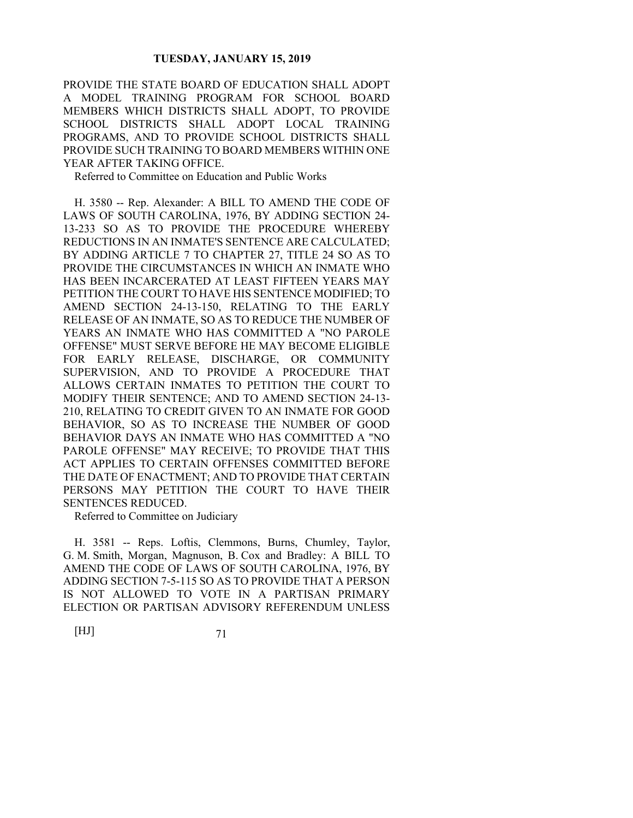PROVIDE THE STATE BOARD OF EDUCATION SHALL ADOPT A MODEL TRAINING PROGRAM FOR SCHOOL BOARD MEMBERS WHICH DISTRICTS SHALL ADOPT, TO PROVIDE SCHOOL DISTRICTS SHALL ADOPT LOCAL TRAINING PROGRAMS, AND TO PROVIDE SCHOOL DISTRICTS SHALL PROVIDE SUCH TRAINING TO BOARD MEMBERS WITHIN ONE YEAR AFTER TAKING OFFICE.

Referred to Committee on Education and Public Works

H. 3580 -- Rep. Alexander: A BILL TO AMEND THE CODE OF LAWS OF SOUTH CAROLINA, 1976, BY ADDING SECTION 24- 13-233 SO AS TO PROVIDE THE PROCEDURE WHEREBY REDUCTIONS IN AN INMATE'S SENTENCE ARE CALCULATED; BY ADDING ARTICLE 7 TO CHAPTER 27, TITLE 24 SO AS TO PROVIDE THE CIRCUMSTANCES IN WHICH AN INMATE WHO HAS BEEN INCARCERATED AT LEAST FIFTEEN YEARS MAY PETITION THE COURT TO HAVE HIS SENTENCE MODIFIED; TO AMEND SECTION 24-13-150, RELATING TO THE EARLY RELEASE OF AN INMATE, SO AS TO REDUCE THE NUMBER OF YEARS AN INMATE WHO HAS COMMITTED A "NO PAROLE OFFENSE" MUST SERVE BEFORE HE MAY BECOME ELIGIBLE FOR EARLY RELEASE, DISCHARGE, OR COMMUNITY SUPERVISION, AND TO PROVIDE A PROCEDURE THAT ALLOWS CERTAIN INMATES TO PETITION THE COURT TO MODIFY THEIR SENTENCE; AND TO AMEND SECTION 24-13- 210, RELATING TO CREDIT GIVEN TO AN INMATE FOR GOOD BEHAVIOR, SO AS TO INCREASE THE NUMBER OF GOOD BEHAVIOR DAYS AN INMATE WHO HAS COMMITTED A "NO PAROLE OFFENSE" MAY RECEIVE; TO PROVIDE THAT THIS ACT APPLIES TO CERTAIN OFFENSES COMMITTED BEFORE THE DATE OF ENACTMENT; AND TO PROVIDE THAT CERTAIN PERSONS MAY PETITION THE COURT TO HAVE THEIR SENTENCES REDUCED.

Referred to Committee on Judiciary

H. 3581 -- Reps. Loftis, Clemmons, Burns, Chumley, Taylor, G. M. Smith, Morgan, Magnuson, B. Cox and Bradley: A BILL TO AMEND THE CODE OF LAWS OF SOUTH CAROLINA, 1976, BY ADDING SECTION 7-5-115 SO AS TO PROVIDE THAT A PERSON IS NOT ALLOWED TO VOTE IN A PARTISAN PRIMARY ELECTION OR PARTISAN ADVISORY REFERENDUM UNLESS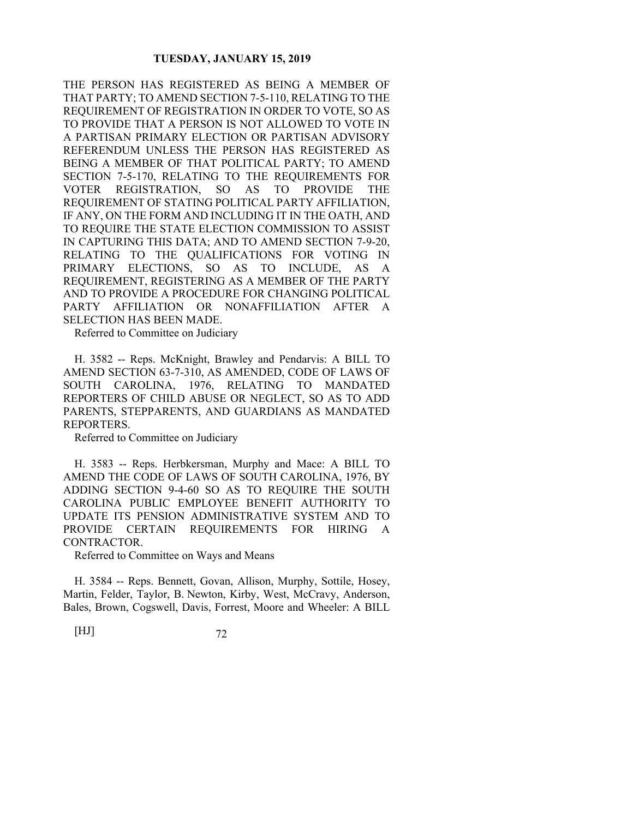THE PERSON HAS REGISTERED AS BEING A MEMBER OF THAT PARTY; TO AMEND SECTION 7-5-110, RELATING TO THE REQUIREMENT OF REGISTRATION IN ORDER TO VOTE, SO AS TO PROVIDE THAT A PERSON IS NOT ALLOWED TO VOTE IN A PARTISAN PRIMARY ELECTION OR PARTISAN ADVISORY REFERENDUM UNLESS THE PERSON HAS REGISTERED AS BEING A MEMBER OF THAT POLITICAL PARTY; TO AMEND SECTION 7-5-170, RELATING TO THE REQUIREMENTS FOR VOTER REGISTRATION, SO AS TO PROVIDE THE REQUIREMENT OF STATING POLITICAL PARTY AFFILIATION, IF ANY, ON THE FORM AND INCLUDING IT IN THE OATH, AND TO REQUIRE THE STATE ELECTION COMMISSION TO ASSIST IN CAPTURING THIS DATA; AND TO AMEND SECTION 7-9-20, RELATING TO THE QUALIFICATIONS FOR VOTING IN PRIMARY ELECTIONS, SO AS TO INCLUDE, AS A REQUIREMENT, REGISTERING AS A MEMBER OF THE PARTY AND TO PROVIDE A PROCEDURE FOR CHANGING POLITICAL PARTY AFFILIATION OR NONAFFILIATION AFTER A SELECTION HAS BEEN MADE.

Referred to Committee on Judiciary

H. 3582 -- Reps. McKnight, Brawley and Pendarvis: A BILL TO AMEND SECTION 63-7-310, AS AMENDED, CODE OF LAWS OF SOUTH CAROLINA, 1976, RELATING TO MANDATED REPORTERS OF CHILD ABUSE OR NEGLECT, SO AS TO ADD PARENTS, STEPPARENTS, AND GUARDIANS AS MANDATED REPORTERS.

Referred to Committee on Judiciary

H. 3583 -- Reps. Herbkersman, Murphy and Mace: A BILL TO AMEND THE CODE OF LAWS OF SOUTH CAROLINA, 1976, BY ADDING SECTION 9-4-60 SO AS TO REQUIRE THE SOUTH CAROLINA PUBLIC EMPLOYEE BENEFIT AUTHORITY TO UPDATE ITS PENSION ADMINISTRATIVE SYSTEM AND TO PROVIDE CERTAIN REQUIREMENTS FOR HIRING A CONTRACTOR.

Referred to Committee on Ways and Means

H. 3584 -- Reps. Bennett, Govan, Allison, Murphy, Sottile, Hosey, Martin, Felder, Taylor, B. Newton, Kirby, West, McCravy, Anderson, Bales, Brown, Cogswell, Davis, Forrest, Moore and Wheeler: A BILL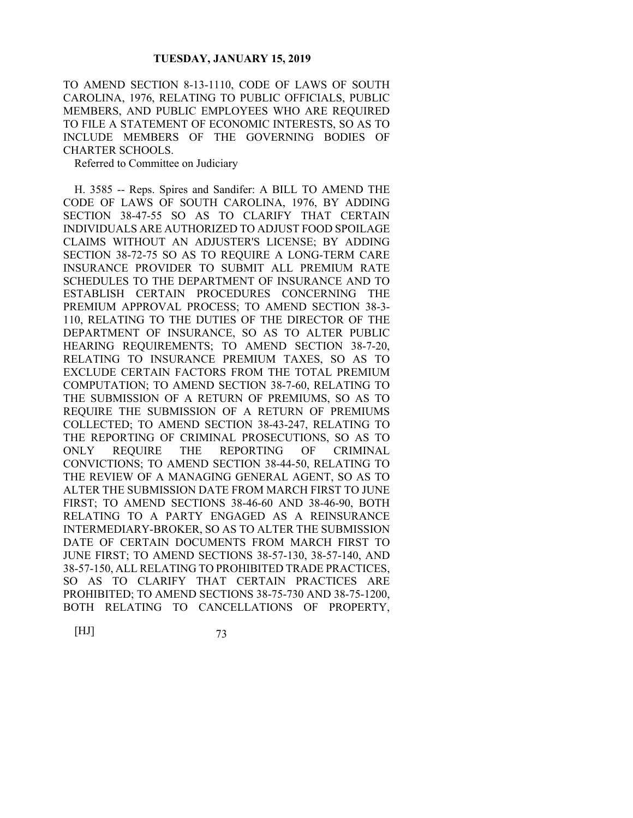TO AMEND SECTION 8-13-1110, CODE OF LAWS OF SOUTH CAROLINA, 1976, RELATING TO PUBLIC OFFICIALS, PUBLIC MEMBERS, AND PUBLIC EMPLOYEES WHO ARE REQUIRED TO FILE A STATEMENT OF ECONOMIC INTERESTS, SO AS TO INCLUDE MEMBERS OF THE GOVERNING BODIES OF CHARTER SCHOOLS.

Referred to Committee on Judiciary

H. 3585 -- Reps. Spires and Sandifer: A BILL TO AMEND THE CODE OF LAWS OF SOUTH CAROLINA, 1976, BY ADDING SECTION 38-47-55 SO AS TO CLARIFY THAT CERTAIN INDIVIDUALS ARE AUTHORIZED TO ADJUST FOOD SPOILAGE CLAIMS WITHOUT AN ADJUSTER'S LICENSE; BY ADDING SECTION 38-72-75 SO AS TO REQUIRE A LONG-TERM CARE INSURANCE PROVIDER TO SUBMIT ALL PREMIUM RATE SCHEDULES TO THE DEPARTMENT OF INSURANCE AND TO ESTABLISH CERTAIN PROCEDURES CONCERNING THE PREMIUM APPROVAL PROCESS; TO AMEND SECTION 38-3- 110, RELATING TO THE DUTIES OF THE DIRECTOR OF THE DEPARTMENT OF INSURANCE, SO AS TO ALTER PUBLIC HEARING REQUIREMENTS; TO AMEND SECTION 38-7-20, RELATING TO INSURANCE PREMIUM TAXES, SO AS TO EXCLUDE CERTAIN FACTORS FROM THE TOTAL PREMIUM COMPUTATION; TO AMEND SECTION 38-7-60, RELATING TO THE SUBMISSION OF A RETURN OF PREMIUMS, SO AS TO REQUIRE THE SUBMISSION OF A RETURN OF PREMIUMS COLLECTED; TO AMEND SECTION 38-43-247, RELATING TO THE REPORTING OF CRIMINAL PROSECUTIONS, SO AS TO ONLY REQUIRE THE REPORTING OF CRIMINAL CONVICTIONS; TO AMEND SECTION 38-44-50, RELATING TO THE REVIEW OF A MANAGING GENERAL AGENT, SO AS TO ALTER THE SUBMISSION DATE FROM MARCH FIRST TO JUNE FIRST; TO AMEND SECTIONS 38-46-60 AND 38-46-90, BOTH RELATING TO A PARTY ENGAGED AS A REINSURANCE INTERMEDIARY-BROKER, SO AS TO ALTER THE SUBMISSION DATE OF CERTAIN DOCUMENTS FROM MARCH FIRST TO JUNE FIRST; TO AMEND SECTIONS 38-57-130, 38-57-140, AND 38-57-150, ALL RELATING TO PROHIBITED TRADE PRACTICES, SO AS TO CLARIFY THAT CERTAIN PRACTICES ARE PROHIBITED; TO AMEND SECTIONS 38-75-730 AND 38-75-1200, BOTH RELATING TO CANCELLATIONS OF PROPERTY,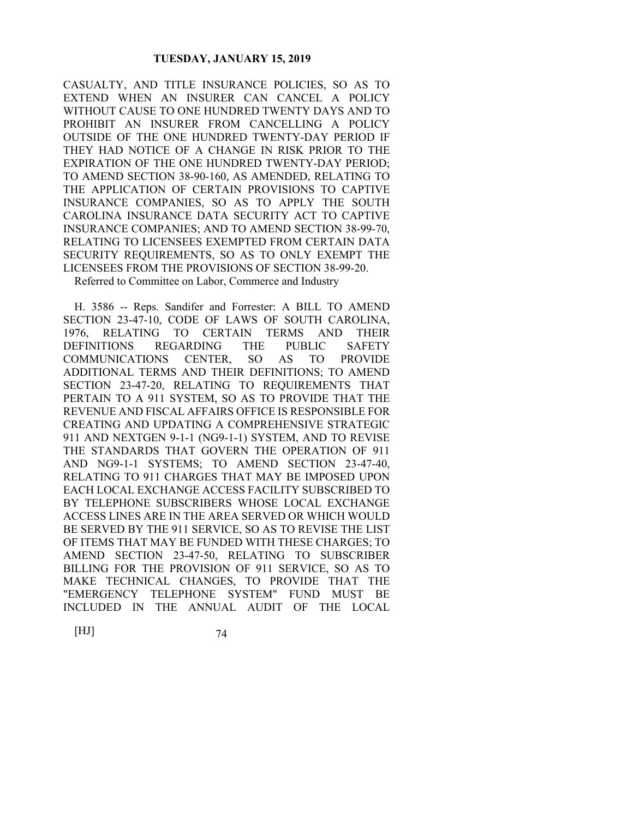CASUALTY, AND TITLE INSURANCE POLICIES, SO AS TO EXTEND WHEN AN INSURER CAN CANCEL A POLICY WITHOUT CAUSE TO ONE HUNDRED TWENTY DAYS AND TO PROHIBIT AN INSURER FROM CANCELLING A POLICY OUTSIDE OF THE ONE HUNDRED TWENTY-DAY PERIOD IF THEY HAD NOTICE OF A CHANGE IN RISK PRIOR TO THE EXPIRATION OF THE ONE HUNDRED TWENTY-DAY PERIOD; TO AMEND SECTION 38-90-160, AS AMENDED, RELATING TO THE APPLICATION OF CERTAIN PROVISIONS TO CAPTIVE INSURANCE COMPANIES, SO AS TO APPLY THE SOUTH CAROLINA INSURANCE DATA SECURITY ACT TO CAPTIVE INSURANCE COMPANIES; AND TO AMEND SECTION 38-99-70, RELATING TO LICENSEES EXEMPTED FROM CERTAIN DATA SECURITY REQUIREMENTS, SO AS TO ONLY EXEMPT THE LICENSEES FROM THE PROVISIONS OF SECTION 38-99-20.

Referred to Committee on Labor, Commerce and Industry

H. 3586 -- Reps. Sandifer and Forrester: A BILL TO AMEND SECTION 23-47-10, CODE OF LAWS OF SOUTH CAROLINA, 1976, RELATING TO CERTAIN TERMS AND THEIR DEFINITIONS REGARDING THE PUBLIC SAFETY COMMUNICATIONS CENTER, SO AS TO PROVIDE ADDITIONAL TERMS AND THEIR DEFINITIONS; TO AMEND SECTION 23-47-20, RELATING TO REQUIREMENTS THAT PERTAIN TO A 911 SYSTEM, SO AS TO PROVIDE THAT THE REVENUE AND FISCAL AFFAIRS OFFICE IS RESPONSIBLE FOR CREATING AND UPDATING A COMPREHENSIVE STRATEGIC 911 AND NEXTGEN 9-1-1 (NG9-1-1) SYSTEM, AND TO REVISE THE STANDARDS THAT GOVERN THE OPERATION OF 911 AND NG9-1-1 SYSTEMS; TO AMEND SECTION 23-47-40, RELATING TO 911 CHARGES THAT MAY BE IMPOSED UPON EACH LOCAL EXCHANGE ACCESS FACILITY SUBSCRIBED TO BY TELEPHONE SUBSCRIBERS WHOSE LOCAL EXCHANGE ACCESS LINES ARE IN THE AREA SERVED OR WHICH WOULD BE SERVED BY THE 911 SERVICE, SO AS TO REVISE THE LIST OF ITEMS THAT MAY BE FUNDED WITH THESE CHARGES; TO AMEND SECTION 23-47-50, RELATING TO SUBSCRIBER BILLING FOR THE PROVISION OF 911 SERVICE, SO AS TO MAKE TECHNICAL CHANGES, TO PROVIDE THAT THE "EMERGENCY TELEPHONE SYSTEM" FUND MUST BE INCLUDED IN THE ANNUAL AUDIT OF THE LOCAL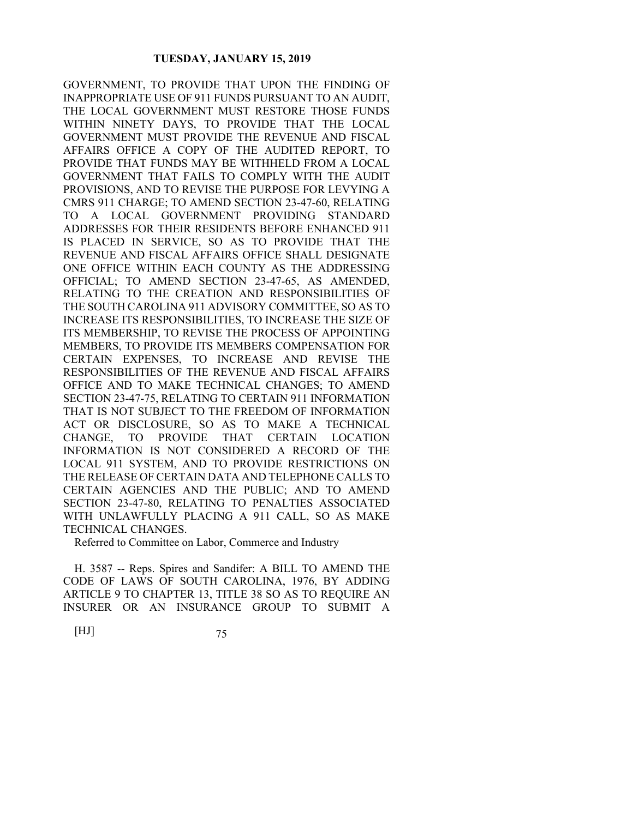GOVERNMENT, TO PROVIDE THAT UPON THE FINDING OF INAPPROPRIATE USE OF 911 FUNDS PURSUANT TO AN AUDIT, THE LOCAL GOVERNMENT MUST RESTORE THOSE FUNDS WITHIN NINETY DAYS, TO PROVIDE THAT THE LOCAL GOVERNMENT MUST PROVIDE THE REVENUE AND FISCAL AFFAIRS OFFICE A COPY OF THE AUDITED REPORT, TO PROVIDE THAT FUNDS MAY BE WITHHELD FROM A LOCAL GOVERNMENT THAT FAILS TO COMPLY WITH THE AUDIT PROVISIONS, AND TO REVISE THE PURPOSE FOR LEVYING A CMRS 911 CHARGE; TO AMEND SECTION 23-47-60, RELATING TO A LOCAL GOVERNMENT PROVIDING STANDARD ADDRESSES FOR THEIR RESIDENTS BEFORE ENHANCED 911 IS PLACED IN SERVICE, SO AS TO PROVIDE THAT THE REVENUE AND FISCAL AFFAIRS OFFICE SHALL DESIGNATE ONE OFFICE WITHIN EACH COUNTY AS THE ADDRESSING OFFICIAL; TO AMEND SECTION 23-47-65, AS AMENDED, RELATING TO THE CREATION AND RESPONSIBILITIES OF THE SOUTH CAROLINA 911 ADVISORY COMMITTEE, SO AS TO INCREASE ITS RESPONSIBILITIES, TO INCREASE THE SIZE OF ITS MEMBERSHIP, TO REVISE THE PROCESS OF APPOINTING MEMBERS, TO PROVIDE ITS MEMBERS COMPENSATION FOR CERTAIN EXPENSES, TO INCREASE AND REVISE THE RESPONSIBILITIES OF THE REVENUE AND FISCAL AFFAIRS OFFICE AND TO MAKE TECHNICAL CHANGES; TO AMEND SECTION 23-47-75, RELATING TO CERTAIN 911 INFORMATION THAT IS NOT SUBJECT TO THE FREEDOM OF INFORMATION ACT OR DISCLOSURE, SO AS TO MAKE A TECHNICAL CHANGE, TO PROVIDE THAT CERTAIN LOCATION INFORMATION IS NOT CONSIDERED A RECORD OF THE LOCAL 911 SYSTEM, AND TO PROVIDE RESTRICTIONS ON THE RELEASE OF CERTAIN DATA AND TELEPHONE CALLS TO CERTAIN AGENCIES AND THE PUBLIC; AND TO AMEND SECTION 23-47-80, RELATING TO PENALTIES ASSOCIATED WITH UNLAWFULLY PLACING A 911 CALL, SO AS MAKE TECHNICAL CHANGES.

Referred to Committee on Labor, Commerce and Industry

H. 3587 -- Reps. Spires and Sandifer: A BILL TO AMEND THE CODE OF LAWS OF SOUTH CAROLINA, 1976, BY ADDING ARTICLE 9 TO CHAPTER 13, TITLE 38 SO AS TO REQUIRE AN INSURER OR AN INSURANCE GROUP TO SUBMIT A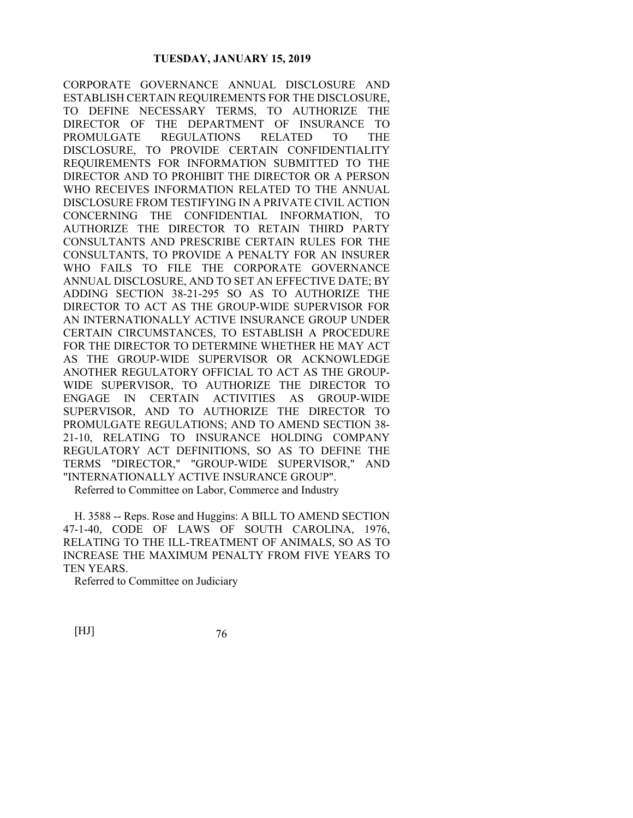CORPORATE GOVERNANCE ANNUAL DISCLOSURE AND ESTABLISH CERTAIN REQUIREMENTS FOR THE DISCLOSURE, TO DEFINE NECESSARY TERMS, TO AUTHORIZE THE DIRECTOR OF THE DEPARTMENT OF INSURANCE TO PROMULGATE REGULATIONS RELATED TO THE DISCLOSURE, TO PROVIDE CERTAIN CONFIDENTIALITY REQUIREMENTS FOR INFORMATION SUBMITTED TO THE DIRECTOR AND TO PROHIBIT THE DIRECTOR OR A PERSON WHO RECEIVES INFORMATION RELATED TO THE ANNUAL DISCLOSURE FROM TESTIFYING IN A PRIVATE CIVIL ACTION CONCERNING THE CONFIDENTIAL INFORMATION, TO AUTHORIZE THE DIRECTOR TO RETAIN THIRD PARTY CONSULTANTS AND PRESCRIBE CERTAIN RULES FOR THE CONSULTANTS, TO PROVIDE A PENALTY FOR AN INSURER WHO FAILS TO FILE THE CORPORATE GOVERNANCE ANNUAL DISCLOSURE, AND TO SET AN EFFECTIVE DATE; BY ADDING SECTION 38-21-295 SO AS TO AUTHORIZE THE DIRECTOR TO ACT AS THE GROUP-WIDE SUPERVISOR FOR AN INTERNATIONALLY ACTIVE INSURANCE GROUP UNDER CERTAIN CIRCUMSTANCES, TO ESTABLISH A PROCEDURE FOR THE DIRECTOR TO DETERMINE WHETHER HE MAY ACT AS THE GROUP-WIDE SUPERVISOR OR ACKNOWLEDGE ANOTHER REGULATORY OFFICIAL TO ACT AS THE GROUP-WIDE SUPERVISOR, TO AUTHORIZE THE DIRECTOR TO ENGAGE IN CERTAIN ACTIVITIES AS GROUP-WIDE SUPERVISOR, AND TO AUTHORIZE THE DIRECTOR TO PROMULGATE REGULATIONS; AND TO AMEND SECTION 38- 21-10, RELATING TO INSURANCE HOLDING COMPANY REGULATORY ACT DEFINITIONS, SO AS TO DEFINE THE TERMS "DIRECTOR," "GROUP-WIDE SUPERVISOR," AND "INTERNATIONALLY ACTIVE INSURANCE GROUP".

Referred to Committee on Labor, Commerce and Industry

H. 3588 -- Reps. Rose and Huggins: A BILL TO AMEND SECTION 47-1-40, CODE OF LAWS OF SOUTH CAROLINA, 1976, RELATING TO THE ILL-TREATMENT OF ANIMALS, SO AS TO INCREASE THE MAXIMUM PENALTY FROM FIVE YEARS TO TEN YEARS.

Referred to Committee on Judiciary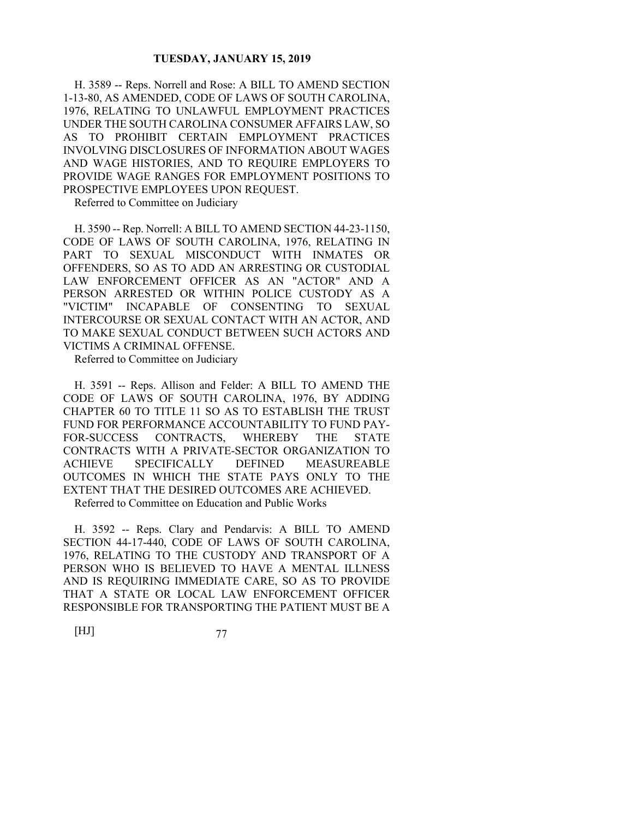H. 3589 -- Reps. Norrell and Rose: A BILL TO AMEND SECTION 1-13-80, AS AMENDED, CODE OF LAWS OF SOUTH CAROLINA, 1976, RELATING TO UNLAWFUL EMPLOYMENT PRACTICES UNDER THE SOUTH CAROLINA CONSUMER AFFAIRS LAW, SO AS TO PROHIBIT CERTAIN EMPLOYMENT PRACTICES INVOLVING DISCLOSURES OF INFORMATION ABOUT WAGES AND WAGE HISTORIES, AND TO REQUIRE EMPLOYERS TO PROVIDE WAGE RANGES FOR EMPLOYMENT POSITIONS TO PROSPECTIVE EMPLOYEES UPON REQUEST.

Referred to Committee on Judiciary

H. 3590 -- Rep. Norrell: A BILL TO AMEND SECTION 44-23-1150, CODE OF LAWS OF SOUTH CAROLINA, 1976, RELATING IN PART TO SEXUAL MISCONDUCT WITH INMATES OR OFFENDERS, SO AS TO ADD AN ARRESTING OR CUSTODIAL LAW ENFORCEMENT OFFICER AS AN "ACTOR" AND A PERSON ARRESTED OR WITHIN POLICE CUSTODY AS A "VICTIM" INCAPABLE OF CONSENTING TO SEXUAL INTERCOURSE OR SEXUAL CONTACT WITH AN ACTOR, AND TO MAKE SEXUAL CONDUCT BETWEEN SUCH ACTORS AND VICTIMS A CRIMINAL OFFENSE.

Referred to Committee on Judiciary

H. 3591 -- Reps. Allison and Felder: A BILL TO AMEND THE CODE OF LAWS OF SOUTH CAROLINA, 1976, BY ADDING CHAPTER 60 TO TITLE 11 SO AS TO ESTABLISH THE TRUST FUND FOR PERFORMANCE ACCOUNTABILITY TO FUND PAY-FOR-SUCCESS CONTRACTS, WHEREBY THE STATE CONTRACTS WITH A PRIVATE-SECTOR ORGANIZATION TO ACHIEVE SPECIFICALLY DEFINED MEASUREABLE OUTCOMES IN WHICH THE STATE PAYS ONLY TO THE EXTENT THAT THE DESIRED OUTCOMES ARE ACHIEVED. Referred to Committee on Education and Public Works

H. 3592 -- Reps. Clary and Pendarvis: A BILL TO AMEND SECTION 44-17-440, CODE OF LAWS OF SOUTH CAROLINA, 1976, RELATING TO THE CUSTODY AND TRANSPORT OF A PERSON WHO IS BELIEVED TO HAVE A MENTAL ILLNESS AND IS REQUIRING IMMEDIATE CARE, SO AS TO PROVIDE THAT A STATE OR LOCAL LAW ENFORCEMENT OFFICER RESPONSIBLE FOR TRANSPORTING THE PATIENT MUST BE A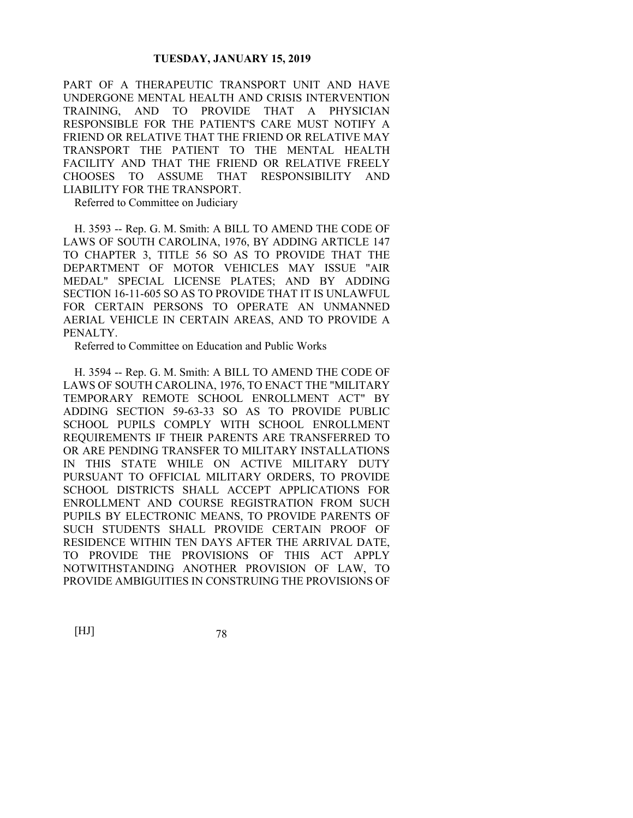PART OF A THERAPEUTIC TRANSPORT UNIT AND HAVE UNDERGONE MENTAL HEALTH AND CRISIS INTERVENTION TRAINING, AND TO PROVIDE THAT A PHYSICIAN RESPONSIBLE FOR THE PATIENT'S CARE MUST NOTIFY A FRIEND OR RELATIVE THAT THE FRIEND OR RELATIVE MAY TRANSPORT THE PATIENT TO THE MENTAL HEALTH FACILITY AND THAT THE FRIEND OR RELATIVE FREELY CHOOSES TO ASSUME THAT RESPONSIBILITY AND LIABILITY FOR THE TRANSPORT.

Referred to Committee on Judiciary

H. 3593 -- Rep. G. M. Smith: A BILL TO AMEND THE CODE OF LAWS OF SOUTH CAROLINA, 1976, BY ADDING ARTICLE 147 TO CHAPTER 3, TITLE 56 SO AS TO PROVIDE THAT THE DEPARTMENT OF MOTOR VEHICLES MAY ISSUE "AIR MEDAL" SPECIAL LICENSE PLATES; AND BY ADDING SECTION 16-11-605 SO AS TO PROVIDE THAT IT IS UNLAWFUL FOR CERTAIN PERSONS TO OPERATE AN UNMANNED AERIAL VEHICLE IN CERTAIN AREAS, AND TO PROVIDE A PENALTY.

Referred to Committee on Education and Public Works

H. 3594 -- Rep. G. M. Smith: A BILL TO AMEND THE CODE OF LAWS OF SOUTH CAROLINA, 1976, TO ENACT THE "MILITARY TEMPORARY REMOTE SCHOOL ENROLLMENT ACT" BY ADDING SECTION 59-63-33 SO AS TO PROVIDE PUBLIC SCHOOL PUPILS COMPLY WITH SCHOOL ENROLLMENT REQUIREMENTS IF THEIR PARENTS ARE TRANSFERRED TO OR ARE PENDING TRANSFER TO MILITARY INSTALLATIONS IN THIS STATE WHILE ON ACTIVE MILITARY DUTY PURSUANT TO OFFICIAL MILITARY ORDERS, TO PROVIDE SCHOOL DISTRICTS SHALL ACCEPT APPLICATIONS FOR ENROLLMENT AND COURSE REGISTRATION FROM SUCH PUPILS BY ELECTRONIC MEANS, TO PROVIDE PARENTS OF SUCH STUDENTS SHALL PROVIDE CERTAIN PROOF OF RESIDENCE WITHIN TEN DAYS AFTER THE ARRIVAL DATE, TO PROVIDE THE PROVISIONS OF THIS ACT APPLY NOTWITHSTANDING ANOTHER PROVISION OF LAW, TO PROVIDE AMBIGUITIES IN CONSTRUING THE PROVISIONS OF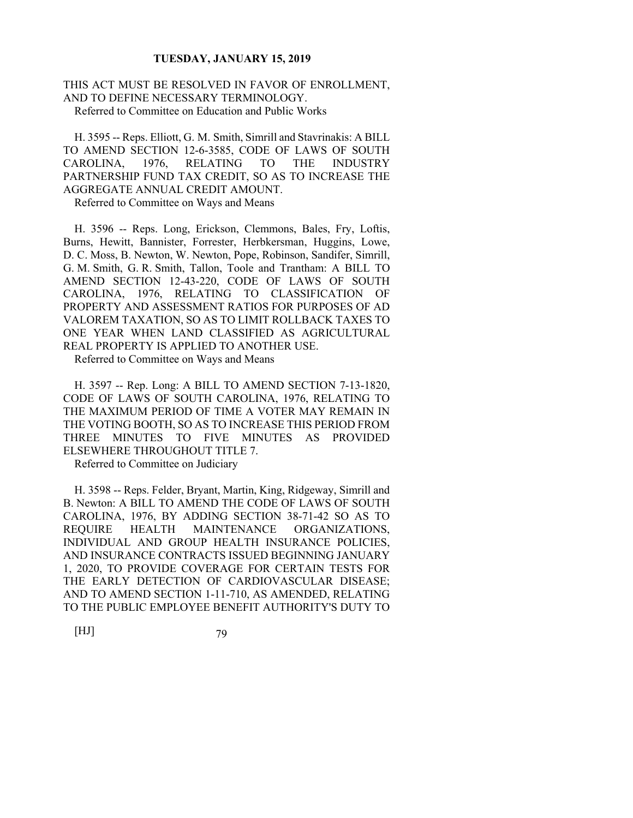THIS ACT MUST BE RESOLVED IN FAVOR OF ENROLLMENT, AND TO DEFINE NECESSARY TERMINOLOGY. Referred to Committee on Education and Public Works

H. 3595 -- Reps. Elliott, G. M. Smith, Simrill and Stavrinakis: A BILL TO AMEND SECTION 12-6-3585, CODE OF LAWS OF SOUTH CAROLINA, 1976, RELATING TO THE INDUSTRY PARTNERSHIP FUND TAX CREDIT, SO AS TO INCREASE THE AGGREGATE ANNUAL CREDIT AMOUNT.

Referred to Committee on Ways and Means

H. 3596 -- Reps. Long, Erickson, Clemmons, Bales, Fry, Loftis, Burns, Hewitt, Bannister, Forrester, Herbkersman, Huggins, Lowe, D. C. Moss, B. Newton, W. Newton, Pope, Robinson, Sandifer, Simrill, G. M. Smith, G. R. Smith, Tallon, Toole and Trantham: A BILL TO AMEND SECTION 12-43-220, CODE OF LAWS OF SOUTH CAROLINA, 1976, RELATING TO CLASSIFICATION OF PROPERTY AND ASSESSMENT RATIOS FOR PURPOSES OF AD VALOREM TAXATION, SO AS TO LIMIT ROLLBACK TAXES TO ONE YEAR WHEN LAND CLASSIFIED AS AGRICULTURAL REAL PROPERTY IS APPLIED TO ANOTHER USE.

Referred to Committee on Ways and Means

H. 3597 -- Rep. Long: A BILL TO AMEND SECTION 7-13-1820, CODE OF LAWS OF SOUTH CAROLINA, 1976, RELATING TO THE MAXIMUM PERIOD OF TIME A VOTER MAY REMAIN IN THE VOTING BOOTH, SO AS TO INCREASE THIS PERIOD FROM THREE MINUTES TO FIVE MINUTES AS PROVIDED ELSEWHERE THROUGHOUT TITLE 7.

Referred to Committee on Judiciary

H. 3598 -- Reps. Felder, Bryant, Martin, King, Ridgeway, Simrill and B. Newton: A BILL TO AMEND THE CODE OF LAWS OF SOUTH CAROLINA, 1976, BY ADDING SECTION 38-71-42 SO AS TO REQUIRE HEALTH MAINTENANCE ORGANIZATIONS, INDIVIDUAL AND GROUP HEALTH INSURANCE POLICIES, AND INSURANCE CONTRACTS ISSUED BEGINNING JANUARY 1, 2020, TO PROVIDE COVERAGE FOR CERTAIN TESTS FOR THE EARLY DETECTION OF CARDIOVASCULAR DISEASE; AND TO AMEND SECTION 1-11-710, AS AMENDED, RELATING TO THE PUBLIC EMPLOYEE BENEFIT AUTHORITY'S DUTY TO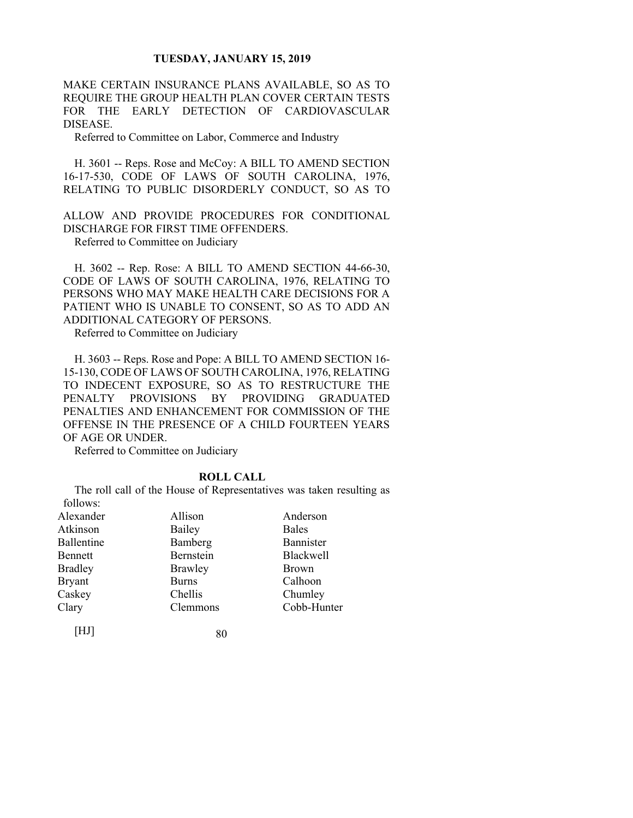MAKE CERTAIN INSURANCE PLANS AVAILABLE, SO AS TO REQUIRE THE GROUP HEALTH PLAN COVER CERTAIN TESTS FOR THE EARLY DETECTION OF CARDIOVASCULAR DISEASE.

Referred to Committee on Labor, Commerce and Industry

H. 3601 -- Reps. Rose and McCoy: A BILL TO AMEND SECTION 16-17-530, CODE OF LAWS OF SOUTH CAROLINA, 1976, RELATING TO PUBLIC DISORDERLY CONDUCT, SO AS TO

ALLOW AND PROVIDE PROCEDURES FOR CONDITIONAL DISCHARGE FOR FIRST TIME OFFENDERS.

Referred to Committee on Judiciary

H. 3602 -- Rep. Rose: A BILL TO AMEND SECTION 44-66-30, CODE OF LAWS OF SOUTH CAROLINA, 1976, RELATING TO PERSONS WHO MAY MAKE HEALTH CARE DECISIONS FOR A PATIENT WHO IS UNABLE TO CONSENT, SO AS TO ADD AN ADDITIONAL CATEGORY OF PERSONS.

Referred to Committee on Judiciary

H. 3603 -- Reps. Rose and Pope: A BILL TO AMEND SECTION 16- 15-130, CODE OF LAWS OF SOUTH CAROLINA, 1976, RELATING TO INDECENT EXPOSURE, SO AS TO RESTRUCTURE THE PENALTY PROVISIONS BY PROVIDING GRADUATED PENALTIES AND ENHANCEMENT FOR COMMISSION OF THE OFFENSE IN THE PRESENCE OF A CHILD FOURTEEN YEARS OF AGE OR UNDER.

Referred to Committee on Judiciary

## **ROLL CALL**

The roll call of the House of Representatives was taken resulting as follows:

| Alexander      | Allison      | Anderson         |
|----------------|--------------|------------------|
| Atkinson       | Bailey       | <b>Bales</b>     |
| Ballentine     | Bamberg      | Bannister        |
| Bennett        | Bernstein    | <b>Blackwell</b> |
| <b>Bradley</b> | Brawley      | <b>Brown</b>     |
| <b>Bryant</b>  | <b>Burns</b> | Calhoon          |
| Caskey         | Chellis      | Chumley          |
| Clary          | Clemmons     | Cobb-Hunter      |
|                |              |                  |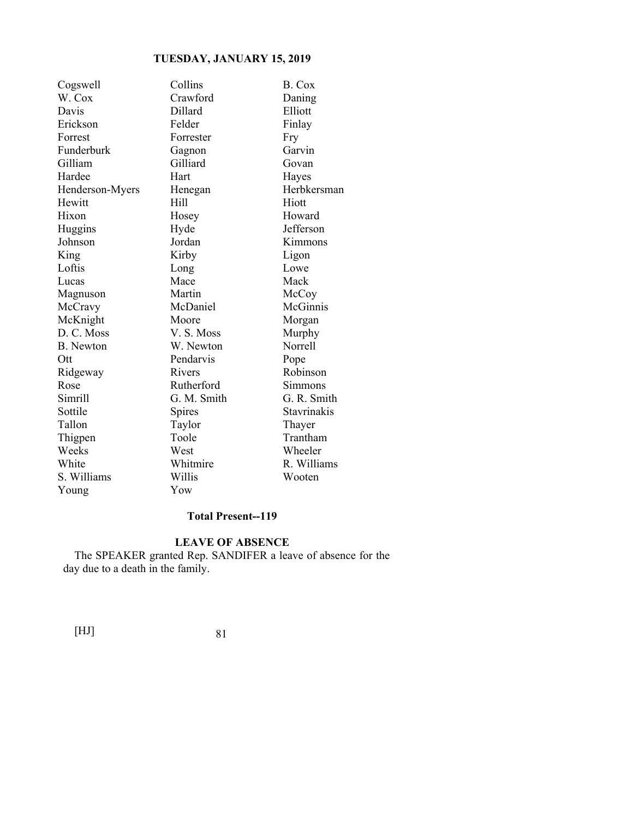| Cogswell         | Collins     | B. Cox      |
|------------------|-------------|-------------|
| W. Cox           | Crawford    | Daning      |
| Davis            | Dillard     | Elliott     |
| Erickson         | Felder      | Finlay      |
| Forrest          | Forrester   | Fry         |
| Funderburk       | Gagnon      | Garvin      |
| Gilliam          | Gilliard    | Govan       |
| Hardee           | Hart        | Hayes       |
| Henderson-Myers  | Henegan     | Herbkersman |
| Hewitt           | Hill        | Hiott       |
| Hixon            | Hosey       | Howard      |
| Huggins          | Hyde        | Jefferson   |
| Johnson          | Jordan      | Kimmons     |
| King             | Kirby       | Ligon       |
| Loftis           | Long        | Lowe        |
| Lucas            | Mace        | Mack        |
| Magnuson         | Martin      | McCoy       |
| McCravy          | McDaniel    | McGinnis    |
| McKnight         | Moore       | Morgan      |
| D. C. Moss       | V.S. Moss   | Murphy      |
| <b>B.</b> Newton | W. Newton   | Norrell     |
| Ott              | Pendarvis   | Pope        |
| Ridgeway         | Rivers      | Robinson    |
| Rose             | Rutherford  | Simmons     |
| Simrill          | G. M. Smith | G. R. Smith |
| Sottile          | Spires      | Stavrinakis |
| Tallon           | Taylor      | Thayer      |
| Thigpen          | Toole       | Trantham    |
| Weeks            | West        | Wheeler     |
| White            | Whitmire    | R. Williams |
| S. Williams      | Willis      | Wooten      |
| Young            | Yow         |             |

## **Total Present--119**

## **LEAVE OF ABSENCE**

The SPEAKER granted Rep. SANDIFER a leave of absence for the day due to a death in the family.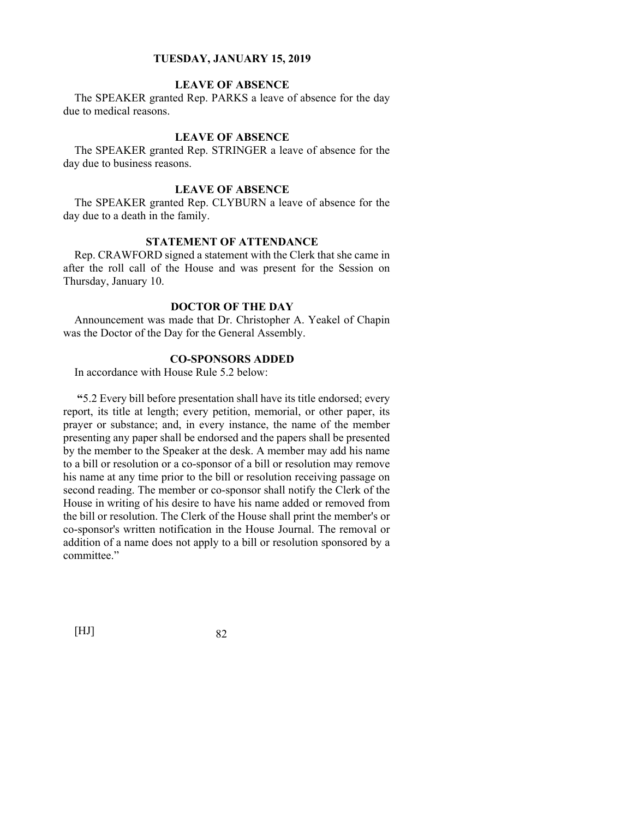## **LEAVE OF ABSENCE**

The SPEAKER granted Rep. PARKS a leave of absence for the day due to medical reasons.

## **LEAVE OF ABSENCE**

The SPEAKER granted Rep. STRINGER a leave of absence for the day due to business reasons.

## **LEAVE OF ABSENCE**

The SPEAKER granted Rep. CLYBURN a leave of absence for the day due to a death in the family.

## **STATEMENT OF ATTENDANCE**

Rep. CRAWFORD signed a statement with the Clerk that she came in after the roll call of the House and was present for the Session on Thursday, January 10.

## **DOCTOR OF THE DAY**

Announcement was made that Dr. Christopher A. Yeakel of Chapin was the Doctor of the Day for the General Assembly.

## **CO-SPONSORS ADDED**

In accordance with House Rule 5.2 below:

**"**5.2 Every bill before presentation shall have its title endorsed; every report, its title at length; every petition, memorial, or other paper, its prayer or substance; and, in every instance, the name of the member presenting any paper shall be endorsed and the papers shall be presented by the member to the Speaker at the desk. A member may add his name to a bill or resolution or a co-sponsor of a bill or resolution may remove his name at any time prior to the bill or resolution receiving passage on second reading. The member or co-sponsor shall notify the Clerk of the House in writing of his desire to have his name added or removed from the bill or resolution. The Clerk of the House shall print the member's or co-sponsor's written notification in the House Journal. The removal or addition of a name does not apply to a bill or resolution sponsored by a committee."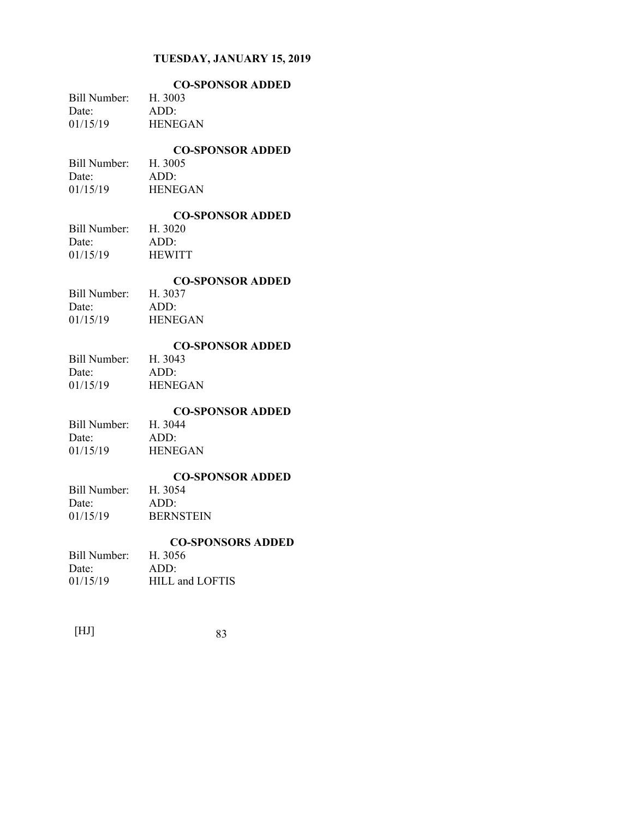|              | <b>CO-SPONSOR ADDED</b> |
|--------------|-------------------------|
| Bill Number: | H. 3003                 |
| Date:        | ADD:                    |
| 01/15/19     | <b>HENEGAN</b>          |

## **CO-SPONSOR ADDED**

Bill Number: H. 3005 Date: ADD: 01/15/19 HENEGAN

# **CO-SPONSOR ADDED**

Bill Number: Date: ADD: 01/15/19 HEWITT

## **CO-SPONSOR ADDED**

| Bill Number: | H. 3037        |
|--------------|----------------|
| Date:        | ADD:           |
| 01/15/19     | <b>HENEGAN</b> |

## **CO-SPONSOR ADDED**

Bill Number: H. 3043 Date: ADD: 01/15/19 HENEGAN

## **CO-SPONSOR ADDED**

Bill Number: H. 3044 Date: ADD: 01/15/19 HENEGAN

# **CO-SPONSOR ADDED**

Bill Number: Date: ADD: 01/15/19 **BERNSTEIN** 

## **CO-SPONSORS ADDED**

| Bill Number: | H. 3056         |
|--------------|-----------------|
| Date:        | ADD:            |
| 01/15/19     | HILL and LOFTIS |

| 83 |
|----|
|    |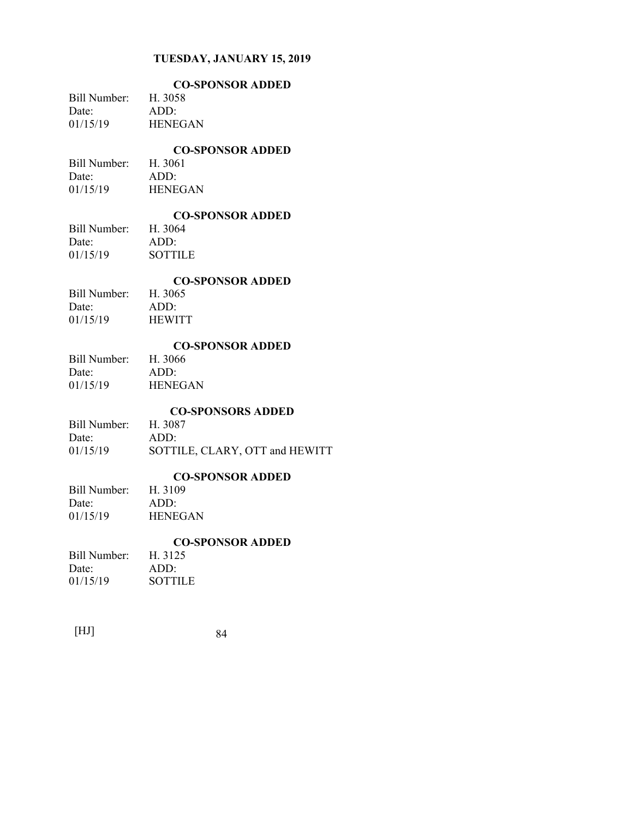|              | <b>CO-SPONSOR ADDED</b> |
|--------------|-------------------------|
| Bill Number: | H. 3058                 |
| Date:        | ADD:                    |
| 01/15/19     | <b>HENEGAN</b>          |
|              |                         |

## **CO-SPONSOR ADDED**

Bill Number: H. 3061 Date: ADD: 01/15/19 HENEGAN

# **CO-SPONSOR ADDED**

Bill Number: Date: ADD: 01/15/19 SOTTILE

## **CO-SPONSOR ADDED**

| Bill Number: | H. 3065       |
|--------------|---------------|
| Date:        | ADD:          |
| 01/15/19     | <b>HEWITT</b> |

## **CO-SPONSOR ADDED**

| Bill Number: | H. 3066        |
|--------------|----------------|
| Date:        | ADD:           |
| 01/15/19     | <b>HENEGAN</b> |

## **CO-SPONSORS ADDED**

| Bill Number: | H. 3087                        |
|--------------|--------------------------------|
| Date:        | ADD:                           |
| 01/15/19     | SOTTILE, CLARY, OTT and HEWITT |

# **CO-SPONSOR ADDED**

## Bill Number: Date: ADD: 01/15/19 HENEGAN

# **CO-SPONSOR ADDED**

| Bill Number: H. 3125 |
|----------------------|
| $ADD^*$              |
| <b>SOTTILE</b>       |
|                      |

| 84 |
|----|
|    |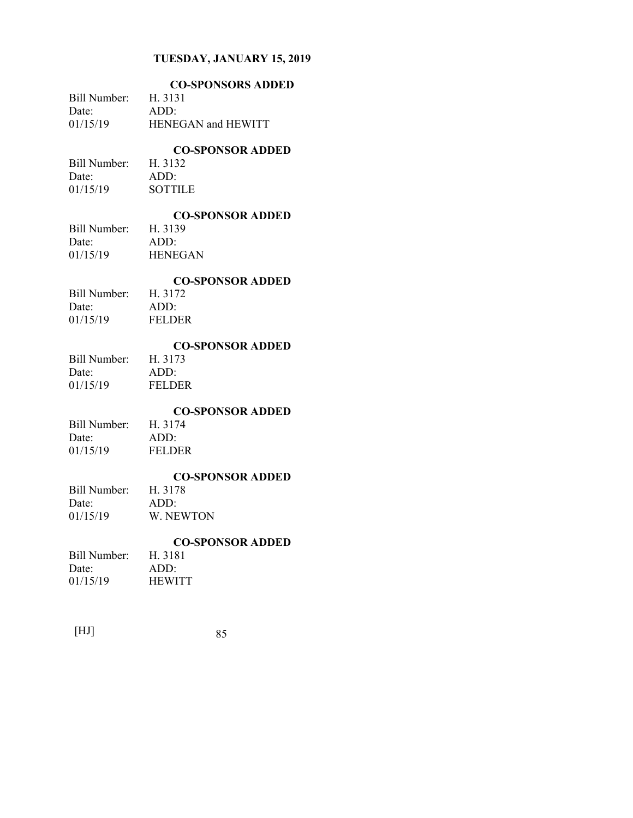|                       | <b>CO-SPONSORS ADDED</b>           |
|-----------------------|------------------------------------|
| Bill Number:<br>Date: | H. 3131<br>ADD:                    |
| 01/15/19              | HENEGAN and HEWITT                 |
| Bill Number:          | <b>CO-SPONSOR ADDED</b><br>H. 3132 |
| Date:                 | ADD:                               |
| 01/15/19              | <b>SOTTILE</b>                     |
|                       | <b>CO-SPONSOR ADDED</b>            |
| Bill Number:<br>Date: | H. 3139<br>ADD:                    |
| 01/15/19              | <b>HENEGAN</b>                     |
|                       | <b>CO-SPONSOR ADDED</b>            |
| Bill Number:          | H. 3172                            |
| Date:                 | ADD:                               |
| 01/15/19              | <b>FELDER</b>                      |
|                       | <b>CO-SPONSOR ADDED</b><br>H. 3173 |
| Bill Number:<br>Date: | ADD:                               |
| 01/15/19              | <b>FELDER</b>                      |
|                       | <b>CO-SPONSOR ADDED</b>            |
| Bill Number:          | H. 3174                            |
| Date:<br>01/15/19     | ADD:<br><b>FELDER</b>              |
|                       |                                    |
| Bill Number:          | <b>CO-SPONSOR ADDED</b><br>H. 3178 |
| Date:                 | ADD:                               |
| 01/15/19              | W. NEWTON                          |
|                       | <b>CO-SPONSOR ADDED</b>            |
| Bill Number:<br>Date: | H. 3181<br>ADD:                    |
| 01/15/19              | <b>HEWITT</b>                      |
|                       |                                    |
|                       |                                    |

| 85 |
|----|
|    |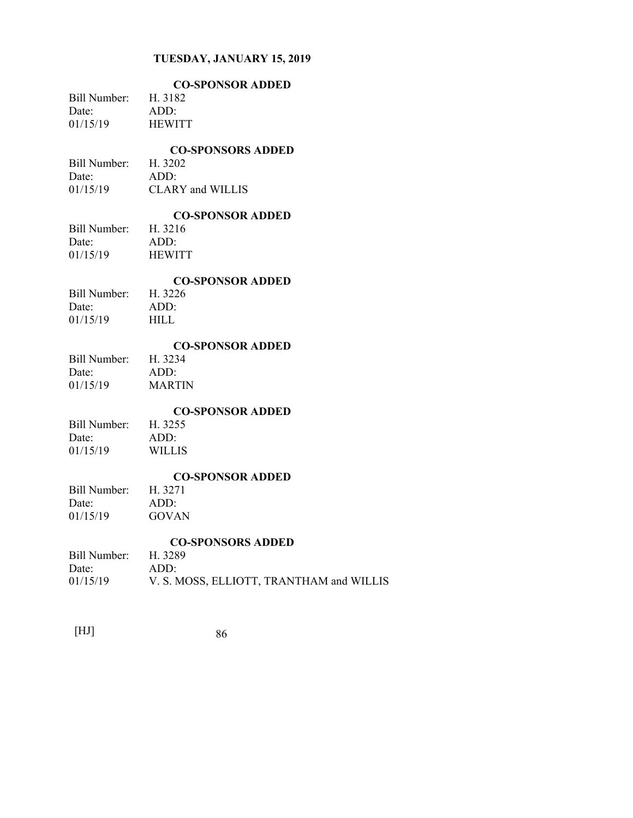|                      | <b>CO-SPONSOR ADDED</b>                  |
|----------------------|------------------------------------------|
| <b>Bill Number:</b>  | H. 3182                                  |
| Date:                | ADD:                                     |
| 01/15/19             | <b>HEWITT</b>                            |
|                      | <b>CO-SPONSORS ADDED</b>                 |
| Bill Number: H. 3202 |                                          |
| Date:                | ADD:                                     |
| 01/15/19             | CLARY and WILLIS                         |
|                      | <b>CO-SPONSOR ADDED</b>                  |
| <b>Bill Number:</b>  | H. 3216                                  |
| Date:                | ADD:                                     |
| 01/15/19             | <b>HEWITT</b>                            |
|                      | <b>CO-SPONSOR ADDED</b>                  |
| <b>Bill Number:</b>  | H. 3226                                  |
| Date:                | ADD:                                     |
| 01/15/19             | <b>HILL</b>                              |
|                      | <b>CO-SPONSOR ADDED</b>                  |
| <b>Bill Number:</b>  | H. 3234                                  |
| Date:                | ADD:                                     |
| 01/15/19             | <b>MARTIN</b>                            |
|                      | <b>CO-SPONSOR ADDED</b>                  |
| Bill Number:         | H. 3255                                  |
| Date:                | ADD:                                     |
| 01/15/19             | <b>WILLIS</b>                            |
|                      | <b>CO-SPONSOR ADDED</b>                  |
| Bill Number:         | H. 3271                                  |
| Date:                | ADD:                                     |
| 01/15/19             | <b>GOVAN</b>                             |
|                      | <b>CO-SPONSORS ADDED</b>                 |
| Bill Number: H. 3289 |                                          |
| Date:                | ADD:                                     |
| 01/15/19             | V. S. MOSS, ELLIOTT, TRANTHAM and WILLIS |
|                      |                                          |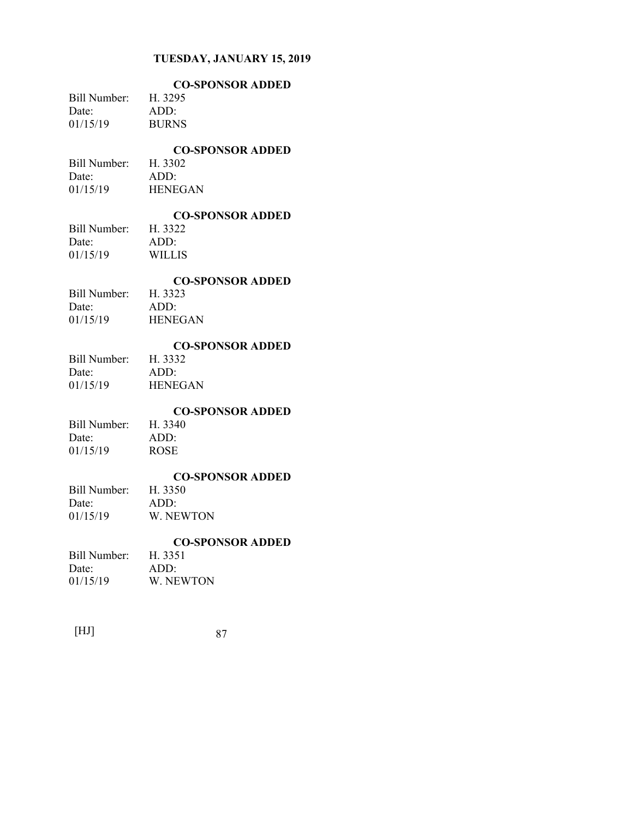|              | <b>CO-SPONSOR ADDED</b> |
|--------------|-------------------------|
| Bill Number: | H. 3295                 |
| Date:        | ADD:                    |
| 01/15/19     | <b>BURNS</b>            |
|              |                         |

## **CO-SPONSOR ADDED**

Bill Number: H. 3302 Date: ADD: 01/15/19 HENEGAN

# **CO-SPONSOR ADDED**

Bill Number: Date: ADD: 01/15/19 WILLIS

#### **CO-SPONSOR ADDED**

| Bill Number: | H. 3323        |
|--------------|----------------|
| Date:        | ADD:           |
| 01/15/19     | <b>HENEGAN</b> |

## **CO-SPONSOR ADDED**

| Bill Number: | H. 3332        |
|--------------|----------------|
| Date:        | ADD:           |
| 01/15/19     | <b>HENEGAN</b> |

# **CO-SPONSOR ADDED**

Bill Number: Date: ADD: 01/15/19 ROSE

# **CO-SPONSOR ADDED**

Bill Number: Date: ADD: 01/15/19 W. NEWTON

## **CO-SPONSOR ADDED**

| Bill Number: | H. 3351   |
|--------------|-----------|
| Date:        | ADD:      |
| 01/15/19     | W. NEWTON |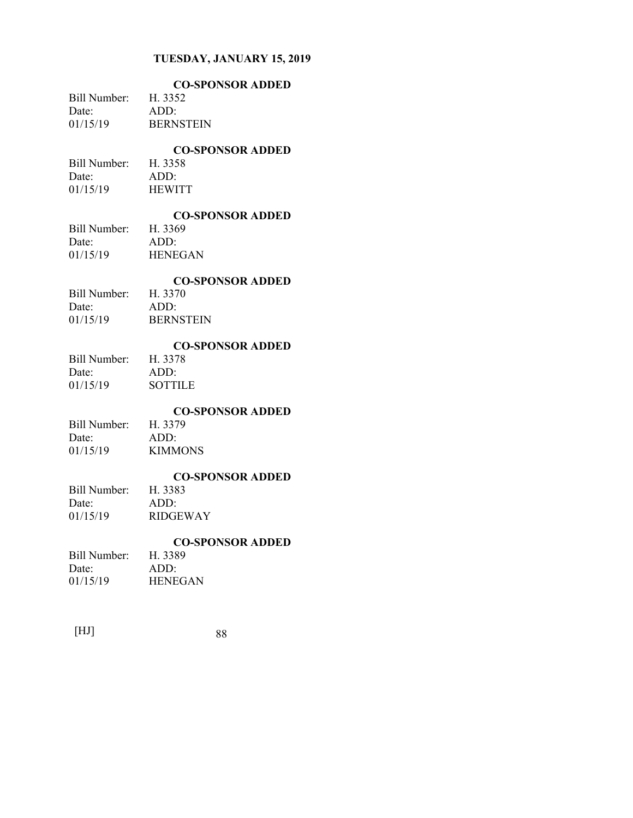|                | <b>CO-SPONSOR ADDED</b> |
|----------------|-------------------------|
| Bill Number: - | H. 3352                 |
| Date:          | ADD:                    |
| 01/15/19       | <b>BERNSTEIN</b>        |
|                |                         |

## **CO-SPONSOR ADDED**

Bill Number: H. 3358 Date: ADD: 01/15/19 HEWITT

# **CO-SPONSOR ADDED**

Bill Number: Date: ADD: 01/15/19 HENEGAN

## **CO-SPONSOR ADDED**

| Bill Number: | H. 3370          |
|--------------|------------------|
| Date:        | ADD:             |
| 01/15/19     | <b>BERNSTEIN</b> |

## **CO-SPONSOR ADDED**

Bill Number: H. 3378 Date: ADD: 01/15/19 SOTTILE

## **CO-SPONSOR ADDED**

Bill Number: H. 3379 Date: ADD: 01/15/19 **KIMMONS** 

# **CO-SPONSOR ADDED**

Bill Number:<br>Date: ADD: 01/15/19 RIDGEWAY

## **CO-SPONSOR ADDED**

| Bill Number: | H. 3389        |
|--------------|----------------|
| Date:        | ADD:           |
| 01/15/19     | <b>HENEGAN</b> |

| 88 |
|----|
|    |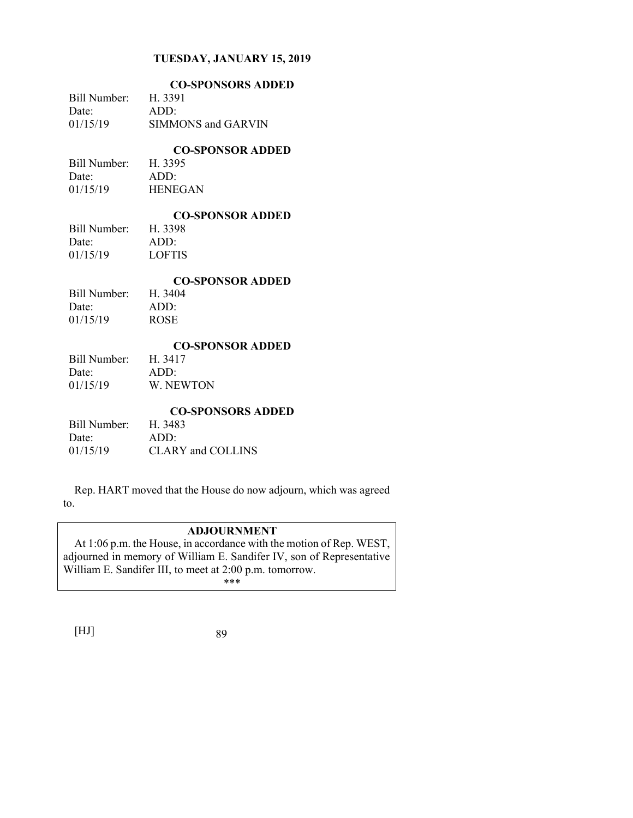|              | <b>CO-SPONSORS ADDED</b> |
|--------------|--------------------------|
| Bill Number: | H. 3391                  |
| Date:        | ADD:                     |
| 01/15/19     | SIMMONS and GARVIN       |
|              | <b>CO-SPONSOR ADDED</b>  |
| Bill Number: | H. 3395                  |
| Date:        | ADD:                     |
| 01/15/19     | <b>HENEGAN</b>           |
|              | <b>CO-SPONSOR ADDED</b>  |
| Bill Number: | H. 3398                  |
| Date:        | ADD:                     |
| 01/15/19     | <b>LOFTIS</b>            |
|              | <b>CO-SPONSOR ADDED</b>  |
| Bill Number: | H. 3404                  |
| Date:        | ADD:                     |
| 01/15/19     | <b>ROSE</b>              |
|              | <b>CO-SPONSOR ADDED</b>  |
| Bill Number: | H. 3417                  |
| Date:        | ADD:                     |
| 01/15/19     | W. NEWTON                |
|              | <b>CO-SPONSORS ADDED</b> |
| Bill Number: | H. 3483                  |
|              |                          |
| Date:        | ADD:                     |

Rep. HART moved that the House do now adjourn, which was agreed to.

# **ADJOURNMENT**

At 1:06 p.m. the House, in accordance with the motion of Rep. WEST, adjourned in memory of William E. Sandifer IV, son of Representative William E. Sandifer III, to meet at 2:00 p.m. tomorrow. \*\*\*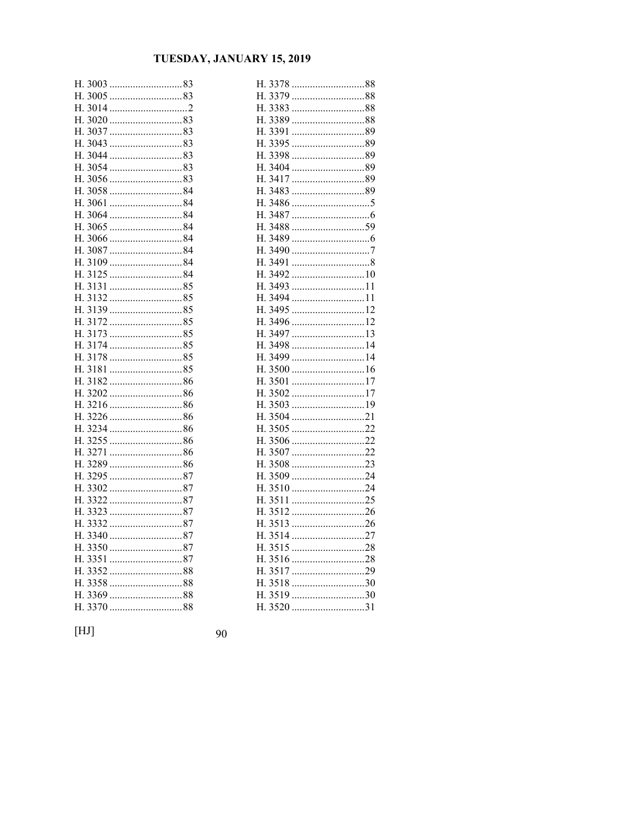| Н.                               |
|----------------------------------|
|                                  |
| Н.                               |
| Н.                               |
| 3037<br>83<br>Н.                 |
| 3043<br>83<br>H.                 |
|                                  |
| $3054$ 83<br>H.                  |
| Н.                               |
| 3058 84<br>Н.                    |
| Η.                               |
| $3064$ 84<br>Н.                  |
|                                  |
| 306684<br>Н.                     |
| 84<br>3087<br>Η.                 |
| 3109 84<br>Н.                    |
| Н.                               |
| 85<br>3131<br>Н.                 |
| 313285<br>Н.                     |
| Н.                               |
| Н.                               |
| $3173$ 85<br>Н.                  |
| Η.                               |
| Н.                               |
| Н.                               |
| Η.                               |
| Н.                               |
| H.                               |
| Η.                               |
|                                  |
| Н.                               |
| Н.                               |
| 3289 86<br>Н.                    |
| 329587<br>Η.                     |
| Н.                               |
| Н.                               |
| Η.<br>332387                     |
| Н.                               |
| Η.                               |
| Н.<br>$3350$ 87<br>87<br>H. 3351 |
|                                  |
| Н.<br>335888<br>Н.               |
| Н.                               |
| 3370<br>H.                       |
| 88                               |

| 3378<br>Н.       |   |
|------------------|---|
| 3379<br>Н.       |   |
| 3383<br>88<br>Н. |   |
| 3389<br>88<br>Н. |   |
| 3391<br>89<br>Н. |   |
| 3395<br>89<br>Н. |   |
| Н.<br>3398       |   |
| 3404 89<br>Н.    |   |
| H.<br>3417       |   |
| Н.<br>3483       |   |
| 3486<br>Н.       |   |
| H.<br>3487       |   |
| Н.<br>3488       |   |
| 3489<br>Н.       |   |
| Η.               |   |
| 3491<br>Н.       |   |
| Н.<br>3492       |   |
| Η.<br>3493<br>11 |   |
| 3494 1<br>Н.     | 1 |
| Н.<br>3495<br>12 |   |
| 3496<br>Н.       |   |
| 3497<br>13<br>Н. |   |
| Н.<br>3498<br>14 |   |
| Н.<br>3499       |   |
| Н.               |   |
| 3501<br>17<br>Н. |   |
| 3502<br>17<br>Н. |   |
| 3503<br>Н.       |   |
| Н.               |   |
| 3505<br>Н.       |   |
| Н.               |   |
| 3507<br>Н.<br>22 |   |
| 3508<br>23<br>Н. |   |
| 3509<br>24<br>Н. |   |
| 3510<br>Н.<br>24 |   |
| 3511<br>Н.       |   |
| 3512<br>Н.       |   |
| 3513<br>Н.<br>26 |   |
| 3514<br>Н.<br>27 |   |
| 3515<br>28<br>H. |   |
| Н.<br>3516<br>28 |   |
| 3517<br>Н.       |   |
| 3518<br>30<br>Н. |   |
| 3519<br>Н.<br>30 |   |
| 3520<br>31<br>H. |   |

 $[HJ]$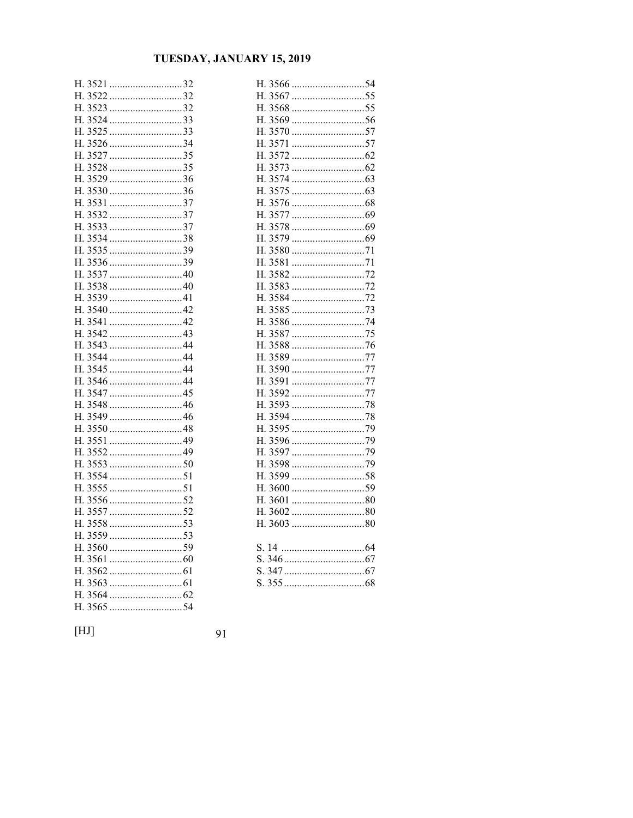| Н. |         | 3521 32    |
|----|---------|------------|
|    |         | H. 3522 32 |
|    |         |            |
|    |         | H. 3524 33 |
|    |         |            |
| Η. |         | 3526 34    |
|    |         | H. 3527 35 |
|    |         | H. 3528 35 |
| H. |         | $3529$ 36  |
|    |         |            |
|    |         |            |
| Н. |         | $3532$ 37  |
| Н. |         |            |
|    |         | H. 3534 38 |
| Н. |         | 353539     |
|    |         |            |
|    |         |            |
| Н. | 3538    |            |
|    | H. 3539 | 41         |
|    |         | H. 3540 42 |
| Н. |         |            |
|    |         |            |
|    |         |            |
| Η. |         |            |
|    |         |            |
|    |         | H. 3546 44 |
|    | H. 3547 | 45         |
|    |         |            |
|    |         | H. 3549 46 |
|    |         |            |
|    |         |            |
|    |         |            |
|    |         |            |
|    |         |            |
|    |         |            |
|    |         | H. 3556 52 |
|    |         |            |
|    |         |            |
|    |         |            |
|    |         |            |
|    | H. 3561 |            |
|    |         |            |
| Н. |         |            |
|    |         |            |
| Η. | 3565    | .54        |

| Н.                     |    |
|------------------------|----|
|                        |    |
| 3568 55<br>Н.          |    |
| Н.                     |    |
| Η.                     |    |
| Η.<br>3571<br>57       |    |
| 3572<br>Н.             |    |
| 3573<br>H.             |    |
| 3574<br>Η.             |    |
| 3575<br>Η.             |    |
| 3576<br>Н.             |    |
| 3577<br>Н.             |    |
| 3578<br>Н.             |    |
| 3579<br>Н.             |    |
| 3580<br>71<br>Н.       |    |
| 3581<br>Н.             |    |
| 3582<br>Η.             |    |
| 3583<br>Η.             |    |
| 3584<br>H.             |    |
| Η.<br>3585             |    |
| Η.<br>3586<br>3587     |    |
| Η.<br>3588<br>H.       |    |
| 76<br>77<br>3589<br>Η. |    |
| Η.<br>3590<br>77       |    |
| H. 3591<br>77          |    |
| 3592<br>H.             | 77 |
| 3593<br>Н.             |    |
| 3594<br>Η.             |    |
| 3595<br>Η.             |    |
| 3596<br>H.             | 79 |
| 3597<br>H.             |    |
| 3598<br>Η.             |    |
| 3599<br>Η.<br>58       |    |
| H.<br>3600             |    |
| 3601<br>H.<br>80       |    |
| 3602<br>Н.             |    |
|                        |    |
|                        |    |
| S. 14                  |    |
|                        |    |
|                        |    |
| S.                     |    |

 $[HJ]$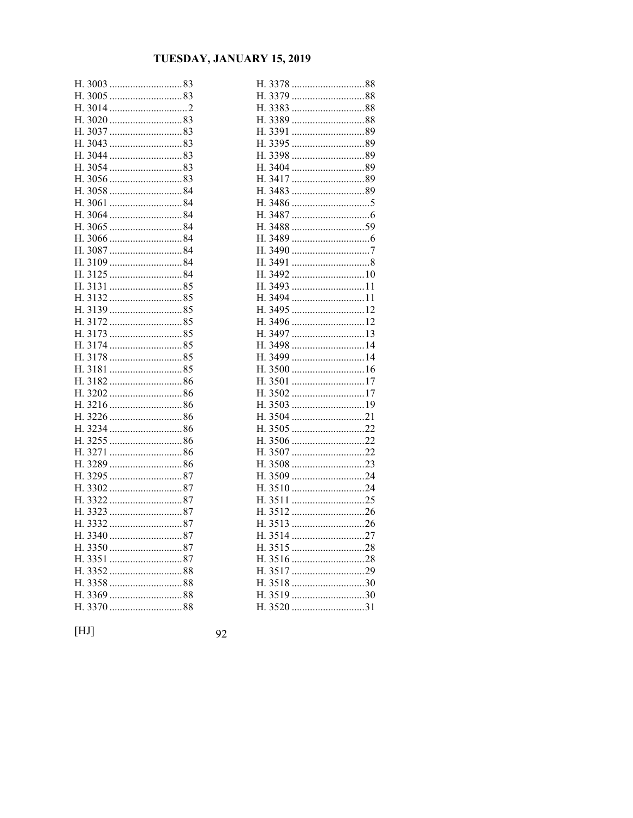| Н.                            |  |
|-------------------------------|--|
|                               |  |
| Н.                            |  |
| Н.                            |  |
| 3037<br>83<br>Н.              |  |
| 3043<br>83<br>Η.              |  |
| Н.                            |  |
| 305483<br>Η.                  |  |
| Н.                            |  |
| Н.<br>305884                  |  |
| Н.                            |  |
| $3064$ 84<br>Η.               |  |
| 3065 84<br>Н.                 |  |
| 306684<br>Н.                  |  |
| 84<br>Н.<br>3087              |  |
| 3109 84<br>Н.                 |  |
| Н.                            |  |
| 85<br>3131<br>Н.              |  |
| 313285<br>Н.                  |  |
| Η.                            |  |
| Н.                            |  |
| $3173$ 85<br>Н.               |  |
| Η.                            |  |
| Н.                            |  |
| Н.                            |  |
| Н.                            |  |
| Н.                            |  |
| 321686<br>Н.                  |  |
| Н.                            |  |
|                               |  |
| Η.                            |  |
| 86<br>3271<br>Н.              |  |
| 3289 86<br>Н.                 |  |
| 329587<br>H.                  |  |
| Η.                            |  |
| 3322 87<br>Н.<br>Н.           |  |
| 3323<br>Н.                    |  |
|                               |  |
| 3340 87<br>Н.<br>Η.<br>335087 |  |
| 87<br>3351                    |  |
| Н.                            |  |
| Н.<br>Н.                      |  |
| Н.                            |  |
| Η.                            |  |
|                               |  |

| 3378<br>Н.       |  |
|------------------|--|
| 3379<br>88<br>Н. |  |
| 3383<br>88<br>Н. |  |
| 3389<br>88<br>Н. |  |
| 3391<br>89<br>Н. |  |
| 89<br>H.<br>3395 |  |
| 89<br>Н.<br>3398 |  |
| 3404<br>Н.       |  |
| 89<br>Η.<br>3417 |  |
| 89<br>3483<br>Н. |  |
| 3486<br>Н.       |  |
| 3487<br>Н.       |  |
| Н.<br>3488       |  |
| 3489<br>Н.       |  |
| Н.               |  |
| 3491<br>Н.       |  |
| Н.<br>3492       |  |
| H.<br>3493<br>11 |  |
| Н.<br>3494 11    |  |
| 3495 12<br>Н.    |  |
| 3496 12<br>Η.    |  |
| 13<br>Н.<br>3497 |  |
| 3498<br>Н.       |  |
| Η.<br>3499<br>14 |  |
| Н.               |  |
| 3501<br>Н.<br>17 |  |
| 3502<br>Н.<br>17 |  |
| 3503<br>19<br>Н. |  |
| Н.<br>3504<br>21 |  |
| 3505<br>22<br>Н. |  |
| 3506 22<br>Н.    |  |
| 3507<br>22<br>Н. |  |
| 3508<br>Н.       |  |
| 3509<br>24<br>Н. |  |
| 3510<br>24<br>Н. |  |
| 3511<br>25<br>Н. |  |
| 3512<br>Н.       |  |
| 3513<br>Н.       |  |
| 3514<br>Н.<br>27 |  |
| 3515<br>28<br>Н. |  |
| 3516<br>Н.<br>28 |  |
| 3517<br>Н.       |  |
| 3518<br>H.<br>30 |  |
| 3519<br>Н.<br>30 |  |
| 3520<br>31<br>H. |  |

 $[HJ]$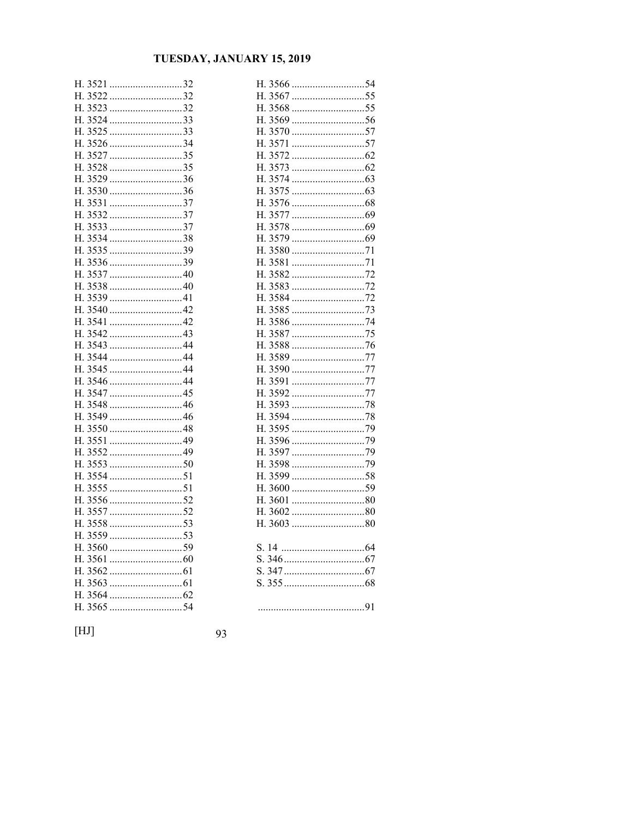| Н.<br>3521 |            | 32 |
|------------|------------|----|
|            | H. 3522 32 |    |
| Η.         | $3523$ 32  |    |
|            | H. 3524 33 |    |
| Н.         | 3525 33    |    |
| Н.<br>3526 | 34         |    |
| Н.<br>3527 | 35         |    |
| Н.         | 3528 35    |    |
| Η.         | $3529$ 36  |    |
|            | H. 3530 36 |    |
| Н.         | 353137     |    |
| Η.         | $3532$ 37  |    |
|            |            |    |
| Н.         | 353438     |    |
| Η.<br>3535 | 39         |    |
| H. 3536    | 39         |    |
| H. 3537    | 40         |    |
| 3538<br>Η. | 40         |    |
|            |            |    |
|            | H. 3540 42 |    |
| Η.         |            |    |
|            |            |    |
|            |            |    |
| Η.         |            |    |
|            |            |    |
|            | H. 3546 44 |    |
| Η.         |            |    |
| H. 3548    | 46         |    |
|            | H. 3549 46 |    |
| Η.         |            |    |
| H. 3551    |            |    |
|            |            |    |
| Η.         |            |    |
|            |            |    |
| Η.         |            |    |
|            |            |    |
|            |            |    |
| Н.         |            |    |
|            |            |    |
|            |            |    |
| Н.         |            |    |
| H. 3563    |            |    |
|            |            |    |
| 3565<br>Η. | 54         |    |
|            |            |    |

| 3566<br>Н.       |  |
|------------------|--|
| 3567<br>Н.       |  |
| 3568<br>H.       |  |
| 3569<br>56<br>Н. |  |
| 3570<br>57<br>Н. |  |
| 3571<br>Η.<br>57 |  |
| 3572<br>Н.       |  |
| 3573<br>Η.       |  |
| 3574<br>H.       |  |
| 3575<br>Н.       |  |
| 3576<br>Η.       |  |
| Η.<br>3577       |  |
| 3578<br>Н.       |  |
| 3579<br>Η.       |  |
| 3580<br>Η.       |  |
| 3581<br>H.       |  |
| 3582<br>Η.       |  |
| 3583<br>H.<br>72 |  |
| 3584<br>Η.       |  |
| 3585<br>Η.       |  |
| 3586<br>H.<br>74 |  |
| 3587<br>Н.       |  |
| 3588<br>Η.       |  |
| 3589<br>Η.<br>77 |  |
| 77<br>3590<br>Н. |  |
| 3591<br>Н.<br>77 |  |
| 3592<br>H.<br>77 |  |
| 3593<br>Н.       |  |
| 3594<br>Η.       |  |
| 3595<br>Η.       |  |
| 3596<br>H.       |  |
| 3597<br>Н.       |  |
| 3598<br>H.       |  |
| 3599<br>58<br>Н. |  |
| Η.<br>3600       |  |
| 3601<br>H.<br>80 |  |
| 3602<br>80<br>Н. |  |
| Н.               |  |
|                  |  |
| S. 14            |  |
|                  |  |
| S.               |  |
|                  |  |
|                  |  |
|                  |  |

 $[HJ]$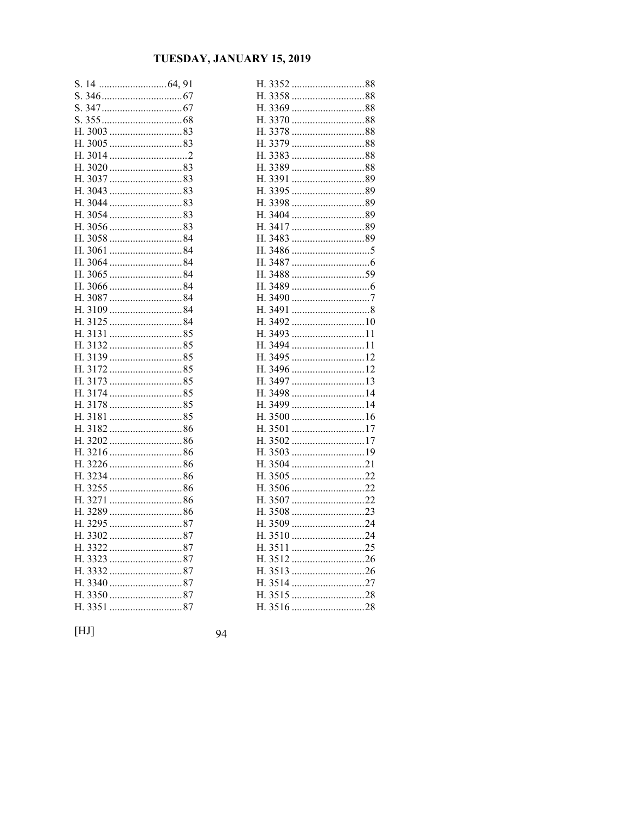| S.       | 14                 |     |
|----------|--------------------|-----|
| S.       |                    |     |
| S.       |                    |     |
| S.       |                    |     |
| H.       |                    |     |
| Н.       |                    |     |
| Н.       |                    |     |
| Н.       | 3020 83            |     |
| Н.       |                    |     |
| Н.       | 3043 83            |     |
| Н.       | 304483             |     |
| Н.       |                    |     |
| Η.       | 3056 83            |     |
| H.       | 305884             |     |
|          |                    |     |
|          | H. 3064 84         |     |
| Н.       | 84<br>3065         |     |
| Н.       | $3066$ 84          |     |
|          |                    |     |
| Н.       | 84<br>3109         |     |
| Н.       | 84<br>3125         |     |
| Н.       | 313185             |     |
| Н.       | 3132<br>85<br>3139 |     |
| Н.<br>Н. |                    |     |
| Н.       | 85<br>3173         |     |
| Н.       |                    |     |
| Н.       |                    |     |
| H.       |                    |     |
| Н.       |                    |     |
| Н.       | 320286             |     |
| Н.       |                    |     |
| Н.       |                    |     |
| Н.       | 323486             |     |
| Η.       |                    |     |
|          |                    |     |
| H.       | 86<br>3289         |     |
| Н.       |                    |     |
| Н.       | 330287             |     |
| H.       | 87<br>3322         |     |
| Н.       | 87<br>3323         |     |
|          | H. 3332<br>87      |     |
| Н.       | 3340               |     |
| Н.       | 87<br>3350         |     |
| Η.       | 3351               | .87 |

| 3352 88<br>Н.    |  |
|------------------|--|
| 3358 88<br>Н.    |  |
| H.               |  |
| H. 3370<br>88    |  |
| 3378<br>88<br>Н. |  |
| 3379<br>Н.       |  |
| 3383<br>88<br>Н. |  |
| 3389<br>88<br>Н. |  |
| 3391<br>Н.       |  |
| H. 3395<br>89    |  |
| 89<br>3398<br>Н. |  |
| 3404<br>89<br>Н. |  |
| H. 3417<br>89    |  |
| H. 3483          |  |
| 3486<br>Н.       |  |
| H. 3487          |  |
| H. 3488          |  |
| Н.<br>3489       |  |
| H. 3490          |  |
| H. 3491          |  |
| 3492<br>Н.<br>10 |  |
| H. 3493<br>11    |  |
| H. 3494 11       |  |
| 3495<br>Н.<br>12 |  |
| H. 3496          |  |
| H. 3497<br>13    |  |
| 3498<br>Н.<br>14 |  |
| H. 3499<br>14    |  |
| H. 3500          |  |
| 3501<br>17<br>Н. |  |
| 3502<br>Н.       |  |
| H. 3503          |  |
| 3504<br>21<br>Н. |  |
| 3505<br>Н.       |  |
| H. 3506<br>22    |  |
| 3507<br>22<br>Н. |  |
| 3508<br>23<br>Н. |  |
| H. 3509<br>24    |  |
| 3510<br>Н.<br>24 |  |
| 3511<br>25<br>Н. |  |
| H. 3512          |  |
| 3513<br>Н.       |  |
| 3514<br>27<br>Н. |  |
| 3515<br>Н.       |  |
| 3516<br>Н.       |  |

 $[HJ]$